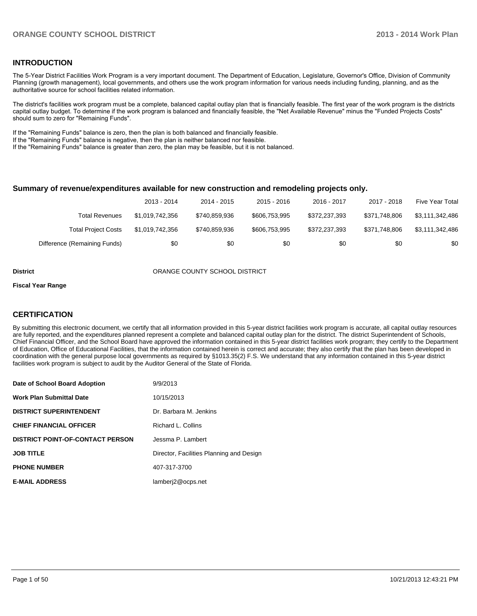#### **INTRODUCTION**

The 5-Year District Facilities Work Program is a very important document. The Department of Education, Legislature, Governor's Office, Division of Community Planning (growth management), local governments, and others use the work program information for various needs including funding, planning, and as the authoritative source for school facilities related information.

The district's facilities work program must be a complete, balanced capital outlay plan that is financially feasible. The first year of the work program is the districts capital outlay budget. To determine if the work program is balanced and financially feasible, the "Net Available Revenue" minus the "Funded Projects Costs" should sum to zero for "Remaining Funds".

If the "Remaining Funds" balance is zero, then the plan is both balanced and financially feasible.

If the "Remaining Funds" balance is negative, then the plan is neither balanced nor feasible.

If the "Remaining Funds" balance is greater than zero, the plan may be feasible, but it is not balanced.

#### **Summary of revenue/expenditures available for new construction and remodeling projects only.**

|                              | 2013 - 2014     | 2014 - 2015   | 2015 - 2016   | 2016 - 2017   | 2017 - 2018   | Five Year Total |
|------------------------------|-----------------|---------------|---------------|---------------|---------------|-----------------|
| Total Revenues               | \$1.019.742.356 | \$740.859.936 | \$606.753.995 | \$372.237.393 | \$371.748.806 | \$3,111,342,486 |
| <b>Total Project Costs</b>   | \$1,019,742,356 | \$740,859,936 | \$606,753,995 | \$372,237,393 | \$371.748.806 | \$3,111,342,486 |
| Difference (Remaining Funds) | \$0             | \$0           | \$0           | \$0           | \$0           | \$0             |

#### **District COUNTY SCHOOL DISTRICT**

#### **Fiscal Year Range**

#### **CERTIFICATION**

By submitting this electronic document, we certify that all information provided in this 5-year district facilities work program is accurate, all capital outlay resources are fully reported, and the expenditures planned represent a complete and balanced capital outlay plan for the district. The district Superintendent of Schools, Chief Financial Officer, and the School Board have approved the information contained in this 5-year district facilities work program; they certify to the Department of Education, Office of Educational Facilities, that the information contained herein is correct and accurate; they also certify that the plan has been developed in coordination with the general purpose local governments as required by §1013.35(2) F.S. We understand that any information contained in this 5-year district facilities work program is subject to audit by the Auditor General of the State of Florida.

| Date of School Board Adoption           | 9/9/2013                                 |
|-----------------------------------------|------------------------------------------|
| <b>Work Plan Submittal Date</b>         | 10/15/2013                               |
| <b>DISTRICT SUPERINTENDENT</b>          | Dr. Barbara M. Jenkins                   |
| <b>CHIEF FINANCIAL OFFICER</b>          | Richard L. Collins                       |
| <b>DISTRICT POINT-OF-CONTACT PERSON</b> | Jessma P. Lambert                        |
| <b>JOB TITLE</b>                        | Director, Facilities Planning and Design |
| <b>PHONE NUMBER</b>                     | 407-317-3700                             |
| <b>E-MAIL ADDRESS</b>                   | lamberj2@ocps.net                        |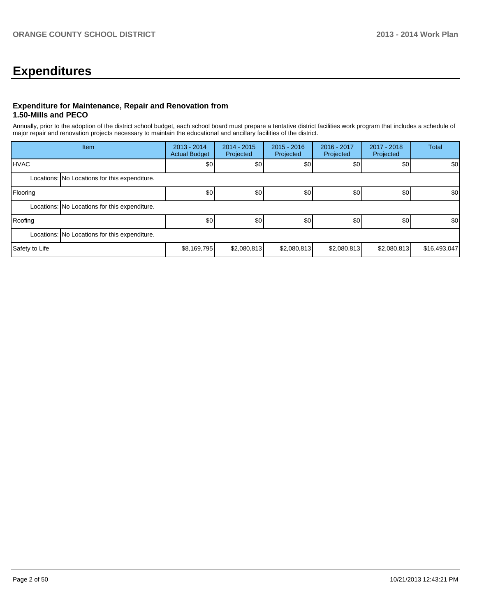## **Expenditures**

#### **Expenditure for Maintenance, Repair and Renovation from 1.50-Mills and PECO**

Annually, prior to the adoption of the district school budget, each school board must prepare a tentative district facilities work program that includes a schedule of major repair and renovation projects necessary to maintain the educational and ancillary facilities of the district.

|                | Item                                          | 2013 - 2014<br><b>Actual Budget</b> | $2014 - 2015$<br>Projected | $2015 - 2016$<br>Projected | 2016 - 2017<br>Projected | $2017 - 2018$<br>Projected | <b>Total</b> |
|----------------|-----------------------------------------------|-------------------------------------|----------------------------|----------------------------|--------------------------|----------------------------|--------------|
| <b>HVAC</b>    |                                               | \$0                                 | \$0                        | \$0                        | \$0                      | \$0                        | \$0          |
|                | Locations: No Locations for this expenditure. |                                     |                            |                            |                          |                            |              |
| Flooring       |                                               | \$0                                 | \$0                        | \$0                        | \$0                      | \$0                        | \$0          |
|                | Locations: No Locations for this expenditure. |                                     |                            |                            |                          |                            |              |
| Roofing        |                                               | \$0                                 | \$0                        | \$0                        | \$0                      | \$0                        | \$0          |
|                | Locations: No Locations for this expenditure. |                                     |                            |                            |                          |                            |              |
| Safety to Life |                                               | \$8,169,795                         | \$2,080,813                | \$2,080,813                | \$2,080,813              | \$2,080,813                | \$16,493,047 |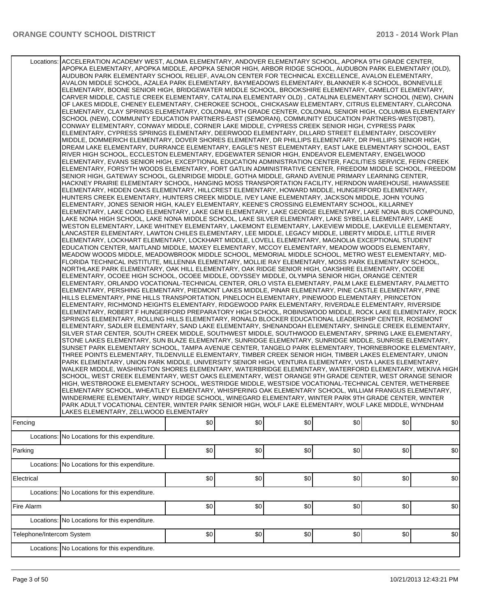|                           | Locations: ACCELERATION ACADEMY WEST, ALOMA ELEMENTARY, ANDOVER ELEMENTARY SCHOOL, APOPKA 9TH GRADE CENTER,<br>APOPKA ELEMENTARY, APOPKA MIDDLE, APOPKA SENIOR HIGH, ARBOR RIDGE SCHOOL, AUDUBON PARK ELEMENTARY (OLD),<br>AUDUBON PARK ELEMENTARY SCHOOL RELIEF, AVALON CENTER FOR TECHNICAL EXCELLENCE, AVALON ELEMENTARY,<br>AVALON MIDDLE SCHOOL, AZALEA PARK ELEMENTARY, BAYMEADOWS ELEMENTARY, BLANKNER K-8 SCHOOL, BONNEVILLE<br>ELEMENTARY, BOONE SENIOR HIGH, BRIDGEWATER MIDDLE SCHOOL, BROOKSHIRE ELEMENTARY, CAMELOT ELEMENTARY,<br>CARVER MIDDLE, CASTLE CREEK ELEMENTARY, CATALINA ELEMENTARY OLD), CATALINA ELEMENTARY SCHOOL (NEW), CHAIN<br>OF LAKES MIDDLE, CHENEY ELEMENTARY, CHEROKEE SCHOOL, CHICKASAW ELEMENTARY, CITRUS ELEMENTARY, CLARCONA<br>ELEMENTARY, CLAY SPRINGS ELEMENTARY, COLONIAL 9TH GRADE CENTER, COLONIAL SENIOR HIGH, COLUMBIA ELEMENTARY<br>SCHOOL (NEW), COMMUNITY EDUCATION PARTNERS-EAST (SEMORAN), COMMUNITY EDUCATION PARTNERS-WEST(OBT),<br>CONWAY ELEMENTARY, CONWAY MIDDLE, CORNER LAKE MIDDLE, CYPRESS CREEK SENIOR HIGH, CYPRESS PARK<br>ELEMENTARY, CYPRESS SPRINGS ELEMENTARY, DEERWOOD ELEMENTARY, DILLARD STREET ELEMENTARY, DISCOVERY<br>MIDDLE, DOMMERICH ELEMENTARY, DOVER SHORES ELEMENTARY, DR PHILLIPS ELEMENTARY, DR PHILLIPS SENIOR HIGH,<br>DREAM LAKE ELEMENTARY, DURRANCE ELEMENTARY, EAGLE'S NEST ELEMENTARY, EAST LAKE ELEMENTARY SCHOOL, EAST<br>RIVER HIGH SCHOOL, ECCLESTON ELEMENTARY, EDGEWATER SENIOR HIGH, ENDEAVOR ELEMENTARY, ENGELWOOD<br>ELEMENTARY, EVANS SENIOR HIGH, EXCEPTIONAL EDUCATION ADMINISTRATION CENTER, FACILITIES SERVICE, FERN CREEK<br>ELEMENTARY, FORSYTH WOODS ELEMENTARY, FORT GATLIN ADMINISTRATIVE CENTER, FREEDOM MIDDLE SCHOOL, FREEDOM<br>SENIOR HIGH, GATEWAY SCHOOL, GLENRIDGE MIDDLE, GOTHA MIDDLE, GRAND AVENUE PRIMARY LEARNING CENTER,<br>HACKNEY PRAIRIE ELEMENTARY SCHOOL, HANGING MOSS TRANSPORTATION FACILITY, HERNDON WAREHOUSE, HIAWASSEE<br>ELEMENTARY, HIDDEN OAKS ELEMENTARY, HILLCREST ELEMENTARY, HOWARD MIDDLE, HUNGERFORD ELEMENTARY,<br>HUNTERS CREEK ELEMENTARY, HUNTERS CREEK MIDDLE, IVEY LANE ELEMENTARY, JACKSON MIDDLE, JOHN YOUNG<br>ELEMENTARY, JONES SENIOR HIGH, KALEY ELEMENTARY, KEENE'S CROSSING ELEMENTARY SCHOOL, KILLARNEY<br>ELEMENTARY, LAKE COMO ELEMENTARY, LAKE GEM ELEMENTARY, LAKE GEORGE ELEMENTARY, LAKE NONA BUS COMPOUND,<br>LAKE NONA HIGH SCHOOL, LAKE NONA MIDDLE SCHOOL, LAKE SILVER ELEMENTARY, LAKE SYBELIA ELEMENTARY, LAKE<br>WESTON ELEMENTARY, LAKE WHITNEY ELEMENTARY, LAKEMONT ELEMENTARY, LAKEVIEW MIDDLE, LAKEVILLE ELEMENTARY,<br>LANCASTER ELEMENTARY, LAWTON CHILES ELEMENTARY, LEE MIDDLE, LEGACY MIDDLE, LIBERTY MIDDLE, LITTLE RIVER<br>ELEMENTARY, LOCKHART ELEMENTARY, LOCKHART MIDDLE, LOVELL ELEMENTARY, MAGNOLIA EXCEPTIONAL STUDENT<br>EDUCATION CENTER, MAITLAND MIDDLE, MAXEY ELEMENTARY, MCCOY ELEMENTARY, MEADOW WOODS ELEMENTARY,<br>MEADOW WOODS MIDDLE, MEADOWBROOK MIDDLE SCHOOL, MEMORIAL MIDDLE SCHOOL, METRO WEST ELEMENTARY, MID-<br>FLORIDA TECHNICAL INSTITUTE, MILLENNIA ELEMENTARY, MOLLIE RAY ELEMENTARY, MOSS PARK ELEMENTARY SCHOOL,<br>NORTHLAKE PARK ELEMENTARY, OAK HILL ELEMENTARY, OAK RIDGE SENIOR HIGH, OAKSHIRE ELEMENTARY, OCOEE<br>ELEMENTARY, OCOEE HIGH SCHOOL, OCOEE MIDDLE, ODYSSEY MIDDLE, OLYMPIA SENIOR HIGH, ORANGE CENTER<br>ELEMENTARY, ORLANDO VOCATIONAL-TECHNICAL CENTER, ORLO VISTA ELEMENTARY, PALM LAKE ELEMENTARY, PALMETTO<br>ELEMENTARY, PERSHING ELEMENTARY, PIEDMONT LAKES MIDDLE, PINAR ELEMENTARY, PINE CASTLE ELEMENTARY, PINE<br>HILLS ELEMENTARY, PINE HILLS TRANSPORTATION, PINELOCH ELEMENTARY, PINEWOOD ELEMENTARY, PRINCETON<br>ELEMENTARY, RICHMOND HEIGHTS ELEMENTARY, RIDGEWOOD PARK ELEMENTARY, RIVERDALE ELEMENTARY, RIVERSIDE<br>ELEMENTARY, ROBERT F HUNGERFORD PREPARATORY HIGH SCHOOL, ROBINSWOOD MIDDLE, ROCK LAKE ELEMENTARY, ROCK<br>SPRINGS ELEMENTARY, ROLLING HILLS ELEMENTARY, RONALD BLOCKER EDUCATIONAL LEADERSHIP CENTER, ROSEMONT<br>ELEMENTARY, SADLER ELEMENTARY, SAND LAKE ELEMENTARY, SHENANDOAH ELEMENTARY, SHINGLE CREEK ELEMENTARY,<br>SILVER STAR CENTER, SOUTH CREEK MIDDLE, SOUTHWEST MIDDLE, SOUTHWOOD ELEMENTARY, SPRING LAKE ELEMENTARY,<br>STONE LAKES ELEMENTARY, SUN BLAZE ELEMENTARY, SUNRIDGE ELEMENTARY, SUNRIDGE MIDDLE, SUNRISE ELEMENTARY,<br>SUNSET PARK ELEMENTARY SCHOOL, TAMPA AVENUE CENTER, TANGELO PARK ELEMENTARY, THORNEBROOKE ELEMENTARY,<br>THREE POINTS ELEMENTARY, TILDENVILLE ELEMENTARY, TIMBER CREEK SENIOR HIGH, TIMBER LAKES ELEMENTARY, UNION<br>PARK ELEMENTARY, UNION PARK MIDDLE, UNIVERSITY SENIOR HIGH, VENTURA ELEMENTARY, VISTA LAKES ELEMENTARY,<br>WALKER MIDDLE, WASHINGTON SHORES ELEMENTARY, WATERBRIDGE ELEMENTARY, WATERFORD ELEMENTARY, WEKIVA HIGH<br>SCHOOL, WEST CREEK ELEMENTARY, WEST OAKS ELEMENTARY, WEST ORANGE 9TH GRADE CENTER, WEST ORANGE SENIOR<br>HIGH, WESTBROOKE ELEMENTARY SCHOOL, WESTRIDGE MIDDLE, WESTSIDE VOCATIONAL-TECHNICAL CENTER, WETHERBEE<br>ELEMENTARY SCHOOL, WHEATLEY ELEMENTARY, WHISPERING OAK ELEMENTARY SCHOOL, WILLIAM FRANGUS ELEMENTARY,<br>WINDERMERE ELEMENTARY, WINDY RIDGE SCHOOL, WINEGARD ELEMENTARY, WINTER PARK 9TH GRADE CENTER, WINTER<br>PARK ADULT VOCATIONAL CENTER, WINTER PARK SENIOR HIGH, WOLF LAKE ELEMENTARY, WOLF LAKE MIDDLE, WYNDHAM<br>LAKES ELEMENTARY, ZELLWOOD ELEMENTARY |     |     |      |     |     |     |
|---------------------------|-----------------------------------------------------------------------------------------------------------------------------------------------------------------------------------------------------------------------------------------------------------------------------------------------------------------------------------------------------------------------------------------------------------------------------------------------------------------------------------------------------------------------------------------------------------------------------------------------------------------------------------------------------------------------------------------------------------------------------------------------------------------------------------------------------------------------------------------------------------------------------------------------------------------------------------------------------------------------------------------------------------------------------------------------------------------------------------------------------------------------------------------------------------------------------------------------------------------------------------------------------------------------------------------------------------------------------------------------------------------------------------------------------------------------------------------------------------------------------------------------------------------------------------------------------------------------------------------------------------------------------------------------------------------------------------------------------------------------------------------------------------------------------------------------------------------------------------------------------------------------------------------------------------------------------------------------------------------------------------------------------------------------------------------------------------------------------------------------------------------------------------------------------------------------------------------------------------------------------------------------------------------------------------------------------------------------------------------------------------------------------------------------------------------------------------------------------------------------------------------------------------------------------------------------------------------------------------------------------------------------------------------------------------------------------------------------------------------------------------------------------------------------------------------------------------------------------------------------------------------------------------------------------------------------------------------------------------------------------------------------------------------------------------------------------------------------------------------------------------------------------------------------------------------------------------------------------------------------------------------------------------------------------------------------------------------------------------------------------------------------------------------------------------------------------------------------------------------------------------------------------------------------------------------------------------------------------------------------------------------------------------------------------------------------------------------------------------------------------------------------------------------------------------------------------------------------------------------------------------------------------------------------------------------------------------------------------------------------------------------------------------------------------------------------------------------------------------------------------------------------------------------------------------------------------------------------------------------------------------------------------------------------------------------------------------------------------------------------------------------------------------------------------------------------------------------------------------------------------------------------------------------------------------------------------------------------------------------------------------------------------------------------------------------------------------------------------------------------------------------------------------------------------------------------------------------------------------------------------------------------------------------------------------------------------------------------------------------------------------------------------------------------------------------------------------------------------------------------------------------------------------------------------------------------------------------------------------------------------------------------------------------------------------------------------------------------------------------------------------------|-----|-----|------|-----|-----|-----|
| Fencing                   |                                                                                                                                                                                                                                                                                                                                                                                                                                                                                                                                                                                                                                                                                                                                                                                                                                                                                                                                                                                                                                                                                                                                                                                                                                                                                                                                                                                                                                                                                                                                                                                                                                                                                                                                                                                                                                                                                                                                                                                                                                                                                                                                                                                                                                                                                                                                                                                                                                                                                                                                                                                                                                                                                                                                                                                                                                                                                                                                                                                                                                                                                                                                                                                                                                                                                                                                                                                                                                                                                                                                                                                                                                                                                                                                                                                                                                                                                                                                                                                                                                                                                                                                                                                                                                                                                                                                                                                                                                                                                                                                                                                                                                                                                                                                                                                                                                                                                                                                                                                                                                                                                                                                                                                                                                                                                                                                                                 | \$0 | \$0 | \$0] | \$0 | \$0 | \$0 |
| Parking                   | Locations: No Locations for this expenditure.                                                                                                                                                                                                                                                                                                                                                                                                                                                                                                                                                                                                                                                                                                                                                                                                                                                                                                                                                                                                                                                                                                                                                                                                                                                                                                                                                                                                                                                                                                                                                                                                                                                                                                                                                                                                                                                                                                                                                                                                                                                                                                                                                                                                                                                                                                                                                                                                                                                                                                                                                                                                                                                                                                                                                                                                                                                                                                                                                                                                                                                                                                                                                                                                                                                                                                                                                                                                                                                                                                                                                                                                                                                                                                                                                                                                                                                                                                                                                                                                                                                                                                                                                                                                                                                                                                                                                                                                                                                                                                                                                                                                                                                                                                                                                                                                                                                                                                                                                                                                                                                                                                                                                                                                                                                                                                                   | \$0 | \$0 | \$0  | \$0 | \$0 | \$0 |
|                           | Locations: No Locations for this expenditure.                                                                                                                                                                                                                                                                                                                                                                                                                                                                                                                                                                                                                                                                                                                                                                                                                                                                                                                                                                                                                                                                                                                                                                                                                                                                                                                                                                                                                                                                                                                                                                                                                                                                                                                                                                                                                                                                                                                                                                                                                                                                                                                                                                                                                                                                                                                                                                                                                                                                                                                                                                                                                                                                                                                                                                                                                                                                                                                                                                                                                                                                                                                                                                                                                                                                                                                                                                                                                                                                                                                                                                                                                                                                                                                                                                                                                                                                                                                                                                                                                                                                                                                                                                                                                                                                                                                                                                                                                                                                                                                                                                                                                                                                                                                                                                                                                                                                                                                                                                                                                                                                                                                                                                                                                                                                                                                   |     |     |      |     |     |     |
| Electrical                |                                                                                                                                                                                                                                                                                                                                                                                                                                                                                                                                                                                                                                                                                                                                                                                                                                                                                                                                                                                                                                                                                                                                                                                                                                                                                                                                                                                                                                                                                                                                                                                                                                                                                                                                                                                                                                                                                                                                                                                                                                                                                                                                                                                                                                                                                                                                                                                                                                                                                                                                                                                                                                                                                                                                                                                                                                                                                                                                                                                                                                                                                                                                                                                                                                                                                                                                                                                                                                                                                                                                                                                                                                                                                                                                                                                                                                                                                                                                                                                                                                                                                                                                                                                                                                                                                                                                                                                                                                                                                                                                                                                                                                                                                                                                                                                                                                                                                                                                                                                                                                                                                                                                                                                                                                                                                                                                                                 | \$0 | \$0 | \$0  | \$0 | \$0 | \$0 |
|                           |                                                                                                                                                                                                                                                                                                                                                                                                                                                                                                                                                                                                                                                                                                                                                                                                                                                                                                                                                                                                                                                                                                                                                                                                                                                                                                                                                                                                                                                                                                                                                                                                                                                                                                                                                                                                                                                                                                                                                                                                                                                                                                                                                                                                                                                                                                                                                                                                                                                                                                                                                                                                                                                                                                                                                                                                                                                                                                                                                                                                                                                                                                                                                                                                                                                                                                                                                                                                                                                                                                                                                                                                                                                                                                                                                                                                                                                                                                                                                                                                                                                                                                                                                                                                                                                                                                                                                                                                                                                                                                                                                                                                                                                                                                                                                                                                                                                                                                                                                                                                                                                                                                                                                                                                                                                                                                                                                                 |     |     |      |     |     |     |
| Fire Alarm                | Locations: No Locations for this expenditure.                                                                                                                                                                                                                                                                                                                                                                                                                                                                                                                                                                                                                                                                                                                                                                                                                                                                                                                                                                                                                                                                                                                                                                                                                                                                                                                                                                                                                                                                                                                                                                                                                                                                                                                                                                                                                                                                                                                                                                                                                                                                                                                                                                                                                                                                                                                                                                                                                                                                                                                                                                                                                                                                                                                                                                                                                                                                                                                                                                                                                                                                                                                                                                                                                                                                                                                                                                                                                                                                                                                                                                                                                                                                                                                                                                                                                                                                                                                                                                                                                                                                                                                                                                                                                                                                                                                                                                                                                                                                                                                                                                                                                                                                                                                                                                                                                                                                                                                                                                                                                                                                                                                                                                                                                                                                                                                   | \$0 | \$0 | \$0  | \$0 | \$0 | \$0 |
|                           | Locations: No Locations for this expenditure.                                                                                                                                                                                                                                                                                                                                                                                                                                                                                                                                                                                                                                                                                                                                                                                                                                                                                                                                                                                                                                                                                                                                                                                                                                                                                                                                                                                                                                                                                                                                                                                                                                                                                                                                                                                                                                                                                                                                                                                                                                                                                                                                                                                                                                                                                                                                                                                                                                                                                                                                                                                                                                                                                                                                                                                                                                                                                                                                                                                                                                                                                                                                                                                                                                                                                                                                                                                                                                                                                                                                                                                                                                                                                                                                                                                                                                                                                                                                                                                                                                                                                                                                                                                                                                                                                                                                                                                                                                                                                                                                                                                                                                                                                                                                                                                                                                                                                                                                                                                                                                                                                                                                                                                                                                                                                                                   |     |     |      |     |     |     |
| Telephone/Intercom System |                                                                                                                                                                                                                                                                                                                                                                                                                                                                                                                                                                                                                                                                                                                                                                                                                                                                                                                                                                                                                                                                                                                                                                                                                                                                                                                                                                                                                                                                                                                                                                                                                                                                                                                                                                                                                                                                                                                                                                                                                                                                                                                                                                                                                                                                                                                                                                                                                                                                                                                                                                                                                                                                                                                                                                                                                                                                                                                                                                                                                                                                                                                                                                                                                                                                                                                                                                                                                                                                                                                                                                                                                                                                                                                                                                                                                                                                                                                                                                                                                                                                                                                                                                                                                                                                                                                                                                                                                                                                                                                                                                                                                                                                                                                                                                                                                                                                                                                                                                                                                                                                                                                                                                                                                                                                                                                                                                 | \$0 | \$0 | \$0] | \$0 | \$0 | \$0 |
|                           |                                                                                                                                                                                                                                                                                                                                                                                                                                                                                                                                                                                                                                                                                                                                                                                                                                                                                                                                                                                                                                                                                                                                                                                                                                                                                                                                                                                                                                                                                                                                                                                                                                                                                                                                                                                                                                                                                                                                                                                                                                                                                                                                                                                                                                                                                                                                                                                                                                                                                                                                                                                                                                                                                                                                                                                                                                                                                                                                                                                                                                                                                                                                                                                                                                                                                                                                                                                                                                                                                                                                                                                                                                                                                                                                                                                                                                                                                                                                                                                                                                                                                                                                                                                                                                                                                                                                                                                                                                                                                                                                                                                                                                                                                                                                                                                                                                                                                                                                                                                                                                                                                                                                                                                                                                                                                                                                                                 |     |     |      |     |     |     |
|                           | Locations: No Locations for this expenditure.                                                                                                                                                                                                                                                                                                                                                                                                                                                                                                                                                                                                                                                                                                                                                                                                                                                                                                                                                                                                                                                                                                                                                                                                                                                                                                                                                                                                                                                                                                                                                                                                                                                                                                                                                                                                                                                                                                                                                                                                                                                                                                                                                                                                                                                                                                                                                                                                                                                                                                                                                                                                                                                                                                                                                                                                                                                                                                                                                                                                                                                                                                                                                                                                                                                                                                                                                                                                                                                                                                                                                                                                                                                                                                                                                                                                                                                                                                                                                                                                                                                                                                                                                                                                                                                                                                                                                                                                                                                                                                                                                                                                                                                                                                                                                                                                                                                                                                                                                                                                                                                                                                                                                                                                                                                                                                                   |     |     |      |     |     |     |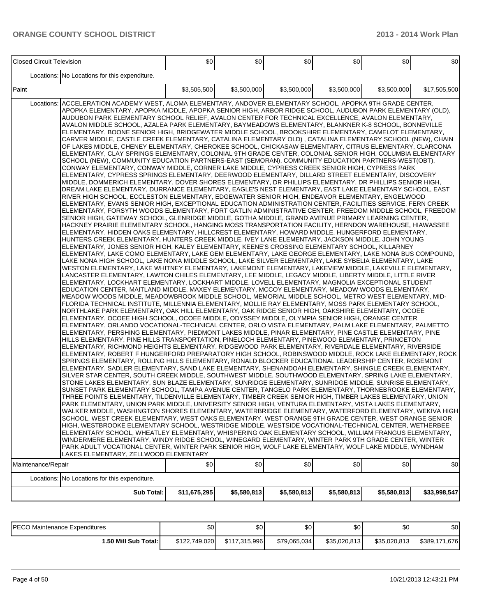| <b>Closed Circuit Television</b> |                                                                                                                                                                                                                                                                                                                                                                                                                                                                                                                                                                                                                                                                                                                                                                                                                                                                                                                                                                                                                                                                                                                                                                                                                                                                                                                                                                                                                                                                                                                                                                                                                                                                                                                                                                                                                                                                                                                                                                                                                                                                                                                                                                                                                                                                                                                                                                                                                                                                                                                                                                                                                                                                                                                                                                                                                                                                                                                                                                                                                                                                                                                                                                                                                                                                                                                                                                                                                                                                                                                                                                                                                                                                                                                                                                                                                                                                                                                                                                                                                                                                                                                                                                                                                                                                                                                                                                                                                                                                                                                                                                                                                                                                                                                                                                                                                                                                                                                                                                                                                                                                                                                                                                                                                                                                                                                                                       | \$0          | \$0         | 30          | \$0         | \$0         | \$0          |
|----------------------------------|-------------------------------------------------------------------------------------------------------------------------------------------------------------------------------------------------------------------------------------------------------------------------------------------------------------------------------------------------------------------------------------------------------------------------------------------------------------------------------------------------------------------------------------------------------------------------------------------------------------------------------------------------------------------------------------------------------------------------------------------------------------------------------------------------------------------------------------------------------------------------------------------------------------------------------------------------------------------------------------------------------------------------------------------------------------------------------------------------------------------------------------------------------------------------------------------------------------------------------------------------------------------------------------------------------------------------------------------------------------------------------------------------------------------------------------------------------------------------------------------------------------------------------------------------------------------------------------------------------------------------------------------------------------------------------------------------------------------------------------------------------------------------------------------------------------------------------------------------------------------------------------------------------------------------------------------------------------------------------------------------------------------------------------------------------------------------------------------------------------------------------------------------------------------------------------------------------------------------------------------------------------------------------------------------------------------------------------------------------------------------------------------------------------------------------------------------------------------------------------------------------------------------------------------------------------------------------------------------------------------------------------------------------------------------------------------------------------------------------------------------------------------------------------------------------------------------------------------------------------------------------------------------------------------------------------------------------------------------------------------------------------------------------------------------------------------------------------------------------------------------------------------------------------------------------------------------------------------------------------------------------------------------------------------------------------------------------------------------------------------------------------------------------------------------------------------------------------------------------------------------------------------------------------------------------------------------------------------------------------------------------------------------------------------------------------------------------------------------------------------------------------------------------------------------------------------------------------------------------------------------------------------------------------------------------------------------------------------------------------------------------------------------------------------------------------------------------------------------------------------------------------------------------------------------------------------------------------------------------------------------------------------------------------------------------------------------------------------------------------------------------------------------------------------------------------------------------------------------------------------------------------------------------------------------------------------------------------------------------------------------------------------------------------------------------------------------------------------------------------------------------------------------------------------------------------------------------------------------------------------------------------------------------------------------------------------------------------------------------------------------------------------------------------------------------------------------------------------------------------------------------------------------------------------------------------------------------------------------------------------------------------------------------------------------------------------------------------------------------|--------------|-------------|-------------|-------------|-------------|--------------|
|                                  | Locations: No Locations for this expenditure.                                                                                                                                                                                                                                                                                                                                                                                                                                                                                                                                                                                                                                                                                                                                                                                                                                                                                                                                                                                                                                                                                                                                                                                                                                                                                                                                                                                                                                                                                                                                                                                                                                                                                                                                                                                                                                                                                                                                                                                                                                                                                                                                                                                                                                                                                                                                                                                                                                                                                                                                                                                                                                                                                                                                                                                                                                                                                                                                                                                                                                                                                                                                                                                                                                                                                                                                                                                                                                                                                                                                                                                                                                                                                                                                                                                                                                                                                                                                                                                                                                                                                                                                                                                                                                                                                                                                                                                                                                                                                                                                                                                                                                                                                                                                                                                                                                                                                                                                                                                                                                                                                                                                                                                                                                                                                                         |              |             |             |             |             |              |
| Paint                            |                                                                                                                                                                                                                                                                                                                                                                                                                                                                                                                                                                                                                                                                                                                                                                                                                                                                                                                                                                                                                                                                                                                                                                                                                                                                                                                                                                                                                                                                                                                                                                                                                                                                                                                                                                                                                                                                                                                                                                                                                                                                                                                                                                                                                                                                                                                                                                                                                                                                                                                                                                                                                                                                                                                                                                                                                                                                                                                                                                                                                                                                                                                                                                                                                                                                                                                                                                                                                                                                                                                                                                                                                                                                                                                                                                                                                                                                                                                                                                                                                                                                                                                                                                                                                                                                                                                                                                                                                                                                                                                                                                                                                                                                                                                                                                                                                                                                                                                                                                                                                                                                                                                                                                                                                                                                                                                                                       | \$3,505,500  | \$3,500,000 | \$3,500,000 | \$3,500,000 | \$3,500,000 | \$17,505,500 |
| Locations:                       | ACCELERATION ACADEMY WEST, ALOMA ELEMENTARY, ANDOVER ELEMENTARY SCHOOL, APOPKA 9TH GRADE CENTER,<br>APOPKA ELEMENTARY, APOPKA MIDDLE, APOPKA SENIOR HIGH, ARBOR RIDGE SCHOOL, AUDUBON PARK ELEMENTARY (OLD),<br>AUDUBON PARK ELEMENTARY SCHOOL RELIEF, AVALON CENTER FOR TECHNICAL EXCELLENCE, AVALON ELEMENTARY,<br>AVALON MIDDLE SCHOOL, AZALEA PARK ELEMENTARY, BAYMEADOWS ELEMENTARY, BLANKNER K-8 SCHOOL, BONNEVILLE<br>ELEMENTARY, BOONE SENIOR HIGH, BRIDGEWATER MIDDLE SCHOOL, BROOKSHIRE ELEMENTARY, CAMELOT ELEMENTARY,<br>CARVER MIDDLE, CASTLE CREEK ELEMENTARY, CATALINA ELEMENTARY OLD), CATALINA ELEMENTARY SCHOOL (NEW), CHAIN<br>OF LAKES MIDDLE, CHENEY ELEMENTARY, CHEROKEE SCHOOL, CHICKASAW ELEMENTARY, CITRUS ELEMENTARY, CLARCONA<br>ELEMENTARY, CLAY SPRINGS ELEMENTARY, COLONIAL 9TH GRADE CENTER, COLONIAL SENIOR HIGH, COLUMBIA ELEMENTARY<br>SCHOOL (NEW), COMMUNITY EDUCATION PARTNERS-EAST (SEMORAN), COMMUNITY EDUCATION PARTNERS-WEST(OBT),<br>CONWAY ELEMENTARY, CONWAY MIDDLE, CORNER LAKE MIDDLE, CYPRESS CREEK SENIOR HIGH, CYPRESS PARK<br>ELEMENTARY, CYPRESS SPRINGS ELEMENTARY, DEERWOOD ELEMENTARY, DILLARD STREET ELEMENTARY, DISCOVERY<br>MIDDLE, DOMMERICH ELEMENTARY, DOVER SHORES ELEMENTARY, DR PHILLIPS ELEMENTARY, DR PHILLIPS SENIOR HIGH,<br>DREAM LAKE ELEMENTARY, DURRANCE ELEMENTARY, EAGLE'S NEST ELEMENTARY, EAST LAKE ELEMENTARY SCHOOL, EAST<br>RIVER HIGH SCHOOL, ECCLESTON ELEMENTARY, EDGEWATER SENIOR HIGH, ENDEAVOR ELEMENTARY, ENGELWOOD<br>ELEMENTARY, EVANS SENIOR HIGH, EXCEPTIONAL EDUCATION ADMINISTRATION CENTER, FACILITIES SERVICE, FERN CREEK<br>IELEMENTARY, FORSYTH WOODS ELEMENTARY, FORT GATLIN ADMINISTRATIVE CENTER, FREEDOM MIDDLE SCHOOL, FREEDOM<br>SENIOR HIGH, GATEWAY SCHOOL, GLENRIDGE MIDDLE, GOTHA MIDDLE, GRAND AVENUE PRIMARY LEARNING CENTER,<br>HACKNEY PRAIRIE ELEMENTARY SCHOOL, HANGING MOSS TRANSPORTATION FACILITY, HERNDON WAREHOUSE, HIAWASSEE<br>ELEMENTARY, HIDDEN OAKS ELEMENTARY, HILLCREST ELEMENTARY, HOWARD MIDDLE, HUNGERFORD ELEMENTARY,<br>HUNTERS CREEK ELEMENTARY, HUNTERS CREEK MIDDLE, IVEY LANE ELEMENTARY, JACKSON MIDDLE, JOHN YOUNG<br>ELEMENTARY, JONES SENIOR HIGH, KALEY ELEMENTARY, KEENE'S CROSSING ELEMENTARY SCHOOL, KILLARNEY<br>ELEMENTARY, LAKE COMO ELEMENTARY, LAKE GEM ELEMENTARY, LAKE GEORGE ELEMENTARY, LAKE NONA BUS COMPOUND,<br>LAKE NONA HIGH SCHOOL, LAKE NONA MIDDLE SCHOOL, LAKE SILVER ELEMENTARY, LAKE SYBELIA ELEMENTARY, LAKE<br>WESTON ELEMENTARY, LAKE WHITNEY ELEMENTARY, LAKEMONT ELEMENTARY, LAKEVIEW MIDDLE, LAKEVILLE ELEMENTARY,<br>LANCASTER ELEMENTARY. LAWTON CHILES ELEMENTARY. LEE MIDDLE. LEGACY MIDDLE. LIBERTY MIDDLE. LITTLE RIVER<br>ELEMENTARY, LOCKHART ELEMENTARY, LOCKHART MIDDLE, LOVELL ELEMENTARY, MAGNOLIA EXCEPTIONAL STUDENT<br>EDUCATION CENTER, MAITLAND MIDDLE, MAXEY ELEMENTARY, MCCOY ELEMENTARY, MEADOW WOODS ELEMENTARY,<br>MEADOW WOODS MIDDLE, MEADOWBROOK MIDDLE SCHOOL, MEMORIAL MIDDLE SCHOOL, METRO WEST ELEMENTARY, MID-<br>FLORIDA TECHNICAL INSTITUTE, MILLENNIA ELEMENTARY, MOLLIE RAY ELEMENTARY, MOSS PARK ELEMENTARY SCHOOL,<br>NORTHLAKE PARK ELEMENTARY, OAK HILL ELEMENTARY, OAK RIDGE SENIOR HIGH, OAKSHIRE ELEMENTARY, OCOEE<br>ELEMENTARY, OCOEE HIGH SCHOOL, OCOEE MIDDLE, ODYSSEY MIDDLE, OLYMPIA SENIOR HIGH, ORANGE CENTER<br>ELEMENTARY, ORLANDO VOCATIONAL-TECHNICAL CENTER, ORLO VISTA ELEMENTARY, PALM LAKE ELEMENTARY, PALMETTO<br>ELEMENTARY, PERSHING ELEMENTARY, PIEDMONT LAKES MIDDLE, PINAR ELEMENTARY, PINE CASTLE ELEMENTARY, PINE<br>HILLS ELEMENTARY, PINE HILLS TRANSPORTATION, PINELOCH ELEMENTARY, PINEWOOD ELEMENTARY, PRINCETON<br>ELEMENTARY, RICHMOND HEIGHTS ELEMENTARY, RIDGEWOOD PARK ELEMENTARY, RIVERDALE ELEMENTARY, RIVERSIDE<br>ELEMENTARY, ROBERT F HUNGERFORD PREPARATORY HIGH SCHOOL, ROBINSWOOD MIDDLE, ROCK LAKE ELEMENTARY, ROCK<br>SPRINGS ELEMENTARY, ROLLING HILLS ELEMENTARY, RONALD BLOCKER EDUCATIONAL LEADERSHIP CENTER, ROSEMONT<br>ELEMENTARY, SADLER ELEMENTARY, SAND LAKE ELEMENTARY, SHENANDOAH ELEMENTARY, SHINGLE CREEK ELEMENTARY,<br>SILVER STAR CENTER, SOUTH CREEK MIDDLE, SOUTHWEST MIDDLE, SOUTHWOOD ELEMENTARY, SPRING LAKE ELEMENTARY,<br>STONE LAKES ELEMENTARY, SUN BLAZE ELEMENTARY, SUNRIDGE ELEMENTARY, SUNRIDGE MIDDLE, SUNRISE ELEMENTARY,<br>SUNSET PARK ELEMENTARY SCHOOL, TAMPA AVENUE CENTER, TANGELO PARK ELEMENTARY, THORNEBROOKE ELEMENTARY,<br>THREE POINTS ELEMENTARY, TILDENVILLE ELEMENTARY, TIMBER CREEK SENIOR HIGH, TIMBER LAKES ELEMENTARY, UNION<br>PARK ELEMENTARY, UNION PARK MIDDLE, UNIVERSITY SENIOR HIGH, VENTURA ELEMENTARY, VISTA LAKES ELEMENTARY,<br>WALKER MIDDLE, WASHINGTON SHORES ELEMENTARY, WATERBRIDGE ELEMENTARY, WATERFORD ELEMENTARY, WEKIVA HIGH<br>SCHOOL, WEST CREEK ELEMENTARY, WEST OAKS ELEMENTARY, WEST ORANGE 9TH GRADE CENTER, WEST ORANGE SENIOR<br>HIGH, WESTBROOKE ELEMENTARY SCHOOL, WESTRIDGE MIDDLE, WESTSIDE VOCATIONAL-TECHNICAL CENTER, WETHERBEE<br>ELEMENTARY SCHOOL, WHEATLEY ELEMENTARY, WHISPERING OAK ELEMENTARY SCHOOL, WILLIAM FRANGUS ELEMENTARY,<br>WINDERMERE ELEMENTARY, WINDY RIDGE SCHOOL, WINEGARD ELEMENTARY, WINTER PARK 9TH GRADE CENTER, WINTER<br>PARK ADULT VOCATIONAL CENTER, WINTER PARK SENIOR HIGH, WOLF LAKE ELEMENTARY, WOLF LAKE MIDDLE, WYNDHAM<br>LAKES ELEMENTARY, ZELLWOOD ELEMENTARY |              |             |             |             |             |              |
| Maintenance/Repair               |                                                                                                                                                                                                                                                                                                                                                                                                                                                                                                                                                                                                                                                                                                                                                                                                                                                                                                                                                                                                                                                                                                                                                                                                                                                                                                                                                                                                                                                                                                                                                                                                                                                                                                                                                                                                                                                                                                                                                                                                                                                                                                                                                                                                                                                                                                                                                                                                                                                                                                                                                                                                                                                                                                                                                                                                                                                                                                                                                                                                                                                                                                                                                                                                                                                                                                                                                                                                                                                                                                                                                                                                                                                                                                                                                                                                                                                                                                                                                                                                                                                                                                                                                                                                                                                                                                                                                                                                                                                                                                                                                                                                                                                                                                                                                                                                                                                                                                                                                                                                                                                                                                                                                                                                                                                                                                                                                       | \$0          | \$0         | \$0         | \$0         | \$0         | \$0          |
|                                  | Locations: No Locations for this expenditure.                                                                                                                                                                                                                                                                                                                                                                                                                                                                                                                                                                                                                                                                                                                                                                                                                                                                                                                                                                                                                                                                                                                                                                                                                                                                                                                                                                                                                                                                                                                                                                                                                                                                                                                                                                                                                                                                                                                                                                                                                                                                                                                                                                                                                                                                                                                                                                                                                                                                                                                                                                                                                                                                                                                                                                                                                                                                                                                                                                                                                                                                                                                                                                                                                                                                                                                                                                                                                                                                                                                                                                                                                                                                                                                                                                                                                                                                                                                                                                                                                                                                                                                                                                                                                                                                                                                                                                                                                                                                                                                                                                                                                                                                                                                                                                                                                                                                                                                                                                                                                                                                                                                                                                                                                                                                                                         |              |             |             |             |             |              |
|                                  | <b>Sub Total:</b>                                                                                                                                                                                                                                                                                                                                                                                                                                                                                                                                                                                                                                                                                                                                                                                                                                                                                                                                                                                                                                                                                                                                                                                                                                                                                                                                                                                                                                                                                                                                                                                                                                                                                                                                                                                                                                                                                                                                                                                                                                                                                                                                                                                                                                                                                                                                                                                                                                                                                                                                                                                                                                                                                                                                                                                                                                                                                                                                                                                                                                                                                                                                                                                                                                                                                                                                                                                                                                                                                                                                                                                                                                                                                                                                                                                                                                                                                                                                                                                                                                                                                                                                                                                                                                                                                                                                                                                                                                                                                                                                                                                                                                                                                                                                                                                                                                                                                                                                                                                                                                                                                                                                                                                                                                                                                                                                     | \$11,675,295 | \$5,580,813 | \$5,580,813 | \$5,580,813 | \$5,580,813 | \$33,998,547 |

| <b>IPECO Maintenance Expenditures</b> | ሶሳ<br>ъU      | ΦΩ<br>ΦU      | \$0          | \$0          | \$0          | \$0                 |
|---------------------------------------|---------------|---------------|--------------|--------------|--------------|---------------------|
| I.50 Mill Sub Total: I                | \$122,749,020 | \$117.315.996 | \$79.065.034 | \$35.020.813 | \$35,020,813 | \$389.1<br>,171,676 |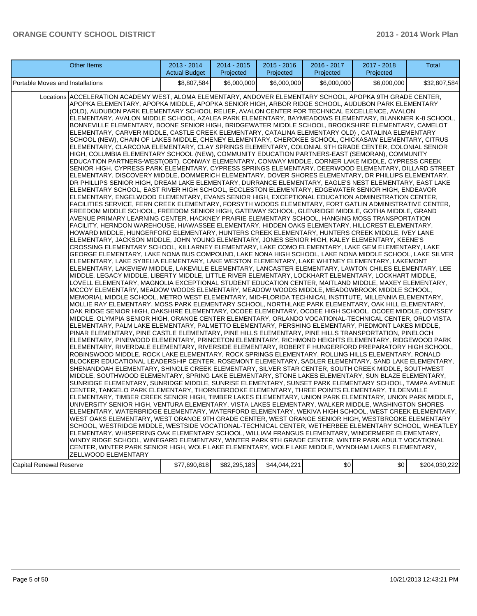| <b>Other Items</b>                                                                                                                                                                                                                                                                                                                                                                                                                                                                                                                                                                                                                                                                                                                                                                                                                                                                                                                                                                                                                                                                                                                                                                                                                                                                                                                                                                                                                                                                                                                                                                                                                                                                                                                                                                                                                                                                                                                                                                                                                                                                                                                                                                                                                                                                                                                                                                                                                                                                                                                                                                                                                                                                                                                                                                                                                                                                                                                                                                                                                                                                                                                                                                                                                                                                                                                                                                                                                                                                                                                                                                                                                                                                                                                                                                                                                                                                                                                                                                                                                                                                                                                                                                                                                                                                                                                                                                                                                                                                                                                                                                                                                                                                                                                                                                                                                                                                                                                                                                                                                                                                                                                                                                                                                                                                                                                                                                                 | 2013 - 2014<br><b>Actual Budget</b> | 2014 - 2015<br>Projected | $2015 - 2016$<br>Projected | 2016 - 2017<br>Projected | 2017 - 2018<br>Projected | Total         |
|----------------------------------------------------------------------------------------------------------------------------------------------------------------------------------------------------------------------------------------------------------------------------------------------------------------------------------------------------------------------------------------------------------------------------------------------------------------------------------------------------------------------------------------------------------------------------------------------------------------------------------------------------------------------------------------------------------------------------------------------------------------------------------------------------------------------------------------------------------------------------------------------------------------------------------------------------------------------------------------------------------------------------------------------------------------------------------------------------------------------------------------------------------------------------------------------------------------------------------------------------------------------------------------------------------------------------------------------------------------------------------------------------------------------------------------------------------------------------------------------------------------------------------------------------------------------------------------------------------------------------------------------------------------------------------------------------------------------------------------------------------------------------------------------------------------------------------------------------------------------------------------------------------------------------------------------------------------------------------------------------------------------------------------------------------------------------------------------------------------------------------------------------------------------------------------------------------------------------------------------------------------------------------------------------------------------------------------------------------------------------------------------------------------------------------------------------------------------------------------------------------------------------------------------------------------------------------------------------------------------------------------------------------------------------------------------------------------------------------------------------------------------------------------------------------------------------------------------------------------------------------------------------------------------------------------------------------------------------------------------------------------------------------------------------------------------------------------------------------------------------------------------------------------------------------------------------------------------------------------------------------------------------------------------------------------------------------------------------------------------------------------------------------------------------------------------------------------------------------------------------------------------------------------------------------------------------------------------------------------------------------------------------------------------------------------------------------------------------------------------------------------------------------------------------------------------------------------------------------------------------------------------------------------------------------------------------------------------------------------------------------------------------------------------------------------------------------------------------------------------------------------------------------------------------------------------------------------------------------------------------------------------------------------------------------------------------------------------------------------------------------------------------------------------------------------------------------------------------------------------------------------------------------------------------------------------------------------------------------------------------------------------------------------------------------------------------------------------------------------------------------------------------------------------------------------------------------------------------------------------------------------------------------------------------------------------------------------------------------------------------------------------------------------------------------------------------------------------------------------------------------------------------------------------------------------------------------------------------------------------------------------------------------------------------------------------------------------------------------------------------------------------------|-------------------------------------|--------------------------|----------------------------|--------------------------|--------------------------|---------------|
| Portable Moves and Installations                                                                                                                                                                                                                                                                                                                                                                                                                                                                                                                                                                                                                                                                                                                                                                                                                                                                                                                                                                                                                                                                                                                                                                                                                                                                                                                                                                                                                                                                                                                                                                                                                                                                                                                                                                                                                                                                                                                                                                                                                                                                                                                                                                                                                                                                                                                                                                                                                                                                                                                                                                                                                                                                                                                                                                                                                                                                                                                                                                                                                                                                                                                                                                                                                                                                                                                                                                                                                                                                                                                                                                                                                                                                                                                                                                                                                                                                                                                                                                                                                                                                                                                                                                                                                                                                                                                                                                                                                                                                                                                                                                                                                                                                                                                                                                                                                                                                                                                                                                                                                                                                                                                                                                                                                                                                                                                                                                   | \$8,807,584                         | \$6,000,000              | \$6,000,000                | \$6,000,000              | \$6,000,000              | \$32,807,584  |
| Locations ACCELERATION ACADEMY WEST, ALOMA ELEMENTARY, ANDOVER ELEMENTARY SCHOOL, APOPKA 9TH GRADE CENTER,<br>APOPKA ELEMENTARY, APOPKA MIDDLE, APOPKA SENIOR HIGH, ARBOR RIDGE SCHOOL, AUDUBON PARK ELEMENTARY<br>(OLD), AUDUBON PARK ELEMENTARY SCHOOL RELIEF, AVALON CENTER FOR TECHNICAL EXCELLENCE, AVALON<br>ELEMENTARY, AVALON MIDDLE SCHOOL, AZALEA PARK ELEMENTARY, BAYMEADOWS ELEMENTARY, BLANKNER K-8 SCHOOL,<br>BONNEVILLE ELEMENTARY, BOONE SENIOR HIGH, BRIDGEWATER MIDDLE SCHOOL, BROOKSHIRE ELEMENTARY, CAMELOT<br>ELEMENTARY, CARVER MIDDLE, CASTLE CREEK ELEMENTARY, CATALINA ELEMENTARY OLD), CATALINA ELEMENTARY<br>SCHOOL (NEW), CHAIN OF LAKES MIDDLE, CHENEY ELEMENTARY, CHEROKEE SCHOOL, CHICKASAW ELEMENTARY, CITRUS<br>ELEMENTARY, CLARCONA ELEMENTARY, CLAY SPRINGS ELEMENTARY, COLONIAL 9TH GRADE CENTER, COLONIAL SENIOR<br>HIGH, COLUMBIA ELEMENTARY SCHOOL (NEW), COMMUNITY EDUCATION PARTNERS-EAST (SEMORAN), COMMUNITY<br>EDUCATION PARTNERS-WEST(OBT), CONWAY ELEMENTARY, CONWAY MIDDLE, CORNER LAKE MIDDLE, CYPRESS CREEK<br>SENIOR HIGH, CYPRESS PARK ELEMENTARY, CYPRESS SPRINGS ELEMENTARY, DEERWOOD ELEMENTARY, DILLARD STREET<br>ELEMENTARY, DISCOVERY MIDDLE, DOMMERICH ELEMENTARY, DOVER SHORES ELEMENTARY, DR PHILLIPS ELEMENTARY,<br>DR PHILLIPS SENIOR HIGH, DREAM LAKE ELEMENTARY, DURRANCE ELEMENTARY, EAGLE'S NEST ELEMENTARY, EAST LAKE<br>ELEMENTARY SCHOOL, EAST RIVER HIGH SCHOOL, ECCLESTON ELEMENTARY, EDGEWATER SENIOR HIGH, ENDEAVOR<br>ELEMENTARY, ENGELWOOD ELEMENTARY, EVANS SENIOR HIGH, EXCEPTIONAL EDUCATION ADMINISTRATION CENTER,<br>FACILITIES SERVICE, FERN CREEK ELEMENTARY, FORSYTH WOODS ELEMENTARY, FORT GATLIN ADMINISTRATIVE CENTER,<br>FREEDOM MIDDLE SCHOOL, FREEDOM SENIOR HIGH, GATEWAY SCHOOL, GLENRIDGE MIDDLE, GOTHA MIDDLE, GRAND<br>AVENUE PRIMARY LEARNING CENTER, HACKNEY PRAIRIE ELEMENTARY SCHOOL, HANGING MOSS TRANSPORTATION<br>FACILITY, HERNDON WAREHOUSE, HIAWASSEE ELEMENTARY, HIDDEN OAKS ELEMENTARY, HILLCREST ELEMENTARY,<br>HOWARD MIDDLE, HUNGERFORD ELEMENTARY, HUNTERS CREEK ELEMENTARY, HUNTERS CREEK MIDDLE, IVEY LANE<br>ELEMENTARY, JACKSON MIDDLE, JOHN YOUNG ELEMENTARY, JONES SENIOR HIGH, KALEY ELEMENTARY, KEENE'S<br>CROSSING ELEMENTARY SCHOOL, KILLARNEY ELEMENTARY, LAKE COMO ELEMENTARY, LAKE GEM ELEMENTARY, LAKE<br>GEORGE ELEMENTARY, LAKE NONA BUS COMPOUND, LAKE NONA HIGH SCHOOL, LAKE NONA MIDDLE SCHOOL, LAKE SILVER<br>ELEMENTARY, LAKE SYBELIA ELEMENTARY, LAKE WESTON ELEMENTARY, LAKE WHITNEY ELEMENTARY, LAKEMONT<br>ELEMENTARY, LAKEVIEW MIDDLE, LAKEVILLE ELEMENTARY, LANCASTER ELEMENTARY, LAWTON CHILES ELEMENTARY, LEE<br>MIDDLE, LEGACY MIDDLE, LIBERTY MIDDLE, LITTLE RIVER ELEMENTARY, LOCKHART ELEMENTARY, LOCKHART MIDDLE,<br>LOVELL ELEMENTARY, MAGNOLIA EXCEPTIONAL STUDENT EDUCATION CENTER, MAITLAND MIDDLE, MAXEY ELEMENTARY,<br>MCCOY ELEMENTARY, MEADOW WOODS ELEMENTARY, MEADOW WOODS MIDDLE, MEADOWBROOK MIDDLE SCHOOL,<br>MEMORIAL MIDDLE SCHOOL, METRO WEST ELEMENTARY, MID-FLORIDA TECHNICAL INSTITUTE, MILLENNIA ELEMENTARY,<br>MOLLIE RAY ELEMENTARY, MOSS PARK ELEMENTARY SCHOOL, NORTHLAKE PARK ELEMENTARY, OAK HILL ELEMENTARY,<br>OAK RIDGE SENIOR HIGH, OAKSHIRE ELEMENTARY, OCOEE ELEMENTARY, OCOEE HIGH SCHOOL, OCOEE MIDDLE, ODYSSEY<br>MIDDLE, OLYMPIA SENIOR HIGH, ORANGE CENTER ELEMENTARY, ORLANDO VOCATIONAL-TECHNICAL CENTER, ORLO VISTA<br>ELEMENTARY, PALM LAKE ELEMENTARY, PALMETTO ELEMENTARY, PERSHING ELEMENTARY, PIEDMONT LAKES MIDDLE,<br>PINAR ELEMENTARY, PINE CASTLE ELEMENTARY, PINE HILLS ELEMENTARY, PINE HILLS TRANSPORTATION, PINELOCH<br>ELEMENTARY, PINEWOOD ELEMENTARY, PRINCETON ELEMENTARY, RICHMOND HEIGHTS ELEMENTARY, RIDGEWOOD PARK<br>ELEMENTARY, RIVERDALE ELEMENTARY, RIVERSIDE ELEMENTARY, ROBERT F HUNGERFORD PREPARATORY HIGH SCHOOL,<br>ROBINSWOOD MIDDLE, ROCK LAKE ELEMENTARY, ROCK SPRINGS ELEMENTARY, ROLLING HILLS ELEMENTARY, RONALD<br>BLOCKER EDUCATIONAL LEADERSHIP CENTER, ROSEMONT ELEMENTARY, SADLER ELEMENTARY, SAND LAKE ELEMENTARY,<br>SHENANDOAH ELEMENTARY, SHINGLE CREEK ELEMENTARY, SILVER STAR CENTER, SOUTH CREEK MIDDLE, SOUTHWEST<br>MIDDLE, SOUTHWOOD ELEMENTARY, SPRING LAKE ELEMENTARY, STONE LAKES ELEMENTARY, SUN BLAZE ELEMENTARY,<br>SUNRIDGE ELEMENTARY, SUNRIDGE MIDDLE, SUNRISE ELEMENTARY, SUNSET PARK ELEMENTARY SCHOOL, TAMPA AVENUE<br>CENTER, TANGELO PARK ELEMENTARY, THORNEBROOKE ELEMENTARY, THREE POINTS ELEMENTARY, TILDENVILLE<br>ELEMENTARY, TIMBER CREEK SENIOR HIGH, TIMBER LAKES ELEMENTARY, UNION PARK ELEMENTARY, UNION PARK MIDDLE,<br>UNIVERSITY SENIOR HIGH, VENTURA ELEMENTARY, VISTA LAKES ELEMENTARY, WALKER MIDDLE, WASHINGTON SHORES<br>ELEMENTARY, WATERBRIDGE ELEMENTARY, WATERFORD ELEMENTARY, WEKIVA HIGH SCHOOL, WEST CREEK ELEMENTARY,<br>WEST OAKS ELEMENTARY, WEST ORANGE 9TH GRADE CENTER, WEST ORANGE SENIOR HIGH, WESTBROOKE ELEMENTARY<br>SCHOOL, WESTRIDGE MIDDLE, WESTSIDE VOCATIONAL-TECHNICAL CENTER, WETHERBEE ELEMENTARY SCHOOL, WHEATLEY<br>ELEMENTARY, WHISPERING OAK ELEMENTARY SCHOOL, WILLIAM FRANGUS ELEMENTARY, WINDERMERE ELEMENTARY,<br>WINDY RIDGE SCHOOL, WINEGARD ELEMENTARY, WINTER PARK 9TH GRADE CENTER, WINTER PARK ADULT VOCATIONAL<br>CENTER, WINTER PARK SENIOR HIGH, WOLF LAKE ELEMENTARY, WOLF LAKE MIDDLE, WYNDHAM LAKES ELEMENTARY,<br>ZELLWOOD ELEMENTARY<br><b>Capital Renewal Reserve</b> | \$77,690,818                        | \$82,295,183             | \$44,044,221               | \$0                      | \$0                      | \$204,030,222 |
|                                                                                                                                                                                                                                                                                                                                                                                                                                                                                                                                                                                                                                                                                                                                                                                                                                                                                                                                                                                                                                                                                                                                                                                                                                                                                                                                                                                                                                                                                                                                                                                                                                                                                                                                                                                                                                                                                                                                                                                                                                                                                                                                                                                                                                                                                                                                                                                                                                                                                                                                                                                                                                                                                                                                                                                                                                                                                                                                                                                                                                                                                                                                                                                                                                                                                                                                                                                                                                                                                                                                                                                                                                                                                                                                                                                                                                                                                                                                                                                                                                                                                                                                                                                                                                                                                                                                                                                                                                                                                                                                                                                                                                                                                                                                                                                                                                                                                                                                                                                                                                                                                                                                                                                                                                                                                                                                                                                                    |                                     |                          |                            |                          |                          |               |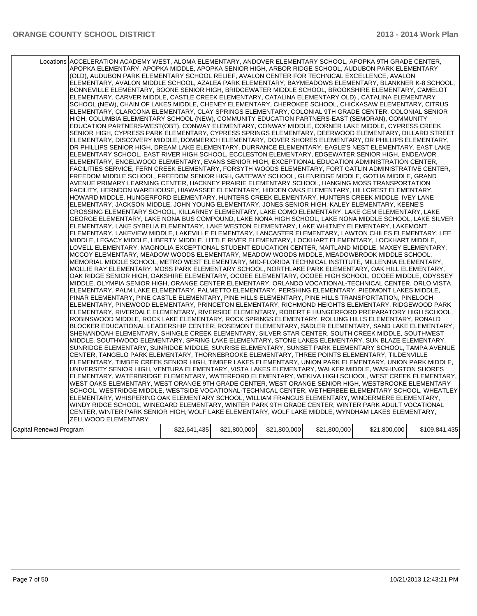| Capital Renewal Program | Locations ACCELERATION ACADEMY WEST, ALOMA ELEMENTARY, ANDOVER ELEMENTARY SCHOOL, APOPKA 9TH GRADE CENTER,<br>APOPKA ELEMENTARY, APOPKA MIDDLE, APOPKA SENIOR HIGH, ARBOR RIDGE SCHOOL, AUDUBON PARK ELEMENTARY<br>(OLD), AUDUBON PARK ELEMENTARY SCHOOL RELIEF, AVALON CENTER FOR TECHNICAL EXCELLENCE, AVALON<br>ELEMENTARY, AVALON MIDDLE SCHOOL, AZALEA PARK ELEMENTARY, BAYMEADOWS ELEMENTARY, BLANKNER K-8 SCHOOL,<br>BONNEVILLE ELEMENTARY, BOONE SENIOR HIGH, BRIDGEWATER MIDDLE SCHOOL, BROOKSHIRE ELEMENTARY, CAMELOT<br>ELEMENTARY, CARVER MIDDLE, CASTLE CREEK ELEMENTARY, CATALINA ELEMENTARY OLD), CATALINA ELEMENTARY<br>SCHOOL (NEW), CHAIN OF LAKES MIDDLE, CHENEY ELEMENTARY, CHEROKEE SCHOOL, CHICKASAW ELEMENTARY, CITRUS<br>ELEMENTARY, CLARCONA ELEMENTARY, CLAY SPRINGS ELEMENTARY, COLONIAL 9TH GRADE CENTER, COLONIAL SENIOR<br>HIGH, COLUMBIA ELEMENTARY SCHOOL (NEW), COMMUNITY EDUCATION PARTNERS-EAST (SEMORAN), COMMUNITY<br>EDUCATION PARTNERS-WEST(OBT), CONWAY ELEMENTARY, CONWAY MIDDLE, CORNER LAKE MIDDLE, CYPRESS CREEK<br>SENIOR HIGH, CYPRESS PARK ELEMENTARY, CYPRESS SPRINGS ELEMENTARY, DEERWOOD ELEMENTARY, DILLARD STREET<br>ELEMENTARY, DISCOVERY MIDDLE, DOMMERICH ELEMENTARY, DOVER SHORES ELEMENTARY, DR PHILLIPS ELEMENTARY,<br>DR PHILLIPS SENIOR HIGH, DREAM LAKE ELEMENTARY, DURRANCE ELEMENTARY, EAGLE'S NEST ELEMENTARY, EAST LAKE<br>ELEMENTARY SCHOOL, EAST RIVER HIGH SCHOOL, ECCLESTON ELEMENTARY, EDGEWATER SENIOR HIGH, ENDEAVOR<br>ELEMENTARY, ENGELWOOD ELEMENTARY, EVANS SENIOR HIGH, EXCEPTIONAL EDUCATION ADMINISTRATION CENTER,<br>FACILITIES SERVICE, FERN CREEK ELEMENTARY, FORSYTH WOODS ELEMENTARY, FORT GATLIN ADMINISTRATIVE CENTER,<br>FREEDOM MIDDLE SCHOOL, FREEDOM SENIOR HIGH, GATEWAY SCHOOL, GLENRIDGE MIDDLE, GOTHA MIDDLE, GRAND<br>AVENUE PRIMARY LEARNING CENTER, HACKNEY PRAIRIE ELEMENTARY SCHOOL, HANGING MOSS TRANSPORTATION<br>FACILITY, HERNDON WAREHOUSE, HIAWASSEE ELEMENTARY, HIDDEN OAKS ELEMENTARY, HILLCREST ELEMENTARY,<br>HOWARD MIDDLE, HUNGERFORD ELEMENTARY, HUNTERS CREEK ELEMENTARY, HUNTERS CREEK MIDDLE, IVEY LANE<br>ELEMENTARY, JACKSON MIDDLE, JOHN YOUNG ELEMENTARY, JONES SENIOR HIGH, KALEY ELEMENTARY, KEENE'S<br>CROSSING ELEMENTARY SCHOOL, KILLARNEY ELEMENTARY, LAKE COMO ELEMENTARY, LAKE GEM ELEMENTARY, LAKE<br>GEORGE ELEMENTARY, LAKE NONA BUS COMPOUND, LAKE NONA HIGH SCHOOL, LAKE NONA MIDDLE SCHOOL, LAKE SILVER<br>ELEMENTARY, LAKE SYBELIA ELEMENTARY, LAKE WESTON ELEMENTARY, LAKE WHITNEY ELEMENTARY, LAKEMONT<br>ELEMENTARY, LAKEVIEW MIDDLE, LAKEVILLE ELEMENTARY, LANCASTER ELEMENTARY, LAWTON CHILES ELEMENTARY, LEE<br>MIDDLE, LEGACY MIDDLE, LIBERTY MIDDLE, LITTLE RIVER ELEMENTARY, LOCKHART ELEMENTARY, LOCKHART MIDDLE,<br>LOVELL ELEMENTARY, MAGNOLIA EXCEPTIONAL STUDENT EDUCATION CENTER, MAITLAND MIDDLE, MAXEY ELEMENTARY,<br>MCCOY ELEMENTARY, MEADOW WOODS ELEMENTARY, MEADOW WOODS MIDDLE, MEADOWBROOK MIDDLE SCHOOL,<br>MEMORIAL MIDDLE SCHOOL. METRO WEST ELEMENTARY. MID-FLORIDA TECHNICAL INSTITUTE. MILLENNIA ELEMENTARY.<br>MOLLIE RAY ELEMENTARY, MOSS PARK ELEMENTARY SCHOOL, NORTHLAKE PARK ELEMENTARY, OAK HILL ELEMENTARY,<br>OAK RIDGE SENIOR HIGH, OAKSHIRE ELEMENTARY, OCOEE ELEMENTARY, OCOEE HIGH SCHOOL, OCOEE MIDDLE, ODYSSEY<br>MIDDLE, OLYMPIA SENIOR HIGH, ORANGE CENTER ELEMENTARY, ORLANDO VOCATIONAL-TECHNICAL CENTER, ORLO VISTA<br>ELEMENTARY, PALM LAKE ELEMENTARY, PALMETTO ELEMENTARY, PERSHING ELEMENTARY, PIEDMONT LAKES MIDDLE,<br>PINAR ELEMENTARY, PINE CASTLE ELEMENTARY, PINE HILLS ELEMENTARY, PINE HILLS TRANSPORTATION, PINELOCH<br>ELEMENTARY, PINEWOOD ELEMENTARY, PRINCETON ELEMENTARY, RICHMOND HEIGHTS ELEMENTARY, RIDGEWOOD PARK<br>ELEMENTARY, RIVERDALE ELEMENTARY, RIVERSIDE ELEMENTARY, ROBERT F HUNGERFORD PREPARATORY HIGH SCHOOL,<br>ROBINSWOOD MIDDLE, ROCK LAKE ELEMENTARY, ROCK SPRINGS ELEMENTARY, ROLLING HILLS ELEMENTARY, RONALD<br>BLOCKER EDUCATIONAL LEADERSHIP CENTER, ROSEMONT ELEMENTARY, SADLER ELEMENTARY, SAND LAKE ELEMENTARY,<br>SHENANDOAH ELEMENTARY, SHINGLE CREEK ELEMENTARY, SILVER STAR CENTER, SOUTH CREEK MIDDLE, SOUTHWEST<br>MIDDLE, SOUTHWOOD ELEMENTARY, SPRING LAKE ELEMENTARY, STONE LAKES ELEMENTARY, SUN BLAZE ELEMENTARY,<br>SUNRIDGE ELEMENTARY, SUNRIDGE MIDDLE, SUNRISE ELEMENTARY, SUNSET PARK ELEMENTARY SCHOOL, TAMPA AVENUE<br>CENTER, TANGELO PARK ELEMENTARY, THORNEBROOKE ELEMENTARY, THREE POINTS ELEMENTARY, TILDENVILLE<br>ELEMENTARY, TIMBER CREEK SENIOR HIGH, TIMBER LAKES ELEMENTARY, UNION PARK ELEMENTARY, UNION PARK MIDDLE,<br>UNIVERSITY SENIOR HIGH, VENTURA ELEMENTARY, VISTA LAKES ELEMENTARY, WALKER MIDDLE, WASHINGTON SHORES<br>ELEMENTARY, WATERBRIDGE ELEMENTARY, WATERFORD ELEMENTARY, WEKIVA HIGH SCHOOL, WEST CREEK ELEMENTARY,<br>WEST OAKS ELEMENTARY, WEST ORANGE 9TH GRADE CENTER, WEST ORANGE SENIOR HIGH, WESTBROOKE ELEMENTARY<br>SCHOOL, WESTRIDGE MIDDLE, WESTSIDE VOCATIONAL-TECHNICAL CENTER, WETHERBEE ELEMENTARY SCHOOL, WHEATLEY<br>ELEMENTARY, WHISPERING OAK ELEMENTARY SCHOOL, WILLIAM FRANGUS ELEMENTARY, WINDERMERE ELEMENTARY,<br>WINDY RIDGE SCHOOL, WINEGARD ELEMENTARY, WINTER PARK 9TH GRADE CENTER, WINTER PARK ADULT VOCATIONAL<br>CENTER, WINTER PARK SENIOR HIGH, WOLF LAKE ELEMENTARY, WOLF LAKE MIDDLE, WYNDHAM LAKES ELEMENTARY,<br>ZELLWOOD ELEMENTARY | \$22,641,435 | \$21,800,000 | \$21,800,000 | \$21,800,000 | \$21,800,000 | \$109,841,435 |
|-------------------------|------------------------------------------------------------------------------------------------------------------------------------------------------------------------------------------------------------------------------------------------------------------------------------------------------------------------------------------------------------------------------------------------------------------------------------------------------------------------------------------------------------------------------------------------------------------------------------------------------------------------------------------------------------------------------------------------------------------------------------------------------------------------------------------------------------------------------------------------------------------------------------------------------------------------------------------------------------------------------------------------------------------------------------------------------------------------------------------------------------------------------------------------------------------------------------------------------------------------------------------------------------------------------------------------------------------------------------------------------------------------------------------------------------------------------------------------------------------------------------------------------------------------------------------------------------------------------------------------------------------------------------------------------------------------------------------------------------------------------------------------------------------------------------------------------------------------------------------------------------------------------------------------------------------------------------------------------------------------------------------------------------------------------------------------------------------------------------------------------------------------------------------------------------------------------------------------------------------------------------------------------------------------------------------------------------------------------------------------------------------------------------------------------------------------------------------------------------------------------------------------------------------------------------------------------------------------------------------------------------------------------------------------------------------------------------------------------------------------------------------------------------------------------------------------------------------------------------------------------------------------------------------------------------------------------------------------------------------------------------------------------------------------------------------------------------------------------------------------------------------------------------------------------------------------------------------------------------------------------------------------------------------------------------------------------------------------------------------------------------------------------------------------------------------------------------------------------------------------------------------------------------------------------------------------------------------------------------------------------------------------------------------------------------------------------------------------------------------------------------------------------------------------------------------------------------------------------------------------------------------------------------------------------------------------------------------------------------------------------------------------------------------------------------------------------------------------------------------------------------------------------------------------------------------------------------------------------------------------------------------------------------------------------------------------------------------------------------------------------------------------------------------------------------------------------------------------------------------------------------------------------------------------------------------------------------------------------------------------------------------------------------------------------------------------------------------------------------------------------------------------------------------------------------------------------------------------------------------------------------------------------------------------------------------------------------------------------------------------------------------------------------------------------------------------------------------------------------------------------------------------------------------------------------------------------------------------------------------------------------------------------------------------------------------------------------------------------------------------------------------|--------------|--------------|--------------|--------------|--------------|---------------|
|                         |                                                                                                                                                                                                                                                                                                                                                                                                                                                                                                                                                                                                                                                                                                                                                                                                                                                                                                                                                                                                                                                                                                                                                                                                                                                                                                                                                                                                                                                                                                                                                                                                                                                                                                                                                                                                                                                                                                                                                                                                                                                                                                                                                                                                                                                                                                                                                                                                                                                                                                                                                                                                                                                                                                                                                                                                                                                                                                                                                                                                                                                                                                                                                                                                                                                                                                                                                                                                                                                                                                                                                                                                                                                                                                                                                                                                                                                                                                                                                                                                                                                                                                                                                                                                                                                                                                                                                                                                                                                                                                                                                                                                                                                                                                                                                                                                                                                                                                                                                                                                                                                                                                                                                                                                                                                                                                                                                                  |              |              |              |              |              |               |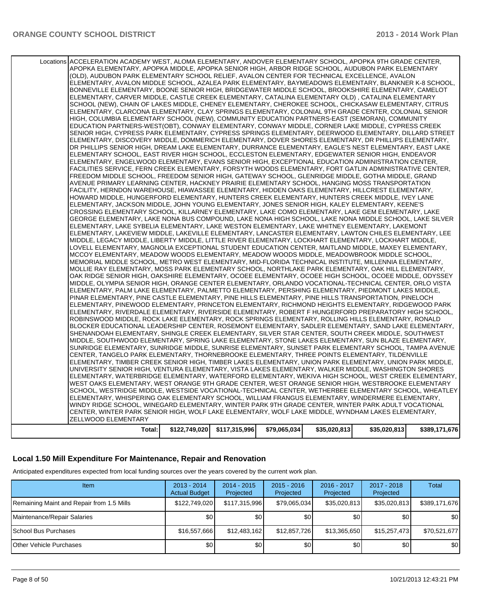| Total:                                                                                                     | \$122,749,020 | \$117,315,996 | \$79,065,034 | \$35,020,813 | \$35,020,813 | \$389,171,676 |
|------------------------------------------------------------------------------------------------------------|---------------|---------------|--------------|--------------|--------------|---------------|
| ZELLWOOD ELEMENTARY                                                                                        |               |               |              |              |              |               |
|                                                                                                            |               |               |              |              |              |               |
| CENTER, WINTER PARK SENIOR HIGH, WOLF LAKE ELEMENTARY, WOLF LAKE MIDDLE, WYNDHAM LAKES ELEMENTARY,         |               |               |              |              |              |               |
| WINDY RIDGE SCHOOL, WINEGARD ELEMENTARY, WINTER PARK 9TH GRADE CENTER, WINTER PARK ADULT VOCATIONAL        |               |               |              |              |              |               |
| ELEMENTARY, WHISPERING OAK ELEMENTARY SCHOOL, WILLIAM FRANGUS ELEMENTARY, WINDERMERE ELEMENTARY,           |               |               |              |              |              |               |
| SCHOOL, WESTRIDGE MIDDLE, WESTSIDE VOCATIONAL-TECHNICAL CENTER, WETHERBEE ELEMENTARY SCHOOL, WHEATLEY      |               |               |              |              |              |               |
| WEST OAKS ELEMENTARY, WEST ORANGE 9TH GRADE CENTER, WEST ORANGE SENIOR HIGH, WESTBROOKE ELEMENTARY         |               |               |              |              |              |               |
| ELEMENTARY, WATERBRIDGE ELEMENTARY, WATERFORD ELEMENTARY, WEKIVA HIGH SCHOOL, WEST CREEK ELEMENTARY,       |               |               |              |              |              |               |
| UNIVERSITY SENIOR HIGH, VENTURA ELEMENTARY, VISTA LAKES ELEMENTARY, WALKER MIDDLE, WASHINGTON SHORES       |               |               |              |              |              |               |
|                                                                                                            |               |               |              |              |              |               |
| ELEMENTARY, TIMBER CREEK SENIOR HIGH, TIMBER LAKES ELEMENTARY, UNION PARK ELEMENTARY, UNION PARK MIDDLE,   |               |               |              |              |              |               |
| CENTER, TANGELO PARK ELEMENTARY, THORNEBROOKE ELEMENTARY, THREE POINTS ELEMENTARY, TILDENVILLE             |               |               |              |              |              |               |
| SUNRIDGE ELEMENTARY, SUNRIDGE MIDDLE, SUNRISE ELEMENTARY, SUNSET PARK ELEMENTARY SCHOOL, TAMPA AVENUE      |               |               |              |              |              |               |
| MIDDLE, SOUTHWOOD ELEMENTARY, SPRING LAKE ELEMENTARY, STONE LAKES ELEMENTARY, SUN BLAZE ELEMENTARY,        |               |               |              |              |              |               |
| SHENANDOAH ELEMENTARY, SHINGLE CREEK ELEMENTARY, SILVER STAR CENTER, SOUTH CREEK MIDDLE, SOUTHWEST         |               |               |              |              |              |               |
| BLOCKER EDUCATIONAL LEADERSHIP CENTER, ROSEMONT ELEMENTARY, SADLER ELEMENTARY, SAND LAKE ELEMENTARY,       |               |               |              |              |              |               |
| ROBINSWOOD MIDDLE, ROCK LAKE ELEMENTARY, ROCK SPRINGS ELEMENTARY, ROLLING HILLS ELEMENTARY, RONALD         |               |               |              |              |              |               |
| ELEMENTARY, RIVERDALE ELEMENTARY, RIVERSIDE ELEMENTARY, ROBERT F HUNGERFORD PREPARATORY HIGH SCHOOL,       |               |               |              |              |              |               |
| ELEMENTARY, PINEWOOD ELEMENTARY, PRINCETON ELEMENTARY, RICHMOND HEIGHTS ELEMENTARY, RIDGEWOOD PARK         |               |               |              |              |              |               |
| PINAR ELEMENTARY, PINE CASTLE ELEMENTARY, PINE HILLS ELEMENTARY, PINE HILLS TRANSPORTATION, PINELOCH       |               |               |              |              |              |               |
| ELEMENTARY, PALM LAKE ELEMENTARY, PALMETTO ELEMENTARY, PERSHING ELEMENTARY, PIEDMONT LAKES MIDDLE,         |               |               |              |              |              |               |
| MIDDLE, OLYMPIA SENIOR HIGH, ORANGE CENTER ELEMENTARY, ORLANDO VOCATIONAL-TECHNICAL CENTER, ORLO VISTA     |               |               |              |              |              |               |
| OAK RIDGE SENIOR HIGH, OAKSHIRE ELEMENTARY, OCOEE ELEMENTARY, OCOEE HIGH SCHOOL, OCOEE MIDDLE, ODYSSEY     |               |               |              |              |              |               |
|                                                                                                            |               |               |              |              |              |               |
| MOLLIE RAY ELEMENTARY, MOSS PARK ELEMENTARY SCHOOL, NORTHLAKE PARK ELEMENTARY, OAK HILL ELEMENTARY,        |               |               |              |              |              |               |
| MEMORIAL MIDDLE SCHOOL, METRO WEST ELEMENTARY, MID-FLORIDA TECHNICAL INSTITUTE, MILLENNIA ELEMENTARY,      |               |               |              |              |              |               |
| MCCOY ELEMENTARY, MEADOW WOODS ELEMENTARY, MEADOW WOODS MIDDLE, MEADOWBROOK MIDDLE SCHOOL,                 |               |               |              |              |              |               |
| LOVELL ELEMENTARY, MAGNOLIA EXCEPTIONAL STUDENT EDUCATION CENTER, MAITLAND MIDDLE, MAXEY ELEMENTARY,       |               |               |              |              |              |               |
| MIDDLE, LEGACY MIDDLE, LIBERTY MIDDLE, LITTLE RIVER ELEMENTARY, LOCKHART ELEMENTARY, LOCKHART MIDDLE,      |               |               |              |              |              |               |
| ELEMENTARY. LAKEVIEW MIDDLE. LAKEVILLE ELEMENTARY. LANCASTER ELEMENTARY. LAWTON CHILES ELEMENTARY. LEE     |               |               |              |              |              |               |
| ELEMENTARY, LAKE SYBELIA ELEMENTARY, LAKE WESTON ELEMENTARY, LAKE WHITNEY ELEMENTARY, LAKEMONT             |               |               |              |              |              |               |
| GEORGE ELEMENTARY, LAKE NONA BUS COMPOUND, LAKE NONA HIGH SCHOOL, LAKE NONA MIDDLE SCHOOL, LAKE SILVER     |               |               |              |              |              |               |
| CROSSING ELEMENTARY SCHOOL, KILLARNEY ELEMENTARY, LAKE COMO ELEMENTARY, LAKE GEM ELEMENTARY, LAKE          |               |               |              |              |              |               |
| ELEMENTARY, JACKSON MIDDLE, JOHN YOUNG ELEMENTARY, JONES SENIOR HIGH, KALEY ELEMENTARY, KEENE'S            |               |               |              |              |              |               |
| HOWARD MIDDLE, HUNGERFORD ELEMENTARY, HUNTERS CREEK ELEMENTARY, HUNTERS CREEK MIDDLE, IVEY LANE            |               |               |              |              |              |               |
|                                                                                                            |               |               |              |              |              |               |
| FACILITY, HERNDON WAREHOUSE, HIAWASSEE ELEMENTARY, HIDDEN OAKS ELEMENTARY, HILLCREST ELEMENTARY,           |               |               |              |              |              |               |
| AVENUE PRIMARY LEARNING CENTER, HACKNEY PRAIRIE ELEMENTARY SCHOOL, HANGING MOSS TRANSPORTATION             |               |               |              |              |              |               |
| FREEDOM MIDDLE SCHOOL, FREEDOM SENIOR HIGH, GATEWAY SCHOOL, GLENRIDGE MIDDLE, GOTHA MIDDLE, GRAND          |               |               |              |              |              |               |
| FACILITIES SERVICE, FERN CREEK ELEMENTARY, FORSYTH WOODS ELEMENTARY, FORT GATLIN ADMINISTRATIVE CENTER,    |               |               |              |              |              |               |
| ELEMENTARY, ENGELWOOD ELEMENTARY, EVANS SENIOR HIGH, EXCEPTIONAL EDUCATION ADMINISTRATION CENTER,          |               |               |              |              |              |               |
| ELEMENTARY SCHOOL, EAST RIVER HIGH SCHOOL, ECCLESTON ELEMENTARY, EDGEWATER SENIOR HIGH, ENDEAVOR           |               |               |              |              |              |               |
| DR PHILLIPS SENIOR HIGH, DREAM LAKE ELEMENTARY, DURRANCE ELEMENTARY, EAGLE'S NEST ELEMENTARY, EAST LAKE    |               |               |              |              |              |               |
| ELEMENTARY, DISCOVERY MIDDLE, DOMMERICH ELEMENTARY, DOVER SHORES ELEMENTARY, DR PHILLIPS ELEMENTARY,       |               |               |              |              |              |               |
| SENIOR HIGH, CYPRESS PARK ELEMENTARY, CYPRESS SPRINGS ELEMENTARY, DEERWOOD ELEMENTARY, DILLARD STREET      |               |               |              |              |              |               |
| EDUCATION PARTNERS-WEST(OBT), CONWAY ELEMENTARY, CONWAY MIDDLE, CORNER LAKE MIDDLE, CYPRESS CREEK          |               |               |              |              |              |               |
| HIGH, COLUMBIA ELEMENTARY SCHOOL (NEW), COMMUNITY EDUCATION PARTNERS-EAST (SEMORAN), COMMUNITY             |               |               |              |              |              |               |
| ELEMENTARY, CLARCONA ELEMENTARY, CLAY SPRINGS ELEMENTARY, COLONIAL 9TH GRADE CENTER, COLONIAL SENIOR       |               |               |              |              |              |               |
| SCHOOL (NEW), CHAIN OF LAKES MIDDLE, CHENEY ELEMENTARY, CHEROKEE SCHOOL, CHICKASAW ELEMENTARY, CITRUS      |               |               |              |              |              |               |
|                                                                                                            |               |               |              |              |              |               |
| ELEMENTARY, CARVER MIDDLE, CASTLE CREEK ELEMENTARY, CATALINA ELEMENTARY OLD), CATALINA ELEMENTARY          |               |               |              |              |              |               |
| BONNEVILLE ELEMENTARY, BOONE SENIOR HIGH, BRIDGEWATER MIDDLE SCHOOL, BROOKSHIRE ELEMENTARY, CAMELOT        |               |               |              |              |              |               |
| ELEMENTARY, AVALON MIDDLE SCHOOL, AZALEA PARK ELEMENTARY, BAYMEADOWS ELEMENTARY, BLANKNER K-8 SCHOOL,      |               |               |              |              |              |               |
| (OLD), AUDUBON PARK ELEMENTARY SCHOOL RELIEF, AVALON CENTER FOR TECHNICAL EXCELLENCE, AVALON               |               |               |              |              |              |               |
| APOPKA ELEMENTARY, APOPKA MIDDLE, APOPKA SENIOR HIGH, ARBOR RIDGE SCHOOL, AUDUBON PARK ELEMENTARY          |               |               |              |              |              |               |
| Locations ACCELERATION ACADEMY WEST, ALOMA ELEMENTARY, ANDOVER ELEMENTARY SCHOOL, APOPKA 9TH GRADE CENTER, |               |               |              |              |              |               |
|                                                                                                            |               |               |              |              |              |               |

#### **Local 1.50 Mill Expenditure For Maintenance, Repair and Renovation**

Anticipated expenditures expected from local funding sources over the years covered by the current work plan.

| <b>Item</b>                               | $2013 - 2014$<br><b>Actual Budget</b> | $2014 - 2015$<br>Projected | $2015 - 2016$<br>Projected | 2016 - 2017<br>Projected | $2017 - 2018$<br>Projected | <b>Total</b>  |
|-------------------------------------------|---------------------------------------|----------------------------|----------------------------|--------------------------|----------------------------|---------------|
| Remaining Maint and Repair from 1.5 Mills | \$122,749,020                         | \$117,315,996              | \$79,065,034               | \$35,020,813             | \$35,020,813               | \$389,171,676 |
| Maintenance/Repair Salaries               | \$0                                   | \$0                        | \$0                        | \$0                      | \$0                        | \$0           |
| School Bus Purchases                      | \$16,557,666                          | \$12,483,162               | \$12,857,726               | \$13,365,650             | \$15,257,473               | \$70,521,677  |
| Other Vehicle Purchases                   | \$0                                   | \$0                        | \$0                        | \$0                      | \$0 <sub>1</sub>           | \$0           |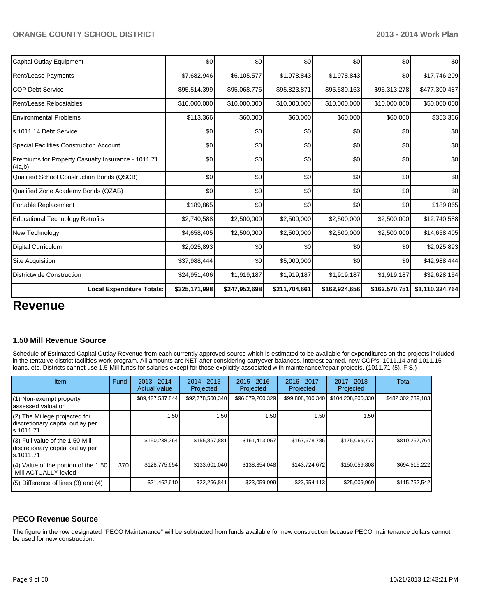| \$0           | \$0                              | \$0           | \$0           |               | \$0                                                                                    |
|---------------|----------------------------------|---------------|---------------|---------------|----------------------------------------------------------------------------------------|
| \$7,682,946   | \$6,105,577                      | \$1,978,843   | \$1,978,843   |               | \$17,746,209                                                                           |
| \$95,514,399  | \$95,068,776                     | \$95,823,871  | \$95,580,163  |               | \$477,300,487                                                                          |
| \$10,000,000  | \$10,000,000                     | \$10,000,000  | \$10,000,000  |               | \$50,000,000                                                                           |
| \$113,366     | \$60,000                         | \$60,000      | \$60,000      | \$60,000      | \$353,366                                                                              |
| \$0           | \$0                              | \$0           | \$0           | \$0           | \$0                                                                                    |
| \$0           | \$0                              | \$0           | \$0           | \$0           | \$0                                                                                    |
| \$0           | \$0                              | \$0           | \$0           | \$0           | \$0                                                                                    |
| \$0           | \$0                              | \$0           | \$0           | \$0           | \$0                                                                                    |
| \$0           | \$0                              | \$0           | \$0           |               | \$0                                                                                    |
| \$189,865     | \$0                              | \$0           | \$0           | \$0           | \$189,865                                                                              |
| \$2,740,588   | \$2,500,000                      | \$2,500,000   | \$2,500,000   |               | \$12,740,588                                                                           |
| \$4,658,405   | \$2,500,000                      | \$2,500,000   | \$2,500,000   |               | \$14,658,405                                                                           |
| \$2,025,893   | \$0                              | \$0           | \$0           | \$0           | \$2,025,893                                                                            |
| \$37,988,444  | \$0                              | \$5,000,000   | \$0           |               | \$42,988,444                                                                           |
| \$24,951,406  | \$1,919,187                      | \$1,919,187   | \$1,919,187   | \$1,919,187   | \$32,628,154                                                                           |
| \$325,171,998 | \$247,952,698                    | \$211,704,661 | \$162,924,656 | \$162,570,751 | \$1,110,324,764                                                                        |
|               | <b>Local Expenditure Totals:</b> |               |               |               | \$0<br>\$0<br>\$95,313,278<br>\$10,000,000<br>\$0<br>\$2,500,000<br>\$2,500,000<br>\$0 |

#### **1.50 Mill Revenue Source**

Schedule of Estimated Capital Outlay Revenue from each currently approved source which is estimated to be available for expenditures on the projects included in the tentative district facilities work program. All amounts are NET after considering carryover balances, interest earned, new COP's, 1011.14 and 1011.15 loans, etc. Districts cannot use 1.5-Mill funds for salaries except for those explicitly associated with maintenance/repair projects. (1011.71 (5), F.S.)

| <b>Item</b>                                                                         | Fund | $2013 - 2014$<br><b>Actual Value</b> | $2014 - 2015$<br>Projected | $2015 - 2016$<br>Projected | $2016 - 2017$<br>Projected | $2017 - 2018$<br>Projected | <b>Total</b>      |
|-------------------------------------------------------------------------------------|------|--------------------------------------|----------------------------|----------------------------|----------------------------|----------------------------|-------------------|
| (1) Non-exempt property<br>assessed valuation                                       |      | \$89,427,537,844                     | \$92,778,500,340           | \$96,079,200,329           | \$99,808,800,340           | \$104,208,200,330          | \$482,302,239,183 |
| (2) The Millege projected for<br>discretionary capital outlay per<br>ls.1011.71     |      | 1.50                                 | 1.50                       | 1.50                       | 1.50                       | 1.50                       |                   |
| $(3)$ Full value of the 1.50-Mill<br>discretionary capital outlay per<br>ls.1011.71 |      | \$150,238,264                        | \$155,867,881              | \$161,413,057              | \$167,678,785              | \$175,069,777              | \$810,267,764     |
| (4) Value of the portion of the 1.50<br>-Mill ACTUALLY levied                       | 370  | \$128,775,654                        | \$133.601.040              | \$138,354,048              | \$143,724,672              | \$150,059,808              | \$694,515,222     |
| $(5)$ Difference of lines $(3)$ and $(4)$                                           |      | \$21,462,610                         | \$22,266,841               | \$23,059,009               | \$23,954,113               | \$25,009,969               | \$115,752,542     |

#### **PECO Revenue Source**

The figure in the row designated "PECO Maintenance" will be subtracted from funds available for new construction because PECO maintenance dollars cannot be used for new construction.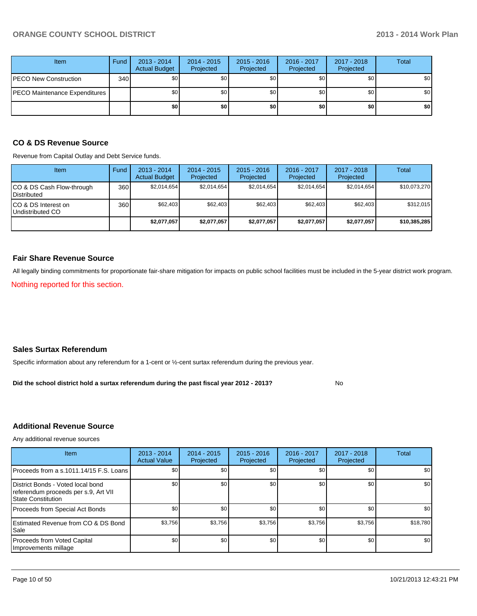| <b>Item</b>                   | Fund | $2013 - 2014$<br><b>Actual Budget</b> | $2014 - 2015$<br>Projected | $2015 - 2016$<br>Projected | 2016 - 2017<br>Projected | 2017 - 2018<br>Projected | <b>Total</b> |
|-------------------------------|------|---------------------------------------|----------------------------|----------------------------|--------------------------|--------------------------|--------------|
| PECO New Construction         | 340  | \$0                                   | \$0                        | \$0                        | \$0                      | \$0                      | \$0          |
| PECO Maintenance Expenditures |      | \$0                                   | \$0                        | \$0                        | \$0                      | \$0                      | \$0          |
|                               |      | \$0 <sub>1</sub>                      | \$0                        | \$0                        | \$0                      | \$0                      | \$0          |

#### **CO & DS Revenue Source**

Revenue from Capital Outlay and Debt Service funds.

| Item                                               | Fund | $2013 - 2014$<br><b>Actual Budget</b> | $2014 - 2015$<br>Projected | $2015 - 2016$<br>Projected | $2016 - 2017$<br>Projected | $2017 - 2018$<br>Projected | Total        |
|----------------------------------------------------|------|---------------------------------------|----------------------------|----------------------------|----------------------------|----------------------------|--------------|
| ICO & DS Cash Flow-through<br><b>I</b> Distributed | 360  | \$2.014.654                           | \$2,014,654                | \$2,014,654                | \$2.014.654                | \$2,014,654                | \$10,073,270 |
| ICO & DS Interest on<br>Undistributed CO           | 360  | \$62.403                              | \$62,403                   | \$62.403                   | \$62,403                   | \$62.403                   | \$312,015    |
|                                                    |      | \$2.077.057                           | \$2.077.057                | \$2,077,057                | \$2,077,057                | \$2,077,057                | \$10,385,285 |

#### **Fair Share Revenue Source**

All legally binding commitments for proportionate fair-share mitigation for impacts on public school facilities must be included in the 5-year district work program.

Nothing reported for this section.

#### **Sales Surtax Referendum**

Specific information about any referendum for a 1-cent or ½-cent surtax referendum during the previous year.

No **Did the school district hold a surtax referendum during the past fiscal year 2012 - 2013?**

#### **Additional Revenue Source**

Any additional revenue sources

| <b>Item</b>                                                                                             | 2013 - 2014<br><b>Actual Value</b> | $2014 - 2015$<br>Projected | $2015 - 2016$<br>Projected | $2016 - 2017$<br>Projected | $2017 - 2018$<br>Projected | Total    |
|---------------------------------------------------------------------------------------------------------|------------------------------------|----------------------------|----------------------------|----------------------------|----------------------------|----------|
| Proceeds from a s.1011.14/15 F.S. Loans                                                                 | \$0 <sub>1</sub>                   | \$0                        | \$0                        | \$0                        | \$0                        | \$0      |
| District Bonds - Voted local bond<br>referendum proceeds per s.9, Art VII<br><b>S</b> tate Constitution | \$0 <sub>1</sub>                   | \$0                        | \$0                        | \$0                        | \$0                        | \$0      |
| Proceeds from Special Act Bonds                                                                         | \$0                                | \$0                        | \$0                        | \$0                        | \$0                        | \$0      |
| <b>IEstimated Revenue from CO &amp; DS Bond</b><br>l Sale                                               | \$3,756                            | \$3,756                    | \$3.756                    | \$3,756                    | \$3,756                    | \$18,780 |
| Proceeds from Voted Capital<br>Improvements millage                                                     | \$0 <sub>1</sub>                   | \$0                        | \$0                        | \$0                        | \$0                        | \$0      |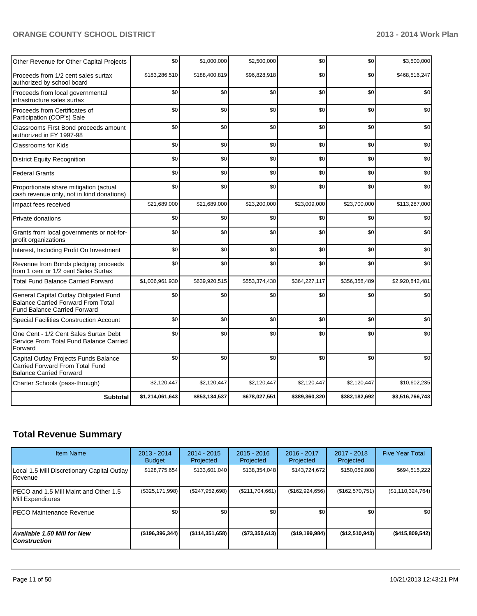| Other Revenue for Other Capital Projects                                                                                  | \$0             | \$1,000,000   | \$2,500,000   | \$0           | \$0           | \$3,500,000      |
|---------------------------------------------------------------------------------------------------------------------------|-----------------|---------------|---------------|---------------|---------------|------------------|
| Proceeds from 1/2 cent sales surtax<br>authorized by school board                                                         | \$183,286,510   | \$188,400,819 | \$96,828,918  | \$0           | \$0           | \$468,516,247    |
| Proceeds from local governmental<br>infrastructure sales surtax                                                           | \$0             | \$0           | \$0           | \$0           | \$0           | \$0 <sub>1</sub> |
| Proceeds from Certificates of<br>Participation (COP's) Sale                                                               | \$0             | \$0           | \$0           | \$0           | \$0           | \$0              |
| Classrooms First Bond proceeds amount<br>authorized in FY 1997-98                                                         | \$0             | \$0           | \$0           | \$0           | \$0           | \$0              |
| <b>Classrooms for Kids</b>                                                                                                | \$0             | \$0           | \$0           | \$0           | \$0           | \$0              |
| <b>District Equity Recognition</b>                                                                                        | \$0             | \$0           | \$0           | \$0           | \$0           | \$0              |
| <b>Federal Grants</b>                                                                                                     | \$0             | \$0           | \$0           | \$0           | \$0           | \$0              |
| Proportionate share mitigation (actual<br>cash revenue only, not in kind donations)                                       | \$0             | \$0           | \$0           | \$0           | \$0           | \$0              |
| Impact fees received                                                                                                      | \$21,689,000    | \$21,689,000  | \$23,200,000  | \$23,009,000  | \$23,700,000  | \$113,287,000    |
| Private donations                                                                                                         | \$0             | \$0           | \$0           | \$0           | \$0           | \$0              |
| Grants from local governments or not-for-<br>profit organizations                                                         | \$0             | \$0           | \$0           | \$0           | \$0           | \$0              |
| Interest, Including Profit On Investment                                                                                  | \$0             | \$0           | \$0           | \$0           | \$0           | \$0              |
| Revenue from Bonds pledging proceeds<br>from 1 cent or 1/2 cent Sales Surtax                                              | \$0             | \$0           | \$0           | \$0           | \$0           | \$0              |
| <b>Total Fund Balance Carried Forward</b>                                                                                 | \$1,006,961,930 | \$639,920,515 | \$553,374,430 | \$364,227,117 | \$356,358,489 | \$2,920,842,481  |
| General Capital Outlay Obligated Fund<br><b>Balance Carried Forward From Total</b><br><b>Fund Balance Carried Forward</b> | \$0             | \$0           | \$0           | \$0           | \$0           | \$0              |
| Special Facilities Construction Account                                                                                   | \$0             | \$0           | \$0           | \$0           | \$0           | \$0              |
| One Cent - 1/2 Cent Sales Surtax Debt<br>Service From Total Fund Balance Carried<br>Forward                               | \$0             | \$0           | \$0           | \$0           | \$0           | \$0              |
| Capital Outlay Projects Funds Balance<br>Carried Forward From Total Fund<br><b>Balance Carried Forward</b>                | \$0             | \$0           | \$0           | \$0           | \$0           | \$0              |
| Charter Schools (pass-through)                                                                                            | \$2,120,447     | \$2,120,447   | \$2,120,447   | \$2,120,447   | \$2,120,447   | \$10,602,235     |
| <b>Subtotal</b>                                                                                                           | \$1,214,061,643 | \$853,134,537 | \$678,027,551 | \$389,360,320 | \$382,182,692 | \$3,516,766,743  |

## **Total Revenue Summary**

| <b>Item Name</b>                                            | $2013 - 2014$<br><b>Budget</b> | $2014 - 2015$<br>Projected | $2015 - 2016$<br>Projected | $2016 - 2017$<br>Projected | $2017 - 2018$<br>Projected | <b>Five Year Total</b> |
|-------------------------------------------------------------|--------------------------------|----------------------------|----------------------------|----------------------------|----------------------------|------------------------|
| Local 1.5 Mill Discretionary Capital Outlay<br>IRevenue     | \$128,775,654                  | \$133,601,040              | \$138,354,048              | \$143,724,672              | \$150,059,808              | \$694,515,222          |
| IPECO and 1.5 Mill Maint and Other 1.5<br>Mill Expenditures | (\$325,171,998)                | (S247, 952, 698)           | (S211, 704, 661)           | (\$162,924,656)            | (\$162,570,751)            | (\$1,110,324,764)      |
| IPECO Maintenance Revenue                                   | \$0 <sub>1</sub>               | \$0                        | \$0                        | \$0                        | \$0 <sub>1</sub>           | \$0                    |
| Available 1.50 Mill for New l<br>l Construction             | ( \$196, 396, 344)             | $($ \$114,351,658)         | (\$73,350,613)             | ( \$19, 199, 984)          | $($ \$12,510,943)          | ( \$415, 809, 542]     |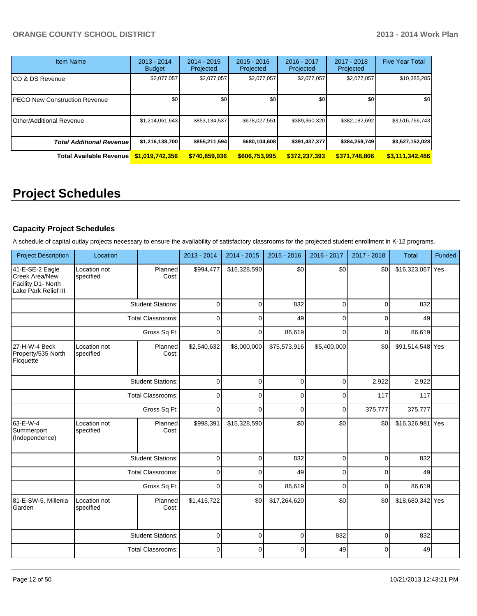| <b>Item Name</b>                     | $2013 - 2014$<br><b>Budget</b> | $2014 - 2015$<br>Projected | $2015 - 2016$<br>Projected | 2016 - 2017<br>Projected | 2017 - 2018<br>Projected | <b>Five Year Total</b> |
|--------------------------------------|--------------------------------|----------------------------|----------------------------|--------------------------|--------------------------|------------------------|
| CO & DS Revenue                      | \$2,077,057                    | \$2,077,057                | \$2,077,057                | \$2,077,057              | \$2,077,057              | \$10,385,285           |
| <b>PECO New Construction Revenue</b> | \$0                            | \$0                        | \$0                        | \$0 <sub>1</sub>         | \$0                      | \$0 <sub>1</sub>       |
| Other/Additional Revenue             | \$1,214,061,643                | \$853,134,537              | \$678,027,551              | \$389,360,320            | \$382,182,692            | \$3,516,766,743        |
| <b>Total Additional Revenuel</b>     | \$1,216,138,700                | \$855,211,594              | \$680,104,608              | \$391,437,377            | \$384,259,749            | \$3,527,152,028        |
| <b>Total Available Revenue</b>       | \$1,019,742,356                | \$740,859,936              | \$606,753,995              | \$372,237,393            | \$371,748,806            | \$3,111,342,486        |

## **Project Schedules**

#### **Capacity Project Schedules**

A schedule of capital outlay projects necessary to ensure the availability of satisfactory classrooms for the projected student enrollment in K-12 programs.

| <b>Project Description</b>                                                               | Location                                 |                          | 2013 - 2014 | 2014 - 2015  | 2015 - 2016  | 2016 - 2017  | 2017 - 2018 | <b>Total</b>     | Funded |
|------------------------------------------------------------------------------------------|------------------------------------------|--------------------------|-------------|--------------|--------------|--------------|-------------|------------------|--------|
| 41-E-SE-2 Eagle<br><b>I</b> Creek Area/New<br>Facility D1- North<br>Lake Park Relief III | Location not<br>specified                | Planned<br>Cost:         | \$994,477   | \$15,328,590 | \$0          | \$0          | \$0         | \$16,323,067 Yes |        |
|                                                                                          |                                          | <b>Student Stations:</b> | $\mathbf 0$ | $\Omega$     | 832          | $\Omega$     | $\Omega$    | 832              |        |
|                                                                                          |                                          | <b>Total Classrooms:</b> | 0           | 0            | 49           | 0            | 0           | 49               |        |
|                                                                                          |                                          | Gross Sq Ft:             | $\Omega$    | $\Omega$     | 86,619       | $\Omega$     | $\Omega$    | 86,619           |        |
| 27-H-W-4 Beck<br>Property/535 North<br>Ficquette                                         | Location not<br>specified                | Planned<br>Cost:         | \$2,540,632 | \$8,000,000  | \$75,573,916 | \$5,400,000  | \$0         | \$91,514,548 Yes |        |
|                                                                                          |                                          | <b>Student Stations:</b> | $\mathbf 0$ | $\mathbf 0$  | 0            | 0            | 2,922       | 2,922            |        |
|                                                                                          | <b>Total Classrooms:</b><br>Gross Sq Ft: |                          | $\Omega$    | 0            | $\mathbf{0}$ | $\Omega$     | 117         | 117              |        |
|                                                                                          |                                          |                          | $\mathbf 0$ | $\Omega$     | 0            | $\mathbf{0}$ | 375,777     | 375,777          |        |
| 63-E-W-4<br>Summerport<br>(Independence)                                                 | Location not<br>specified                | Planned<br>Cost:         | \$998,391   | \$15,328,590 | \$0          | \$0          | \$0         | \$16,326,981 Yes |        |
|                                                                                          |                                          | <b>Student Stations:</b> | $\Omega$    | $\Omega$     | 832          | $\mathbf{0}$ | $\Omega$    | 832              |        |
|                                                                                          |                                          | <b>Total Classrooms:</b> | $\mathbf 0$ | $\Omega$     | 49           | $\Omega$     | 0           | 49               |        |
|                                                                                          |                                          | Gross Sq Ft:             | $\mathbf 0$ | $\Omega$     | 86,619       | $\Omega$     | 0           | 86,619           |        |
| 81-E-SW-5, Millenia<br>Garden                                                            | Location not<br>specified                | Planned<br>Cost:         | \$1,415,722 | \$0          | \$17,264,620 | \$0          | \$0         | \$18,680,342 Yes |        |
|                                                                                          |                                          | <b>Student Stations:</b> | $\mathbf 0$ | $\Omega$     | 0            | 832          | 0           | 832              |        |
|                                                                                          |                                          | <b>Total Classrooms:</b> | $\mathbf 0$ | $\Omega$     | $\Omega$     | 49           | $\Omega$    | 49               |        |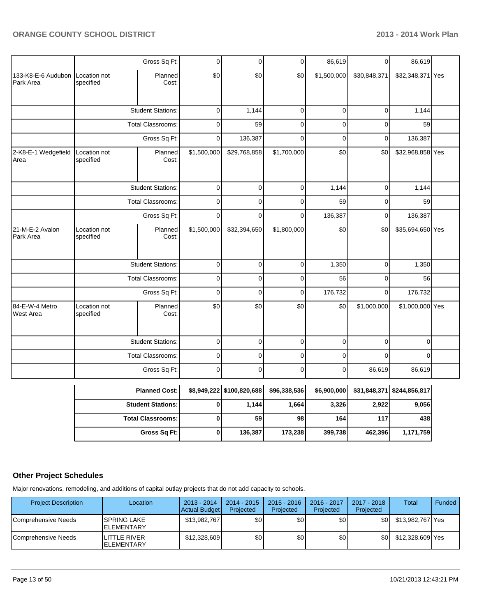|                                 |                           | Gross Sq Ft:             | 0           | $\mathbf 0$  | $\overline{0}$ | 86,619      | $\overline{0}$ | 86,619           |  |
|---------------------------------|---------------------------|--------------------------|-------------|--------------|----------------|-------------|----------------|------------------|--|
| 133-K8-E-6 Audubon<br>Park Area | Location not<br>specified | Planned<br>Cost:         | \$0         | \$0          | \$0            | \$1,500,000 | \$30,848,371   | \$32,348,371 Yes |  |
|                                 |                           | <b>Student Stations:</b> | 0           | 1,144        | $\mathbf 0$    | 0           | $\mathbf 0$    | 1,144            |  |
|                                 |                           | <b>Total Classrooms:</b> | 0           | 59           | $\mathbf 0$    | $\mathbf 0$ | $\mathbf 0$    | 59               |  |
|                                 |                           | Gross Sq Ft:             | 0           | 136,387      | $\mathbf 0$    | $\mathbf 0$ | 0              | 136,387          |  |
| 2-K8-E-1 Wedgefield<br>Area     | Location not<br>specified | Planned<br>Cost:         | \$1,500,000 | \$29,768,858 | \$1,700,000    | \$0         | \$0            | \$32,968,858 Yes |  |
|                                 |                           | <b>Student Stations:</b> | $\mathbf 0$ | $\mathbf 0$  | $\mathbf 0$    | 1,144       | $\mathbf 0$    | 1,144            |  |
|                                 | <b>Total Classrooms:</b>  |                          | $\pmb{0}$   | $\mathbf 0$  | $\mathbf 0$    | 59          | $\mathbf 0$    | 59               |  |
|                                 | Gross Sq Ft:              |                          | $\pmb{0}$   | $\mathbf 0$  | $\mathbf 0$    | 136,387     | $\pmb{0}$      | 136,387          |  |
| 21-M-E-2 Avalon<br>Park Area    | Location not<br>specified | Planned<br>Cost:         | \$1,500,000 | \$32,394,650 | \$1,800,000    | \$0         | \$0            | \$35,694,650 Yes |  |
|                                 |                           | <b>Student Stations:</b> | $\mathbf 0$ | $\mathbf 0$  | $\mathbf 0$    | 1,350       | $\mathbf 0$    | 1,350            |  |
|                                 |                           | <b>Total Classrooms:</b> | 0           | 0            | $\mathbf 0$    | 56          | $\mathbf 0$    | 56               |  |
|                                 |                           | Gross Sq Ft:             | $\mathbf 0$ | $\mathbf 0$  | $\mathbf 0$    | 176,732     | $\mathbf 0$    | 176,732          |  |
| 84-E-W-4 Metro<br>West Area     | Location not<br>specified | Planned<br>Cost:         | \$0         | \$0          | \$0            | \$0         | \$1,000,000    | \$1,000,000 Yes  |  |
|                                 |                           | <b>Student Stations:</b> | $\pmb{0}$   | $\mathbf 0$  | $\mathbf 0$    | $\mathbf 0$ | $\mathbf 0$    | $\mathbf{0}$     |  |
|                                 |                           | <b>Total Classrooms:</b> | $\pmb{0}$   | $\mathbf 0$  | $\pmb{0}$      | $\mathbf 0$ | $\mathbf 0$    | $\mathbf{0}$     |  |
|                                 |                           | Gross Sq Ft:             | $\pmb{0}$   | $\mathbf 0$  | $\mathbf 0$    | $\mathbf 0$ | 86,619         | 86,619           |  |

| <b>Planned Cost:</b>       | \$8,949,222   \$100,820,688 | \$96,338,536 | \$6,900,000 |         | \$31,848,371   \$244,856,817 |
|----------------------------|-----------------------------|--------------|-------------|---------|------------------------------|
| <b>Student Stations:</b>   | 1,144                       | 1.664        | 3,326       | 2,922   | 9,056                        |
| <b>Total Classrooms: I</b> | 59                          | 98           | 164         | 117     | 438                          |
| Gross Sq Ft:               | 136,387                     | 173,238      | 399,738     | 462,396 | 1,171,759                    |

#### **Other Project Schedules**

Major renovations, remodeling, and additions of capital outlay projects that do not add capacity to schools.

| <b>Project Description</b>  | Location                           | $2013 - 2014$<br>Actual Budget | 2014 - 2015<br>Projected | $2015 - 2016$<br>Projected | 2016 - 2017<br>Projected | 2017 - 2018<br>Projected | Total            | Funded |
|-----------------------------|------------------------------------|--------------------------------|--------------------------|----------------------------|--------------------------|--------------------------|------------------|--------|
| I Comprehensive Needs       | ISPRING LAKE<br><b>IELEMENTARY</b> | \$13,982,767                   | \$0                      | \$0                        | \$0                      | \$01                     | \$13.982.767 Yes |        |
| <b>IComprehensive Needs</b> | LITTLE RIVER<br><b>IELEMENTARY</b> | \$12,328,609                   | \$0                      | \$0 <sub>0</sub>           | \$0                      | \$01                     | \$12,328,609 Yes |        |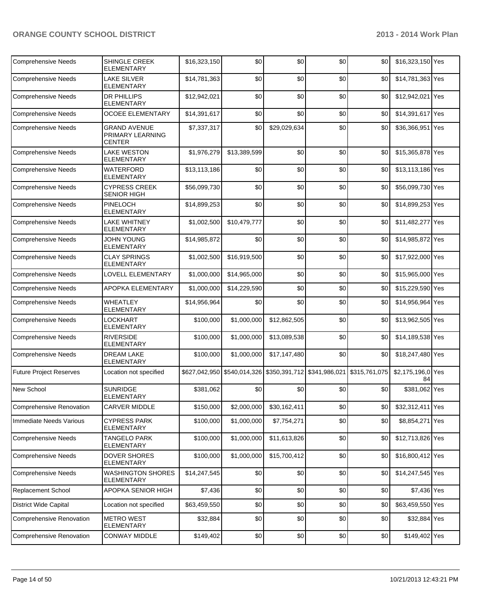| <b>Comprehensive Needs</b>      | <b>SHINGLE CREEK</b><br><b>ELEMENTARY</b>                | \$16,323,150 | \$0          | \$0                                                     | \$0 | \$0           | \$16,323,150 Yes        |  |
|---------------------------------|----------------------------------------------------------|--------------|--------------|---------------------------------------------------------|-----|---------------|-------------------------|--|
| <b>Comprehensive Needs</b>      | <b>LAKE SILVER</b><br><b>ELEMENTARY</b>                  | \$14,781,363 | \$0          | \$0                                                     | \$0 | \$0           | \$14,781,363 Yes        |  |
| <b>Comprehensive Needs</b>      | <b>DR PHILLIPS</b><br><b>ELEMENTARY</b>                  | \$12,942,021 | \$0          | \$0                                                     | \$0 | \$0           | \$12,942,021 Yes        |  |
| <b>Comprehensive Needs</b>      | <b>OCOEE ELEMENTARY</b>                                  | \$14,391,617 | \$0          | \$0                                                     | \$0 | \$0           | \$14,391,617 Yes        |  |
| <b>Comprehensive Needs</b>      | <b>GRAND AVENUE</b><br>PRIMARY LEARNING<br><b>CENTER</b> | \$7,337,317  | \$0          | \$29,029,634                                            | \$0 | \$0           | \$36,366,951 Yes        |  |
| <b>Comprehensive Needs</b>      | <b>LAKE WESTON</b><br><b>ELEMENTARY</b>                  | \$1,976,279  | \$13,389,599 | \$0                                                     | \$0 | \$0           | \$15,365,878 Yes        |  |
| <b>Comprehensive Needs</b>      | <b>WATERFORD</b><br><b>ELEMENTARY</b>                    | \$13,113,186 | \$0          | \$0                                                     | \$0 | \$0           | \$13,113,186 Yes        |  |
| <b>Comprehensive Needs</b>      | <b>CYPRESS CREEK</b><br><b>SENIOR HIGH</b>               | \$56,099,730 | \$0          | \$0                                                     | \$0 | \$0           | \$56,099,730 Yes        |  |
| <b>Comprehensive Needs</b>      | PINELOCH<br><b>ELEMENTARY</b>                            | \$14,899,253 | \$0          | \$0                                                     | \$0 | \$0           | \$14,899,253 Yes        |  |
| <b>Comprehensive Needs</b>      | <b>LAKE WHITNEY</b><br><b>ELEMENTARY</b>                 | \$1,002,500  | \$10,479,777 | \$0                                                     | \$0 | \$0           | \$11,482,277 Yes        |  |
| <b>Comprehensive Needs</b>      | <b>JOHN YOUNG</b><br><b>ELEMENTARY</b>                   | \$14,985,872 | \$0          | \$0                                                     | \$0 | \$0           | \$14,985,872 Yes        |  |
| <b>Comprehensive Needs</b>      | <b>CLAY SPRINGS</b><br><b>ELEMENTARY</b>                 | \$1,002,500  | \$16,919,500 | \$0                                                     | \$0 | \$0           | \$17,922,000 Yes        |  |
| <b>Comprehensive Needs</b>      | <b>LOVELL ELEMENTARY</b>                                 | \$1,000,000  | \$14,965,000 | \$0                                                     | \$0 | \$0           | \$15,965,000 Yes        |  |
| <b>Comprehensive Needs</b>      | APOPKA ELEMENTARY                                        | \$1,000,000  | \$14,229,590 | \$0                                                     | \$0 | \$0           | \$15,229,590 Yes        |  |
| <b>Comprehensive Needs</b>      | <b>WHEATLEY</b><br><b>ELEMENTARY</b>                     | \$14,956,964 | \$0          | \$0                                                     | \$0 | \$0           | \$14,956,964 Yes        |  |
| <b>Comprehensive Needs</b>      | LOCKHART<br><b>ELEMENTARY</b>                            | \$100,000    | \$1,000,000  | \$12,862,505                                            | \$0 | \$0           | \$13,962,505 Yes        |  |
| <b>Comprehensive Needs</b>      | <b>RIVERSIDE</b><br><b>ELEMENTARY</b>                    | \$100,000    | \$1,000,000  | \$13,089,538                                            | \$0 | \$0           | \$14,189,538 Yes        |  |
| <b>Comprehensive Needs</b>      | <b>DREAM LAKE</b><br><b>ELEMENTARY</b>                   | \$100,000    | \$1,000,000  | \$17,147,480                                            | \$0 | \$0           | \$18,247,480 Yes        |  |
| <b>Future Project Reserves</b>  | Location not specified                                   |              |              | \$627,042,950 \$540,014,326 \$350,391,712 \$341,986,021 |     | \$315,761,075 | \$2,175,196,0 Yes<br>84 |  |
| <b>New School</b>               | <b>SUNRIDGE</b><br><b>ELEMENTARY</b>                     | \$381,062    | \$0          | \$0                                                     | \$0 | \$0           | \$381,062 Yes           |  |
| Comprehensive Renovation        | <b>CARVER MIDDLE</b>                                     | \$150,000    | \$2,000,000  | \$30,162,411                                            | \$0 | \$0           | \$32,312,411 Yes        |  |
| Immediate Needs Various         | <b>CYPRESS PARK</b><br><b>ELEMENTARY</b>                 | \$100,000    | \$1,000,000  | \$7,754,271                                             | \$0 | \$0           | \$8,854,271 Yes         |  |
| <b>Comprehensive Needs</b>      | <b>TANGELO PARK</b><br><b>ELEMENTARY</b>                 | \$100,000    | \$1,000,000  | \$11,613,826                                            | \$0 | \$0           | \$12,713,826 Yes        |  |
| <b>Comprehensive Needs</b>      | <b>DOVER SHORES</b><br><b>ELEMENTARY</b>                 | \$100,000    | \$1,000,000  | \$15,700,412                                            | \$0 | \$0           | \$16,800,412 Yes        |  |
| <b>Comprehensive Needs</b>      | <b>WASHINGTON SHORES</b><br>ELEMENTARY                   | \$14,247,545 | \$0          | \$0                                                     | \$0 | \$0           | \$14,247,545 Yes        |  |
| <b>Replacement School</b>       | APOPKA SENIOR HIGH                                       | \$7,436      | \$0          | \$0                                                     | \$0 | \$0           | \$7,436 Yes             |  |
| <b>District Wide Capital</b>    | Location not specified                                   | \$63,459,550 | \$0          | \$0                                                     | \$0 | \$0           | \$63,459,550 Yes        |  |
| <b>Comprehensive Renovation</b> | <b>METRO WEST</b><br><b>ELEMENTARY</b>                   | \$32,884     | \$0          | \$0                                                     | \$0 | \$0           | \$32,884 Yes            |  |
| Comprehensive Renovation        | <b>CONWAY MIDDLE</b>                                     | \$149,402    | \$0          | \$0                                                     | \$0 | \$0           | \$149,402 Yes           |  |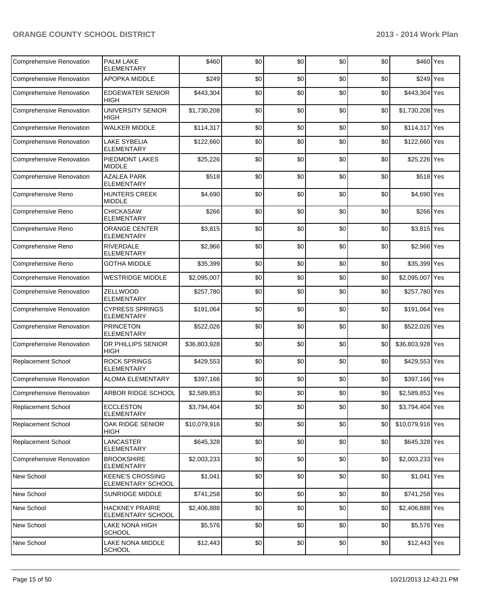| Comprehensive Renovation        | <b>PALM LAKE</b><br><b>ELEMENTARY</b>        | \$460        | \$0 | \$0  | \$0 | \$0 | \$460 Yes        |  |
|---------------------------------|----------------------------------------------|--------------|-----|------|-----|-----|------------------|--|
| Comprehensive Renovation        | APOPKA MIDDLE                                | \$249        | \$0 | \$0  | \$0 | \$0 | \$249 Yes        |  |
| <b>Comprehensive Renovation</b> | <b>EDGEWATER SENIOR</b><br><b>HIGH</b>       | \$443,304    | \$0 | \$0  | \$0 | \$0 | \$443,304 Yes    |  |
| <b>Comprehensive Renovation</b> | UNIVERSITY SENIOR<br><b>HIGH</b>             | \$1,730,208  | \$0 | \$0  | \$0 | \$0 | \$1,730,208 Yes  |  |
| Comprehensive Renovation        | <b>WALKER MIDDLE</b>                         | \$114,317    | \$0 | \$0  | \$0 | \$0 | \$114,317 Yes    |  |
| <b>Comprehensive Renovation</b> | <b>LAKE SYBELIA</b><br><b>ELEMENTARY</b>     | \$122,660    | \$0 | \$0  | \$0 | \$0 | \$122,660 Yes    |  |
| <b>Comprehensive Renovation</b> | PIEDMONT LAKES<br><b>MIDDLE</b>              | \$25,226     | \$0 | \$0  | \$0 | \$0 | \$25,226 Yes     |  |
| Comprehensive Renovation        | <b>AZALEA PARK</b><br><b>ELEMENTARY</b>      | \$518        | \$0 | \$0  | \$0 | \$0 | \$518 Yes        |  |
| Comprehensive Reno              | <b>HUNTERS CREEK</b><br><b>MIDDLE</b>        | \$4,690      | \$0 | \$0  | \$0 | \$0 | \$4,690 Yes      |  |
| Comprehensive Reno              | <b>CHICKASAW</b><br><b>ELEMENTARY</b>        | \$266        | \$0 | \$0  | \$0 | \$0 | \$266 Yes        |  |
| Comprehensive Reno              | <b>ORANGE CENTER</b><br><b>ELEMENTARY</b>    | \$3,815      | \$0 | \$0  | \$0 | \$0 | \$3,815 Yes      |  |
| Comprehensive Reno              | <b>RIVERDALE</b><br><b>ELEMENTARY</b>        | \$2,966      | \$0 | \$0  | \$0 | \$0 | \$2,966 Yes      |  |
| Comprehensive Reno              | <b>GOTHA MIDDLE</b>                          | \$35,399     | \$0 | \$0  | \$0 | \$0 | \$35,399 Yes     |  |
| <b>Comprehensive Renovation</b> | <b>WESTRIDGE MIDDLE</b>                      | \$2,095,007  | \$0 | \$0  | \$0 | \$0 | \$2,095,007 Yes  |  |
| <b>Comprehensive Renovation</b> | ZELLWOOD<br><b>ELEMENTARY</b>                | \$257,780    | \$0 | \$0  | \$0 | \$0 | \$257,780 Yes    |  |
| <b>Comprehensive Renovation</b> | <b>CYPRESS SPRINGS</b><br><b>ELEMENTARY</b>  | \$191,064    | \$0 | \$0  | \$0 | \$0 | \$191,064 Yes    |  |
| <b>Comprehensive Renovation</b> | <b>PRINCETON</b><br><b>ELEMENTARY</b>        | \$522,026    | \$0 | \$0  | \$0 | \$0 | \$522,026 Yes    |  |
| <b>Comprehensive Renovation</b> | DR PHILLIPS SENIOR<br><b>HIGH</b>            | \$36,803,928 | \$0 | \$0  | \$0 | \$0 | \$36,803,928 Yes |  |
| Replacement School              | <b>ROCK SPRINGS</b><br><b>ELEMENTARY</b>     | \$429,553    | \$0 | \$0  | \$0 | \$0 | \$429,553 Yes    |  |
| Comprehensive Renovation        | <b>ALOMA ELEMENTARY</b>                      | \$397,166    | \$0 | \$0  | \$0 | \$0 | \$397,166 Yes    |  |
| <b>Comprehensive Renovation</b> | ARBOR RIDGE SCHOOL                           | \$2,589,853  | \$0 | \$0  | \$0 | \$0 | \$2,589,853 Yes  |  |
| <b>Replacement School</b>       | <b>ECCLESTON</b><br><b>ELEMENTARY</b>        | \$3,794,404  | \$0 | \$0] | \$0 | \$0 | \$3,794,404 Yes  |  |
| Replacement School              | OAK RIDGE SENIOR<br>HIGH                     | \$10,079,916 | \$0 | \$0  | \$0 | \$0 | \$10,079,916 Yes |  |
| Replacement School              | LANCASTER<br>ELEMENTARY                      | \$645,328    | \$0 | \$0  | \$0 | \$0 | \$645,328 Yes    |  |
| <b>Comprehensive Renovation</b> | <b>BROOKSHIRE</b><br><b>ELEMENTARY</b>       | \$2,003,233  | \$0 | \$0  | \$0 | \$0 | \$2,003,233 Yes  |  |
| New School                      | <b>KEENE'S CROSSING</b><br>ELEMENTARY SCHOOL | \$1,041      | \$0 | \$0  | \$0 | \$0 | $$1,041$ Yes     |  |
| <b>New School</b>               | <b>SUNRIDGE MIDDLE</b>                       | \$741,258    | \$0 | \$0  | \$0 | \$0 | \$741,258 Yes    |  |
| <b>New School</b>               | <b>HACKNEY PRAIRIE</b><br>ELEMENTARY SCHOOL  | \$2,406,888  | \$0 | \$0  | \$0 | \$0 | \$2,406,888 Yes  |  |
| New School                      | LAKE NONA HIGH<br><b>SCHOOL</b>              | \$5,576      | \$0 | \$0  | \$0 | \$0 | \$5,576 Yes      |  |
| New School                      | LAKE NONA MIDDLE<br><b>SCHOOL</b>            | \$12,443     | \$0 | \$0  | \$0 | \$0 | \$12,443 Yes     |  |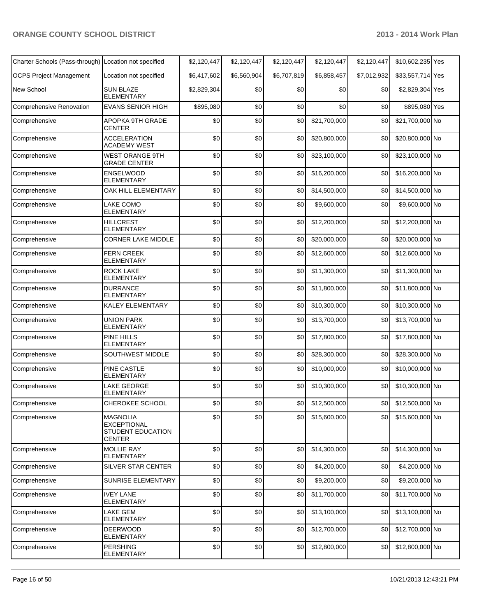| Charter Schools (Pass-through) Location not specified |                                                                                    | \$2,120,447 | \$2,120,447 | \$2,120,447 | \$2,120,447       | \$2,120,447 | \$10,602,235 Yes    |  |
|-------------------------------------------------------|------------------------------------------------------------------------------------|-------------|-------------|-------------|-------------------|-------------|---------------------|--|
| <b>OCPS Project Management</b>                        | Location not specified                                                             | \$6,417,602 | \$6,560,904 | \$6,707,819 | \$6,858,457       | \$7,012,932 | \$33,557,714 Yes    |  |
| New School                                            | <b>SUN BLAZE</b><br>ELEMENTARY                                                     | \$2,829,304 | \$0         | \$0         | \$0               | \$0         | \$2,829,304 Yes     |  |
| <b>Comprehensive Renovation</b>                       | <b>EVANS SENIOR HIGH</b>                                                           | \$895,080   | \$0         | \$0         | \$0               | \$0         | \$895,080 Yes       |  |
| Comprehensive                                         | APOPKA 9TH GRADE<br>CENTER                                                         | \$0         | \$0         | \$0         | \$21,700,000      | \$0         | \$21,700,000 No     |  |
| Comprehensive                                         | <b>ACCELERATION</b><br>ACADEMY WEST                                                | \$0         | \$0         | \$0         | \$20,800,000      | \$0         | \$20,800,000 No     |  |
| Comprehensive                                         | <b>WEST ORANGE 9TH</b><br><b>GRADE CENTER</b>                                      | \$0         | \$0         | \$0         | \$23,100,000      | \$0         | \$23,100,000 No     |  |
| Comprehensive                                         | ENGELWOOD<br><b>ELEMENTARY</b>                                                     | \$0         | \$0         | \$0         | \$16,200,000      | \$0         | \$16,200,000 No     |  |
| Comprehensive                                         | OAK HILL ELEMENTARY                                                                | \$0         | \$0         | \$0         | \$14,500,000      | \$0         | \$14,500,000 No     |  |
| Comprehensive                                         | LAKE COMO<br><b>ELEMENTARY</b>                                                     | \$0         | \$0         | \$0         | \$9,600,000       | \$0         | \$9,600,000 No      |  |
| Comprehensive                                         | <b>HILLCREST</b><br><b>ELEMENTARY</b>                                              | \$0         | \$0         | \$0         | \$12,200,000      | \$0         | \$12,200,000 No     |  |
| Comprehensive                                         | <b>CORNER LAKE MIDDLE</b>                                                          | \$0         | \$0         | \$0         | \$20,000,000      | \$0         | \$20,000,000 No     |  |
| Comprehensive                                         | <b>FERN CREEK</b><br><b>ELEMENTARY</b>                                             | \$0         | \$0         | \$0         | \$12,600,000      | \$0         | \$12,600,000 No     |  |
| Comprehensive                                         | <b>ROCK LAKE</b><br><b>ELEMENTARY</b>                                              | \$0         | \$0         | \$0         | \$11,300,000      | \$0         | \$11,300,000 No     |  |
| Comprehensive                                         | <b>DURRANCE</b><br><b>ELEMENTARY</b>                                               | \$0         | \$0         | \$0         | \$11,800,000      | \$0         | \$11,800,000 No     |  |
| Comprehensive                                         | KALEY ELEMENTARY                                                                   | \$0         | \$0         | \$0         | \$10,300,000      | \$0         | \$10,300,000 No     |  |
| Comprehensive                                         | <b>UNION PARK</b><br>ELEMENTARY                                                    | \$0         | \$0         | \$0         | \$13,700,000      | \$0         | \$13,700,000 No     |  |
| Comprehensive                                         | <b>PINE HILLS</b><br><b>ELEMENTARY</b>                                             | \$0         | \$0         | \$0         | \$17,800,000      | \$0         | \$17,800,000 No     |  |
| Comprehensive                                         | SOUTHWEST MIDDLE                                                                   | \$0         | \$0         | \$0         | \$28,300,000      | \$0         | \$28,300,000 No     |  |
| Comprehensive                                         | PINE CASTLE<br><b>ELEMENTARY</b>                                                   | \$0         | \$0         | \$0         | \$10,000,000      | \$0         | \$10,000,000 No     |  |
| Comprehensive                                         | LAKE GEORGE<br>ELEMENTARY                                                          | \$0         | \$0         | \$0         | \$10,300,000      | \$0         | \$10,300,000 No     |  |
| Comprehensive                                         | CHEROKEE SCHOOL                                                                    | $$0$$       | $$0$$       |             | $$0$ \$12,500,000 |             | \$0 \$12,500,000 No |  |
| Comprehensive                                         | <b>MAGNOLIA</b><br><b>EXCEPTIONAL</b><br><b>STUDENT EDUCATION</b><br><b>CENTER</b> | \$0         | \$0         | \$0         | \$15,600,000      | \$0         | \$15,600,000 No     |  |
| Comprehensive                                         | MOLLIE RAY<br>ELEMENTARY                                                           | \$0         | \$0         | \$0         | \$14,300,000      | \$0         | \$14,300,000 No     |  |
| Comprehensive                                         | SILVER STAR CENTER                                                                 | \$0         | \$0         | \$0         | \$4,200,000       | \$0         | \$4,200,000 No      |  |
| Comprehensive                                         | <b>SUNRISE ELEMENTARY</b>                                                          | \$0         | \$0         | \$0         | \$9,200,000       | \$0         | \$9,200,000 No      |  |
| Comprehensive                                         | <b>IVEY LANE</b><br><b>ELEMENTARY</b>                                              | \$0         | \$0         | \$0         | \$11,700,000      | \$0         | \$11,700,000 No     |  |
| Comprehensive                                         | LAKE GEM<br><b>ELEMENTARY</b>                                                      | \$0         | \$0         | \$0         | \$13,100,000      | \$0         | \$13,100,000 No     |  |
| Comprehensive                                         | <b>DEERWOOD</b><br>ELEMENTARY                                                      | \$0         | \$0         | \$0         | \$12,700,000      | \$0         | \$12,700,000 No     |  |
| Comprehensive                                         | <b>PERSHING</b><br>ELEMENTARY                                                      | \$0         | \$0         | \$0         | \$12,800,000      | \$0         | \$12,800,000 No     |  |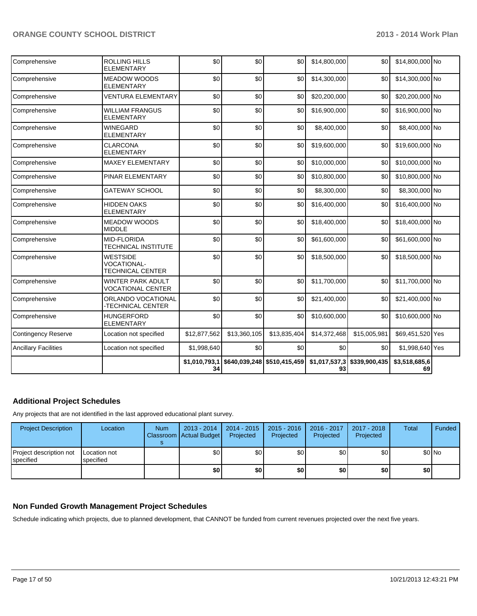| Comprehensive               | ROLLING HILLS<br><b>ELEMENTARY</b>                        | \$0                 | \$0          | \$0                           | \$14,800,000        | \$0           | \$14,800,000 No     |  |
|-----------------------------|-----------------------------------------------------------|---------------------|--------------|-------------------------------|---------------------|---------------|---------------------|--|
| Comprehensive               | <b>MEADOW WOODS</b><br><b>ELEMENTARY</b>                  | \$0                 | \$0          | \$0                           | \$14,300,000        | \$0           | \$14,300,000 No     |  |
| Comprehensive               | <b>VENTURA ELEMENTARY</b>                                 | \$0                 | \$0          | \$0                           | \$20,200,000        | \$0           | \$20,200,000 No     |  |
| Comprehensive               | <b>WILLIAM FRANGUS</b><br><b>ELEMENTARY</b>               | \$0                 | \$0          | \$0                           | \$16,900,000        | \$0           | \$16,900,000 No     |  |
| Comprehensive               | <b>WINEGARD</b><br><b>ELEMENTARY</b>                      | \$0                 | \$0          | \$0                           | \$8,400,000         | \$0           | \$8,400,000 No      |  |
| Comprehensive               | <b>CLARCONA</b><br><b>ELEMENTARY</b>                      | \$0                 | \$0          | \$0                           | \$19,600,000        | \$0           | \$19,600,000 No     |  |
| Comprehensive               | <b>MAXEY ELEMENTARY</b>                                   | \$0                 | \$0          | \$0                           | \$10,000,000        | \$0           | \$10,000,000 No     |  |
| Comprehensive               | PINAR ELEMENTARY                                          | \$0                 | \$0          | \$0                           | \$10,800,000        | \$0           | \$10,800,000 No     |  |
| Comprehensive               | <b>GATEWAY SCHOOL</b>                                     | \$0                 | \$0          | \$0                           | \$8,300,000         | \$0           | \$8,300,000 No      |  |
| Comprehensive               | <b>HIDDEN OAKS</b><br><b>ELEMENTARY</b>                   | \$0                 | \$0          | \$0                           | \$16,400,000        | \$0           | \$16,400,000 No     |  |
| Comprehensive               | <b>MEADOW WOODS</b><br><b>MIDDLE</b>                      | \$0                 | \$0          | \$0                           | \$18,400,000        | \$0           | \$18,400,000 No     |  |
| Comprehensive               | <b>MID-FLORIDA</b><br>TECHNICAL INSTITUTE                 | \$0                 | \$0          | \$0                           | \$61,600,000        | \$0           | \$61,600,000 No     |  |
| Comprehensive               | <b>WESTSIDE</b><br>VOCATIONAL-<br><b>TECHNICAL CENTER</b> | \$0                 | \$0          | \$0                           | \$18,500,000        | \$0           | \$18,500,000 No     |  |
| Comprehensive               | <b>WINTER PARK ADULT</b><br><b>VOCATIONAL CENTER</b>      | \$0                 | \$0          | \$0                           | \$11,700,000        | \$0           | \$11,700,000 No     |  |
| Comprehensive               | ORLANDO VOCATIONAL<br>-TECHNICAL CENTER                   | \$0                 | \$0          | \$0                           | \$21,400,000        | \$0           | \$21,400,000 No     |  |
| Comprehensive               | <b>HUNGERFORD</b><br><b>ELEMENTARY</b>                    | \$0                 | \$0          | \$0                           | \$10,600,000        | \$0           | \$10,600,000 No     |  |
| <b>Contingency Reserve</b>  | Location not specified                                    | \$12,877,562        | \$13,360,105 | \$13,835,404                  | \$14,372,468        | \$15,005,981  | \$69,451,520 Yes    |  |
| <b>Ancillary Facilities</b> | Location not specified                                    | \$1,998,640         | \$0          | \$0                           | \$0                 | \$0           | \$1,998,640 Yes     |  |
|                             |                                                           | \$1,010,793,1<br>34 |              | \$640,039,248   \$510,415,459 | \$1,017,537,3<br>93 | \$339,900,435 | \$3,518,685,6<br>69 |  |

#### **Additional Project Schedules**

Any projects that are not identified in the last approved educational plant survey.

| <b>Project Description</b>           | Location                         | <b>Num</b> | 2013 - 2014<br>Classroom   Actual Budget | 2014 - 2015<br>Projected | $2015 - 2016$<br>Projected | 2016 - 2017<br>Projected | 2017 - 2018<br>Projected | <b>Total</b> | <b>Funded</b> |
|--------------------------------------|----------------------------------|------------|------------------------------------------|--------------------------|----------------------------|--------------------------|--------------------------|--------------|---------------|
| Project description not<br>specified | <b>Location not</b><br>specified |            | \$0                                      | \$0                      | \$0                        | \$0                      | \$0                      |              | \$0 No        |
|                                      |                                  |            | \$0                                      | \$0                      | \$0                        | \$0                      | \$0                      | \$O          |               |

#### **Non Funded Growth Management Project Schedules**

Schedule indicating which projects, due to planned development, that CANNOT be funded from current revenues projected over the next five years.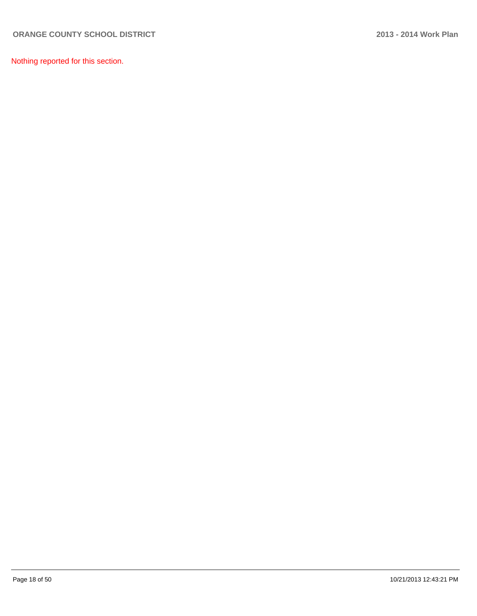Nothing reported for this section.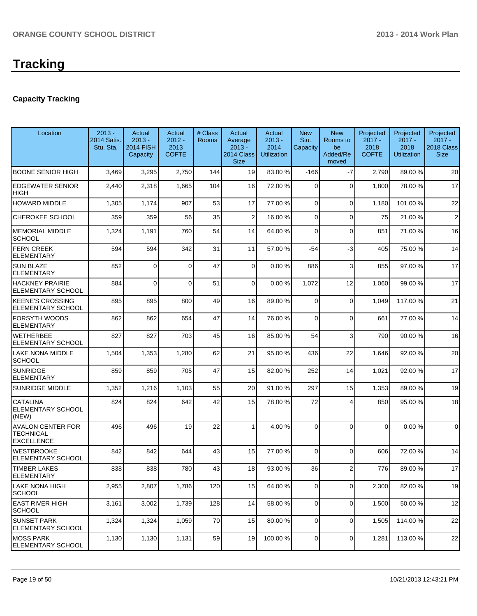### **Capacity Tracking**

| Location                                                          | $2013 -$<br>2014 Satis.<br>Stu. Sta. | Actual<br>$2013 -$<br><b>2014 FISH</b><br>Capacity | Actual<br>$2012 -$<br>2013<br><b>COFTE</b> | # Class<br><b>Rooms</b> | Actual<br>Average<br>$2013 -$<br>2014 Class<br><b>Size</b> | Actual<br>$2013 -$<br>2014<br><b>Utilization</b> | <b>New</b><br>Stu.<br>Capacity | <b>New</b><br>Rooms to<br>be<br>Added/Re<br>moved | Projected<br>$2017 -$<br>2018<br><b>COFTE</b> | Projected<br>$2017 -$<br>2018<br><b>Utilization</b> | Projected<br>$2017 -$<br>2018 Class<br><b>Size</b> |
|-------------------------------------------------------------------|--------------------------------------|----------------------------------------------------|--------------------------------------------|-------------------------|------------------------------------------------------------|--------------------------------------------------|--------------------------------|---------------------------------------------------|-----------------------------------------------|-----------------------------------------------------|----------------------------------------------------|
| <b>BOONE SENIOR HIGH</b>                                          | 3,469                                | 3,295                                              | 2,750                                      | 144                     | 19                                                         | 83.00 %                                          | $-166$                         | $-7$                                              | 2,790                                         | 89.00 %                                             | 20                                                 |
| <b>EDGEWATER SENIOR</b><br>HIGH                                   | 2,440                                | 2,318                                              | 1,665                                      | 104                     | 16                                                         | 72.00 %                                          | $\Omega$                       | $\Omega$                                          | 1,800                                         | 78.00 %                                             | 17                                                 |
| <b>HOWARD MIDDLE</b>                                              | 1,305                                | 1,174                                              | 907                                        | 53                      | 17                                                         | 77.00 %                                          | $\Omega$                       | $\Omega$                                          | 1,180                                         | 101.00%                                             | 22                                                 |
| CHEROKEE SCHOOL                                                   | 359                                  | 359                                                | 56                                         | 35                      | 2                                                          | 16.00 %                                          | 0                              | $\Omega$                                          | 75                                            | 21.00%                                              | $\overline{2}$                                     |
| <b>MEMORIAL MIDDLE</b><br><b>SCHOOL</b>                           | 1,324                                | 1,191                                              | 760                                        | 54                      | 14                                                         | 64.00 %                                          | $\Omega$                       | $\Omega$                                          | 851                                           | 71.00%                                              | 16                                                 |
| <b>FERN CREEK</b><br><b>ELEMENTARY</b>                            | 594                                  | 594                                                | 342                                        | 31                      | 11                                                         | 57.00 %                                          | -54                            | -3                                                | 405                                           | 75.00 %                                             | 14                                                 |
| <b>SUN BLAZE</b><br>ELEMENTARY                                    | 852                                  | $\Omega$                                           | $\Omega$                                   | 47                      | $\mathbf 0$                                                | 0.00 %                                           | 886                            | $\mathbf{3}$                                      | 855                                           | 97.00 %                                             | 17                                                 |
| <b>HACKNEY PRAIRIE</b><br>ELEMENTARY SCHOOL                       | 884                                  | $\Omega$                                           | $\Omega$                                   | 51                      | 0                                                          | 0.00%                                            | 1,072                          | 12                                                | 1,060                                         | 99.00 %                                             | 17                                                 |
| <b>KEENE'S CROSSING</b><br><b>ELEMENTARY SCHOOL</b>               | 895                                  | 895                                                | 800                                        | 49                      | 16                                                         | 89.00 %                                          | 0                              | $\Omega$                                          | 1,049                                         | 117.00 %                                            | 21                                                 |
| FORSYTH WOODS<br><b>ELEMENTARY</b>                                | 862                                  | 862                                                | 654                                        | 47                      | 14                                                         | 76.00 %                                          | $\Omega$                       | $\Omega$                                          | 661                                           | 77.00 %                                             | 14                                                 |
| <b>WETHERBEE</b><br>ELEMENTARY SCHOOL                             | 827                                  | 827                                                | 703                                        | 45                      | 16                                                         | 85.00 %                                          | 54                             | $\mathbf{3}$                                      | 790                                           | 90.00 %                                             | 16                                                 |
| LAKE NONA MIDDLE<br><b>SCHOOL</b>                                 | 1,504                                | 1,353                                              | 1,280                                      | 62                      | 21                                                         | 95.00 %                                          | 436                            | 22                                                | 1,646                                         | 92.00 %                                             | 20                                                 |
| <b>SUNRIDGE</b><br><b>ELEMENTARY</b>                              | 859                                  | 859                                                | 705                                        | 47                      | 15                                                         | 82.00 %                                          | 252                            | 14                                                | 1,021                                         | 92.00 %                                             | 17                                                 |
| SUNRIDGE MIDDLE                                                   | 1,352                                | 1,216                                              | 1,103                                      | 55                      | 20                                                         | 91.00 %                                          | 297                            | 15                                                | 1,353                                         | 89.00 %                                             | 19                                                 |
| <b>CATALINA</b><br>ELEMENTARY SCHOOL<br>(NEW)                     | 824                                  | 824                                                | 642                                        | 42                      | 15                                                         | 78.00 %                                          | 72                             | 4                                                 | 850                                           | 95.00 %                                             | 18                                                 |
| <b>AVALON CENTER FOR</b><br><b>TECHNICAL</b><br><b>EXCELLENCE</b> | 496                                  | 496                                                | 19                                         | 22                      | 1                                                          | 4.00 %                                           | $\Omega$                       | $\Omega$                                          | $\Omega$                                      | 0.00%                                               | 0                                                  |
| <b>WESTBROOKE</b><br>ELEMENTARY SCHOOL                            | 842                                  | 842                                                | 644                                        | 43                      | 15                                                         | 77.00 %                                          | 0                              | $\Omega$                                          | 606                                           | 72.00%                                              | 14                                                 |
| TIMBER LAKES<br>ELEMENTARY                                        | 838                                  | 838                                                | 780                                        | 43                      | 18                                                         | 93.00 %                                          | 36                             | $\overline{2}$                                    | 776                                           | 89.00 %                                             | 17                                                 |
| LAKE NONA HIGH<br><b>SCHOOL</b>                                   | 2,955                                | 2,807                                              | 1,786                                      | 120                     | 15                                                         | 64.00 %                                          | 0                              | $\overline{0}$                                    | 2,300                                         | 82.00 %                                             | 19                                                 |
| <b>EAST RIVER HIGH</b><br><b>SCHOOL</b>                           | 3,161                                | 3,002                                              | 1,739                                      | 128                     | 14                                                         | 58.00 %                                          | $\overline{0}$                 | $\overline{0}$                                    | 1,500                                         | 50.00 %                                             | 12                                                 |
| <b>SUNSET PARK</b><br>ELEMENTARY SCHOOL                           | 1,324                                | 1,324                                              | 1,059                                      | 70                      | 15                                                         | 80.00 %                                          | 0                              | $\overline{0}$                                    | 1,505                                         | 114.00 %                                            | 22                                                 |
| <b>MOSS PARK</b><br><b>ELEMENTARY SCHOOL</b>                      | 1,130                                | 1,130                                              | 1,131                                      | 59                      | 19                                                         | 100.00 %                                         | 0                              | $\overline{0}$                                    | 1,281                                         | 113.00 %                                            | 22                                                 |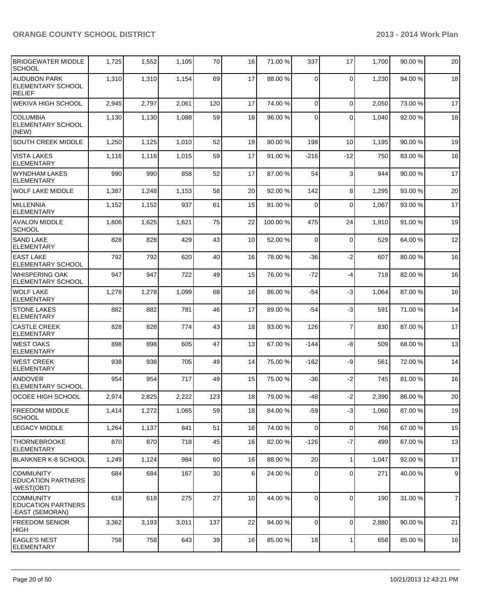| <b>BRIDGEWATER MIDDLE</b><br><b>SCHOOL</b>                  | 1,725 | 1,552 | 1,105 | 70  | 16              | 71.00 % | 337            | 17             | 1,700 | 90.00 % | 20             |
|-------------------------------------------------------------|-------|-------|-------|-----|-----------------|---------|----------------|----------------|-------|---------|----------------|
| AUDUBON PARK<br><b>ELEMENTARY SCHOOL</b><br><b>RELIEF</b>   | 1,310 | 1,310 | 1,154 | 69  | 17              | 88.00 % | $\Omega$       | $\mathbf 0$    | 1,230 | 94.00 % | 18             |
| <b>WEKIVA HIGH SCHOOL</b>                                   | 2,945 | 2,797 | 2,061 | 120 | 17              | 74.00 % | $\Omega$       | $\mathbf 0$    | 2,050 | 73.00 % | 17             |
| <b>COLUMBIA</b><br><b>ELEMENTARY SCHOOL</b><br>(NEW)        | 1,130 | 1,130 | 1,088 | 59  | 18 <sup>1</sup> | 96.00 % | $\Omega$       | $\Omega$       | 1.040 | 92.00%  | 18             |
| <b>SOUTH CREEK MIDDLE</b>                                   | 1,250 | 1,125 | 1,010 | 52  | 19              | 90.00 % | 198            | 10             | 1,195 | 90.00 % | 19             |
| <b>VISTA LAKES</b><br><b>ELEMENTARY</b>                     | 1,116 | 1,116 | 1,015 | 59  | 17              | 91.00 % | -216           | $-12$          | 750   | 83.00 % | 16             |
| WYNDHAM LAKES<br><b>ELEMENTARY</b>                          | 990   | 990   | 858   | 52  | 17              | 87.00 % | 54             | 3              | 944   | 90.00%  | 17             |
| <b>WOLF LAKE MIDDLE</b>                                     | 1,387 | 1,248 | 1,153 | 58  | 20 <sub>l</sub> | 92.00 % | 142            | 8              | 1,295 | 93.00%  | 20             |
| MILLENNIA<br>ELEMENTARY                                     | 1,152 | 1,152 | 937   | 61  | 15              | 81.00 % | $\Omega$       | 0              | 1,067 | 93.00 % | 17             |
| <b>AVALON MIDDLE</b><br><b>SCHOOL</b>                       | 1,806 | 1,625 | 1,621 | 75  | 22              | 100.00% | 475            | 24             | 1,910 | 91.00%  | 19             |
| <b>SAND LAKE</b><br><b>ELEMENTARY</b>                       | 828   | 828   | 429   | 43  | 10 <sup>1</sup> | 52.00 % | $\Omega$       | $\mathbf 0$    | 529   | 64.00 % | 12             |
| <b>EAST LAKE</b><br><b>ELEMENTARY SCHOOL</b>                | 792   | 792   | 620   | 40  | 16              | 78.00 % | -36            | $-2$           | 607   | 80.00%  | 16             |
| WHISPERING OAK<br><b>ELEMENTARY SCHOOL</b>                  | 947   | 947   | 722   | 49  | 15              | 76.00 % | $-72$          | -4             | 718   | 82.00 % | 16             |
| <b>I</b> WOLF LAKE<br><b>ELEMENTARY</b>                     | 1,278 | 1,278 | 1,099 | 68  | 16              | 86.00 % | $-54$          | -3             | 1,064 | 87.00 % | 16             |
| <b>STONE LAKES</b><br>ELEMENTARY                            | 882   | 882   | 781   | 46  | 17              | 89.00 % | $-54$          | -3             | 591   | 71.00 % | 14             |
| <b>CASTLE CREEK</b><br>ELEMENTARY                           | 828   | 828   | 774   | 43  | 18              | 93.00 % | 126            | $\overline{7}$ | 830   | 87.00 % | 17             |
| IWEST OAKS<br>ELEMENTARY                                    | 898   | 898   | 605   | 47  | 13              | 67.00 % | -144           | -8             | 509   | 68.00%  | 13             |
| <b>WEST CREEK</b><br><b>ELEMENTARY</b>                      | 938   | 938   | 705   | 49  | 14              | 75.00 % | -162           | -9             | 561   | 72.00 % | 14             |
| <b>ANDOVER</b><br><b>ELEMENTARY SCHOOL</b>                  | 954   | 954   | 717   | 49  | 15              | 75.00 % | $-36$          | $-2$           | 745   | 81.00%  | 16             |
| OCOEE HIGH SCHOOL                                           | 2,974 | 2,825 | 2,222 | 123 | 18              | 79.00 % | $-48$          | $-2$           | 2,390 | 86.00 % | 20             |
| <b>FREEDOM MIDDLE</b><br><b>SCHOOL</b>                      | 1,414 | 1,272 | 1,065 | 59  | 18 <sup>l</sup> | 84.00 % | $-59$          | $-3$           | 1,060 | 87.00%  | 19             |
| <b>LEGACY MIDDLE</b>                                        | 1,264 | 1,137 | 841   | 51  | 16              | 74.00 % | $\Omega$       | $\mathbf 0$    | 766   | 67.00%  | 15             |
| <b>THORNEBROOKE</b><br><b>ELEMENTARY</b>                    | 870   | 870   | 718   | 45  | 16              | 82.00 % | $-126$         | $-7$           | 499   | 67.00%  | 13             |
| <b>BLANKNER K-8 SCHOOL</b>                                  | 1,249 | 1,124 | 984   | 60  | 16              | 88.00 % | 20             | 1              | 1,047 | 92.00%  | 17             |
| <b>COMMUNITY</b><br><b>EDUCATION PARTNERS</b><br>-WEST(OBT) | 684   | 684   | 167   | 30  | $6 \mid$        | 24.00 % | 0              | 0              | 271   | 40.00 % | 9              |
| COMMUNITY<br><b>EDUCATION PARTNERS</b><br>-EAST (SEMORAN)   | 618   | 618   | 275   | 27  | 10 <sup>1</sup> | 44.00 % | $\overline{0}$ | $\mathbf 0$    | 190   | 31.00%  | $\overline{7}$ |
| <b>FREEDOM SENIOR</b><br> HIGH                              | 3,362 | 3,193 | 3,011 | 137 | 22              | 94.00 % | $\overline{0}$ | 0              | 2,880 | 90.00%  | 21             |
| <b>EAGLE'S NEST</b><br><b>ELEMENTARY</b>                    | 758   | 758   | 643   | 39  | 16              | 85.00 % | 18             | 1              | 658   | 85.00%  | 16             |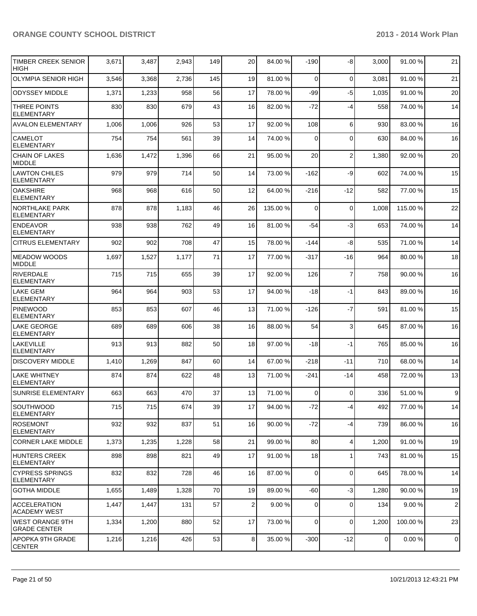| TIMBER CREEK SENIOR<br><b>HIGH</b>          | 3,671 | 3,487 | 2,943 | 149 | 20 <sub>l</sub> | 84.00 %  | $-190$          | -8             | 3,000          | 91.00 %  | 21             |
|---------------------------------------------|-------|-------|-------|-----|-----------------|----------|-----------------|----------------|----------------|----------|----------------|
| <b>OLYMPIA SENIOR HIGH</b>                  | 3,546 | 3,368 | 2,736 | 145 | 19              | 81.00 %  | $\Omega$        | $\overline{0}$ | 3,081          | 91.00%   | 21             |
| <b>ODYSSEY MIDDLE</b>                       | 1,371 | 1,233 | 958   | 56  | 17              | 78.00 %  | -99             | $-5$           | 1,035          | 91.00%   | 20             |
| <b>THREE POINTS</b><br><b>ELEMENTARY</b>    | 830   | 830   | 679   | 43  | 16              | 82.00 %  | $-72$           | $-4$           | 558            | 74.00%   | 14             |
| <b>AVALON ELEMENTARY</b>                    | 1,006 | 1,006 | 926   | 53  | 17              | 92.00 %  | 108             | 6              | 930            | 83.00 %  | 16             |
| <b>CAMELOT</b><br><b>ELEMENTARY</b>         | 754   | 754   | 561   | 39  | 14              | 74.00 %  | $\Omega$        | 0              | 630            | 84.00%   | 16             |
| <b>CHAIN OF LAKES</b><br><b>MIDDLE</b>      | 1,636 | 1,472 | 1,396 | 66  | 21              | 95.00 %  | 20              | $\overline{2}$ | 1,380          | 92.00 %  | 20             |
| <b>LAWTON CHILES</b><br><b>ELEMENTARY</b>   | 979   | 979   | 714   | 50  | 14              | 73.00 %  | $-162$          | -9             | 602            | 74.00%   | 15             |
| <b>OAKSHIRE</b><br>ELEMENTARY               | 968   | 968   | 616   | 50  | 12              | 64.00 %  | $-216$          | $-12$          | 582            | 77.00 %  | 15             |
| NORTHLAKE PARK<br><b>ELEMENTARY</b>         | 878   | 878   | 1,183 | 46  | 26              | 135.00 % | $\Omega$        | $\mathbf 0$    | 1,008          | 115.00 % | 22             |
| <b>ENDEAVOR</b><br><b>ELEMENTARY</b>        | 938   | 938   | 762   | 49  | 16              | 81.00%   | $-54$           | $-3$           | 653            | 74.00%   | 14             |
| <b>CITRUS ELEMENTARY</b>                    | 902   | 902   | 708   | 47  | 15              | 78.00 %  | $-144$          | -8             | 535            | 71.00%   | 14             |
| MEADOW WOODS<br>MIDDLE                      | 1,697 | 1,527 | 1,177 | 71  | 17              | 77.00 %  | $-317$          | $-16$          | 964            | 80.00%   | 18             |
| <b>RIVERDALE</b><br><b>ELEMENTARY</b>       | 715   | 715   | 655   | 39  | 17              | 92.00 %  | 126             | $\overline{7}$ | 758            | 90.00%   | 16             |
| <b>LAKE GEM</b><br><b>ELEMENTARY</b>        | 964   | 964   | 903   | 53  | 17              | 94.00 %  | $-18$           | $-1$           | 843            | 89.00 %  | 16             |
| <b>PINEWOOD</b><br><b>ELEMENTARY</b>        | 853   | 853   | 607   | 46  | 13              | 71.00 %  | $-126$          | $-7$           | 591            | 81.00%   | 15             |
| <b>LAKE GEORGE</b><br><b>ELEMENTARY</b>     | 689   | 689   | 606   | 38  | 16              | 88.00 %  | 54              | 3              | 645            | 87.00%   | 16             |
| LAKEVILLE<br><b>ELEMENTARY</b>              | 913   | 913   | 882   | 50  | 18              | 97.00 %  | $-18$           | $-1$           | 765            | 85.00 %  | 16             |
| <b>DISCOVERY MIDDLE</b>                     | 1,410 | 1,269 | 847   | 60  | 14              | 67.00 %  | $-218$          | $-11$          | 710            | 68.00 %  | 14             |
| LAKE WHITNEY<br><b>ELEMENTARY</b>           | 874   | 874   | 622   | 48  | 13              | 71.00 %  | $-241$          | $-14$          | 458            | 72.00 %  | 13             |
| <b>SUNRISE ELEMENTARY</b>                   | 663   | 663   | 470   | 37  | 13              | 71.00 %  | $\overline{0}$  | 0              | 336            | 51.00 %  | 9              |
| SOUTHWOOD<br> ELEMENTARY                    | 715   | 715   | 674   | 39  | 17 <sup>1</sup> | 94.00 %  | $-72$           | $-4$           | 492            | 77.00 %  | 14             |
| <b>ROSEMONT</b><br> ELEMENTARY              | 932   | 932   | 837   | 51  | 16              | 90.00 %  | -72             | $-4$           | 739            | 86.00%   | 16             |
| <b>CORNER LAKE MIDDLE</b>                   | 1,373 | 1,235 | 1,228 | 58  | 21              | 99.00 %  | 80              | 4              | 1,200          | 91.00%   | 19             |
| HUNTERS CREEK<br><b>ELEMENTARY</b>          | 898   | 898   | 821   | 49  | 17              | 91.00 %  | 18 <sup>1</sup> | 1              | 743            | 81.00%   | 15             |
| ICYPRESS SPRINGS<br><b>ELEMENTARY</b>       | 832   | 832   | 728   | 46  | 16              | 87.00 %  | $\overline{0}$  | 0              | 645            | 78.00 %  | 14             |
| <b>GOTHA MIDDLE</b>                         | 1,655 | 1,489 | 1,328 | 70  | 19              | 89.00 %  | $-60$           | $-3$           | 1,280          | 90.00 %  | 19             |
| <b>IACCELERATION</b><br><b>ACADEMY WEST</b> | 1,447 | 1,447 | 131   | 57  | $\overline{2}$  | 9.00%    | $\Omega$        | 0              | 134            | 9.00%    | $\mathbf{2}$   |
| WEST ORANGE 9TH<br><b>GRADE CENTER</b>      | 1,334 | 1,200 | 880   | 52  | 17              | 73.00 %  | $\overline{0}$  | $\mathbf 0$    | 1,200          | 100.00%  | 23             |
| APOPKA 9TH GRADE<br><b>CENTER</b>           | 1,216 | 1,216 | 426   | 53  | 8 <sup>1</sup>  | 35.00 %  | $-300$          | $-12$          | $\overline{0}$ | 0.00%    | $\overline{0}$ |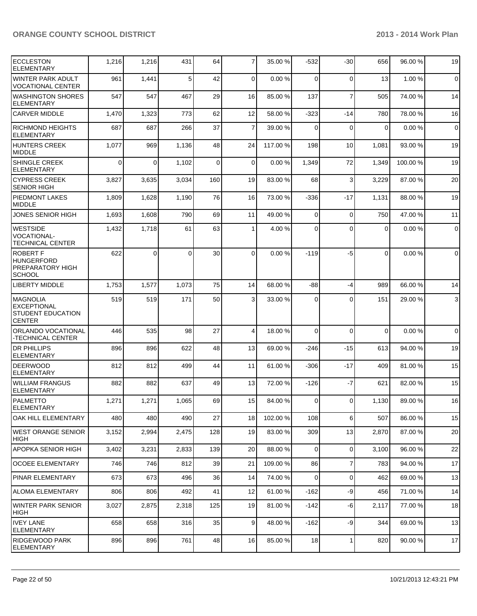| <b>ECCLESTON</b><br><b>ELEMENTARY</b>                                       | 1,216    | 1,216    | 431      | 64  | $\overline{7}$ | 35.00 %  | $-532$   | $-30$          | 656         | 96.00%  | 19             |
|-----------------------------------------------------------------------------|----------|----------|----------|-----|----------------|----------|----------|----------------|-------------|---------|----------------|
| <b>WINTER PARK ADULT</b><br><b>VOCATIONAL CENTER</b>                        | 961      | 1,441    | 5        | 42  | $\Omega$       | 0.00%    | $\Omega$ | $\mathbf 0$    | 13          | 1.00%   | $\overline{0}$ |
| <b>WASHINGTON SHORES</b><br><b>ELEMENTARY</b>                               | 547      | 547      | 467      | 29  | 16             | 85.00 %  | 137      | $\overline{7}$ | 505         | 74.00%  | 14             |
| <b>CARVER MIDDLE</b>                                                        | 1,470    | 1,323    | 773      | 62  | 12             | 58.00 %  | $-323$   | $-14$          | 780         | 78.00 % | 16             |
| <b>RICHMOND HEIGHTS</b><br><b>ELEMENTARY</b>                                | 687      | 687      | 266      | 37  | $\overline{7}$ | 39.00 %  | $\Omega$ | $\Omega$       | $\Omega$    | 0.00%   | $\mathbf 0$    |
| <b>HUNTERS CREEK</b><br><b>MIDDLE</b>                                       | 1,077    | 969      | 1,136    | 48  | 24             | 117.00 % | 198      | 10             | 1,081       | 93.00 % | 19             |
| SHINGLE CREEK<br><b>ELEMENTARY</b>                                          | $\Omega$ | $\Omega$ | 1,102    | 0   | $\Omega$       | 0.00%    | 1,349    | 72             | 1,349       | 100.00% | 19             |
| <b>CYPRESS CREEK</b><br><b>SENIOR HIGH</b>                                  | 3,827    | 3,635    | 3,034    | 160 | 19             | 83.00 %  | 68       | 3              | 3,229       | 87.00 % | 20             |
| <b>PIEDMONT LAKES</b><br><b>MIDDLE</b>                                      | 1,809    | 1,628    | 1,190    | 76  | 16             | 73.00 %  | $-336$   | $-17$          | 1,131       | 88.00%  | 19             |
| JONES SENIOR HIGH                                                           | 1,693    | 1,608    | 790      | 69  | 11             | 49.00 %  | $\Omega$ | $\mathbf 0$    | 750         | 47.00%  | 11             |
| <b>WESTSIDE</b><br><b>VOCATIONAL-</b><br><b>TECHNICAL CENTER</b>            | 1,432    | 1,718    | 61       | 63  | 1              | 4.00 %   | $\Omega$ | $\Omega$       | 0           | 0.00%   | $\mathbf 0$    |
| <b>ROBERT F</b><br><b>HUNGERFORD</b><br>PREPARATORY HIGH<br><b>SCHOOL</b>   | 622      | $\Omega$ | $\Omega$ | 30  | $\Omega$       | 0.00%    | $-119$   | -5             | $\Omega$    | 0.00%   | $\overline{0}$ |
| <b>LIBERTY MIDDLE</b>                                                       | 1,753    | 1,577    | 1,073    | 75  | 14             | 68.00 %  | $-88$    | $-4$           | 989         | 66.00 % | 14             |
| MAGNOLIA<br><b>EXCEPTIONAL</b><br><b>STUDENT EDUCATION</b><br><b>CENTER</b> | 519      | 519      | 171      | 50  | $\overline{3}$ | 33.00 %  | $\Omega$ | $\Omega$       | 151         | 29.00 % | $\mathbf{3}$   |
| ORLANDO VOCATIONAL<br>-TECHNICAL CENTER                                     | 446      | 535      | 98       | 27  | 4              | 18.00 %  | $\Omega$ | $\Omega$       | $\mathbf 0$ | 0.00%   | $\overline{0}$ |
| <b>DR PHILLIPS</b><br><b>ELEMENTARY</b>                                     | 896      | 896      | 622      | 48  | 13             | 69.00 %  | $-246$   | $-15$          | 613         | 94.00%  | 19             |
| <b>DEERWOOD</b><br><b>ELEMENTARY</b>                                        | 812      | 812      | 499      | 44  | 11             | 61.00 %  | $-306$   | $-17$          | 409         | 81.00%  | 15             |
| <b>WILLIAM FRANGUS</b><br><b>ELEMENTARY</b>                                 | 882      | 882      | 637      | 49  | 13             | 72.00 %  | $-126$   | $-7$           | 621         | 82.00 % | 15             |
| PALMETTO<br><b>ELEMENTARY</b>                                               | 1,271    | 1,271    | 1,065    | 69  | 15             | 84.00 %  | $\Omega$ | $\Omega$       | 1,130       | 89.00 % | 16             |
| OAK HILL ELEMENTARY                                                         | 480      | 480      | 490      | 27  | 18             | 102.00%  | 108      | 6              | 507         | 86.00%  | 15             |
| WEST ORANGE SENIOR<br><b>HIGH</b>                                           | 3,152    | 2,994    | 2,475    | 128 | 19             | 83.00 %  | 309      | 13             | 2,870       | 87.00 % | 20             |
| <b>APOPKA SENIOR HIGH</b>                                                   | 3,402    | 3,231    | 2,833    | 139 | 20             | 88.00 %  | $\Omega$ | $\mathbf 0$    | 3,100       | 96.00%  | 22             |
| <b>OCOEE ELEMENTARY</b>                                                     | 746      | 746      | 812      | 39  | 21             | 109.00%  | 86       | $\overline{7}$ | 783         | 94.00%  | 17             |
| PINAR ELEMENTARY                                                            | 673      | 673      | 496      | 36  | 14             | 74.00 %  | $\Omega$ | $\mathbf 0$    | 462         | 69.00 % | 13             |
| <b>ALOMA ELEMENTARY</b>                                                     | 806      | 806      | 492      | 41  | 12             | 61.00 %  | $-162$   | -9             | 456         | 71.00 % | 14             |
| <b>WINTER PARK SENIOR</b><br> HIGH                                          | 3,027    | 2,875    | 2,318    | 125 | 19             | 81.00 %  | $-142$   | $-6$           | 2,117       | 77.00 % | 18             |
| <b>IVEY LANE</b><br><b>ELEMENTARY</b>                                       | 658      | 658      | 316      | 35  | 9              | 48.00 %  | $-162$   | -9             | 344         | 69.00 % | 13             |
| <b>RIDGEWOOD PARK</b><br><b>ELEMENTARY</b>                                  | 896      | 896      | 761      | 48  | 16             | 85.00 %  | 18       | $\mathbf{1}$   | 820         | 90.00%  | 17             |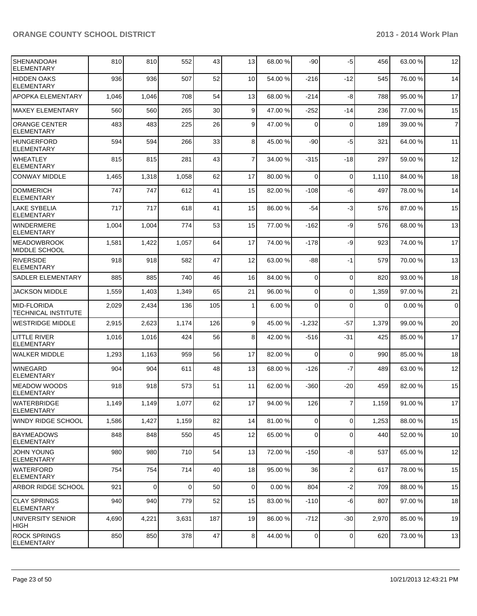| SHENANDOAH<br><b>ELEMENTARY</b>                  | 810   | 810         | 552      | 43  | 13              | 68.00 % | $-90$          | $-5$           | 456   | 63.00 % | 12             |
|--------------------------------------------------|-------|-------------|----------|-----|-----------------|---------|----------------|----------------|-------|---------|----------------|
| <b>HIDDEN OAKS</b><br><b>ELEMENTARY</b>          | 936   | 936         | 507      | 52  | 10              | 54.00 % | $-216$         | $-12$          | 545   | 76.00 % | 14             |
| APOPKA ELEMENTARY                                | 1,046 | 1,046       | 708      | 54  | 13              | 68.00 % | $-214$         | -8             | 788   | 95.00 % | 17             |
| <b>MAXEY ELEMENTARY</b>                          | 560   | 560         | 265      | 30  | $\mathsf{g}$    | 47.00 % | $-252$         | $-14$          | 236   | 77.00 % | 15             |
| <b>ORANGE CENTER</b><br><b>ELEMENTARY</b>        | 483   | 483         | 225      | 26  | $\mathsf{g}$    | 47.00 % | $\Omega$       | $\mathbf 0$    | 189   | 39.00 % | $\overline{7}$ |
| <b>HUNGERFORD</b><br><b>ELEMENTARY</b>           | 594   | 594         | 266      | 33  | 8 <sup>1</sup>  | 45.00 % | $-90$          | $-5$           | 321   | 64.00%  | 11             |
| <b>WHEATLEY</b><br><b>ELEMENTARY</b>             | 815   | 815         | 281      | 43  | $\overline{7}$  | 34.00 % | $-315$         | $-18$          | 297   | 59.00 % | 12             |
| <b>CONWAY MIDDLE</b>                             | 1,465 | 1,318       | 1,058    | 62  | 17              | 80.00 % | $\Omega$       | $\mathbf 0$    | 1,110 | 84.00%  | 18             |
| <b>DOMMERICH</b><br><b>ELEMENTARY</b>            | 747   | 747         | 612      | 41  | 15              | 82.00 % | $-108$         | -6             | 497   | 78.00 % | 14             |
| <b>LAKE SYBELIA</b><br><b>ELEMENTARY</b>         | 717   | 717         | 618      | 41  | 15              | 86.00 % | $-54$          | $-3$           | 576   | 87.00 % | 15             |
| <b>WINDERMERE</b><br><b>ELEMENTARY</b>           | 1,004 | 1,004       | 774      | 53  | 15              | 77.00 % | $-162$         | -9             | 576   | 68.00 % | 13             |
| <b>MEADOWBROOK</b><br>MIDDLE SCHOOL              | 1,581 | 1,422       | 1,057    | 64  | 17              | 74.00 % | $-178$         | -9             | 923   | 74.00 % | 17             |
| <b>RIVERSIDE</b><br><b>ELEMENTARY</b>            | 918   | 918         | 582      | 47  | 12              | 63.00 % | $-88$          | $-1$           | 579   | 70.00%  | 13             |
| SADLER ELEMENTARY                                | 885   | 885         | 740      | 46  | 16              | 84.00 % | $\overline{0}$ | $\mathbf 0$    | 820   | 93.00 % | 18             |
| <b>JACKSON MIDDLE</b>                            | 1,559 | 1,403       | 1,349    | 65  | 21              | 96.00 % | $\overline{0}$ | $\mathbf 0$    | 1,359 | 97.00 % | 21             |
| <b>MID-FLORIDA</b><br><b>TECHNICAL INSTITUTE</b> | 2,029 | 2,434       | 136      | 105 | 1 <sup>1</sup>  | 6.00%   | $\Omega$       | $\Omega$       | 0     | 0.00%   | $\overline{0}$ |
| <b>WESTRIDGE MIDDLE</b>                          | 2,915 | 2,623       | 1,174    | 126 | $\vert 9 \vert$ | 45.00 % | $-1,232$       | $-57$          | 1,379 | 99.00 % | 20             |
| <b>LITTLE RIVER</b><br><b>ELEMENTARY</b>         | 1,016 | 1,016       | 424      | 56  | 8 <sup>1</sup>  | 42.00 % | $-516$         | -31            | 425   | 85.00 % | 17             |
| <b>WALKER MIDDLE</b>                             | 1,293 | 1,163       | 959      | 56  | 17              | 82.00 % | $\Omega$       | 0              | 990   | 85.00 % | 18             |
| <b>WINEGARD</b><br><b>ELEMENTARY</b>             | 904   | 904         | 611      | 48  | 13              | 68.00 % | $-126$         | $-7$           | 489   | 63.00 % | 12             |
| <b>MEADOW WOODS</b><br><b>ELEMENTARY</b>         | 918   | 918         | 573      | 51  | 11              | 62.00 % | $-360$         | $-20$          | 459   | 82.00%  | 15             |
| <b>WATERBRIDGE</b><br><b>ELEMENTARY</b>          | 1,149 | 1,149       | 1,077    | 62  | 17              | 94.00 % | 126            | $\overline{7}$ | 1,159 | 91.00%  | $17\,$         |
| <b>WINDY RIDGE SCHOOL</b>                        | 1,586 | 1,427       | 1,159    | 82  | 14              | 81.00%  | $\overline{0}$ | $\mathbf 0$    | 1,253 | 88.00%  | 15             |
| <b>BAYMEADOWS</b><br><b>ELEMENTARY</b>           | 848   | 848         | 550      | 45  | 12              | 65.00 % | $\overline{0}$ | $\mathbf 0$    | 440   | 52.00 % | 10             |
| <b>JOHN YOUNG</b><br><b>ELEMENTARY</b>           | 980   | 980         | 710      | 54  | 13              | 72.00 % | $-150$         | -8             | 537   | 65.00 % | 12             |
| <b>WATERFORD</b><br><b>ELEMENTARY</b>            | 754   | 754         | 714      | 40  | 18              | 95.00 % | 36             | $\overline{2}$ | 617   | 78.00 % | 15             |
| ARBOR RIDGE SCHOOL                               | 921   | $\mathbf 0$ | $\Omega$ | 50  | $\overline{0}$  | 0.00%   | 804            | $-2$           | 709   | 88.00 % | 15             |
| <b>CLAY SPRINGS</b><br>ELEMENTARY                | 940   | 940         | 779      | 52  | 15              | 83.00 % | $-110$         | $-6$           | 807   | 97.00 % | 18             |
| UNIVERSITY SENIOR<br><b>HIGH</b>                 | 4,690 | 4,221       | 3,631    | 187 | 19              | 86.00 % | $-712$         | $-30$          | 2,970 | 85.00 % | 19             |
| <b>ROCK SPRINGS</b><br><b>ELEMENTARY</b>         | 850   | 850         | 378      | 47  | 8 <sup>1</sup>  | 44.00 % | $\overline{0}$ | $\mathbf 0$    | 620   | 73.00%  | 13             |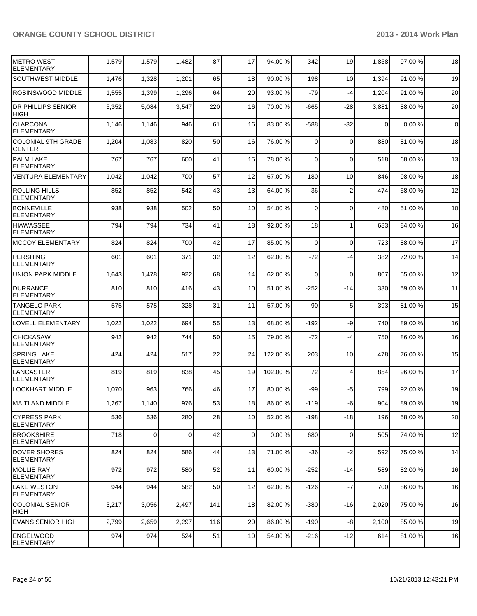| <b>IMETRO WEST</b><br><b>ELEMENTARY</b>    | 1,579 | 1,579          | 1,482 | 87  | 17              | 94.00 %  | 342    | 19             | 1,858       | 97.00 % | 18          |
|--------------------------------------------|-------|----------------|-------|-----|-----------------|----------|--------|----------------|-------------|---------|-------------|
| SOUTHWEST MIDDLE                           | 1,476 | 1,328          | 1,201 | 65  | 18              | 90.00 %  | 198    | 10             | 1,394       | 91.00%  | 19          |
| ROBINSWOOD MIDDLE                          | 1,555 | 1,399          | 1,296 | 64  | 20              | 93.00 %  | $-79$  | $-4$           | 1,204       | 91.00%  | 20          |
| <b>DR PHILLIPS SENIOR</b><br><b>HIGH</b>   | 5,352 | 5,084          | 3,547 | 220 | 16              | 70.00 %  | $-665$ | -28            | 3,881       | 88.00 % | 20          |
| <b>CLARCONA</b><br><b>ELEMENTARY</b>       | 1,146 | 1,146          | 946   | 61  | 16              | 83.00 %  | $-588$ | $-32$          | $\mathbf 0$ | 0.00%   | $\mathbf 0$ |
| <b>COLONIAL 9TH GRADE</b><br><b>CENTER</b> | 1,204 | 1,083          | 820   | 50  | 16              | 76.00 %  | 0      | $\Omega$       | 880         | 81.00 % | 18          |
| <b>PALM LAKE</b><br><b>ELEMENTARY</b>      | 767   | 767            | 600   | 41  | 15              | 78.00 %  | 0      | $\Omega$       | 518         | 68.00 % | 13          |
| <b>VENTURA ELEMENTARY</b>                  | 1,042 | 1,042          | 700   | 57  | 12              | 67.00 %  | $-180$ | $-10$          | 846         | 98.00%  | 18          |
| <b>ROLLING HILLS</b><br><b>ELEMENTARY</b>  | 852   | 852            | 542   | 43  | 13              | 64.00 %  | -36    | $-2$           | 474         | 58.00 % | 12          |
| <b>BONNEVILLE</b><br><b>ELEMENTARY</b>     | 938   | 938            | 502   | 50  | 10              | 54.00 %  | 0      | 0              | 480         | 51.00 % | 10          |
| <b>HIAWASSEE</b><br><b>ELEMENTARY</b>      | 794   | 794            | 734   | 41  | 18              | 92.00 %  | 18     |                | 683         | 84.00%  | 16          |
| <b>MCCOY ELEMENTARY</b>                    | 824   | 824            | 700   | 42  | 17              | 85.00 %  | 0      | $\Omega$       | 723         | 88.00 % | 17          |
| <b>PERSHING</b><br><b>ELEMENTARY</b>       | 601   | 601            | 371   | 32  | 12              | 62.00 %  | $-72$  | $-4$           | 382         | 72.00 % | 14          |
| <b>UNION PARK MIDDLE</b>                   | 1,643 | 1,478          | 922   | 68  | 14              | 62.00 %  | 0      | $\mathbf 0$    | 807         | 55.00 % | 12          |
| <b>DURRANCE</b><br><b>ELEMENTARY</b>       | 810   | 810            | 416   | 43  | 10              | 51.00 %  | $-252$ | $-14$          | 330         | 59.00 % | 11          |
| <b>TANGELO PARK</b><br><b>ELEMENTARY</b>   | 575   | 575            | 328   | 31  | 11              | 57.00 %  | -90    | $-5$           | 393         | 81.00%  | 15          |
| LOVELL ELEMENTARY                          | 1,022 | 1,022          | 694   | 55  | 13              | 68.00 %  | -192   | -9             | 740         | 89.00 % | 16          |
| <b>CHICKASAW</b><br><b>ELEMENTARY</b>      | 942   | 942            | 744   | 50  | 15              | 79.00 %  | $-72$  | -4             | 750         | 86.00 % | 16          |
| <b>SPRING LAKE</b><br><b>ELEMENTARY</b>    | 424   | 424            | 517   | 22  | 24              | 122.00 % | 203    | 10             | 478         | 76.00 % | 15          |
| LANCASTER<br><b>ELEMENTARY</b>             | 819   | 819            | 838   | 45  | 19              | 102.00 % | 72     | $\overline{4}$ | 854         | 96.00 % | 17          |
| <b>LOCKHART MIDDLE</b>                     | 1,070 | 963            | 766   | 46  | 17              | 80.00 %  | -99    | $-5$           | 799         | 92.00%  | 19          |
| MAITLAND MIDDLE                            | 1,267 | 1,140          | 976   | 53  | 18              | 86.00 %  | $-119$ | 6              | 904         | 89.00%  | 19          |
| <b>CYPRESS PARK</b><br><b>ELEMENTARY</b>   | 536   | 536            | 280   | 28  | 10 <sup>1</sup> | 52.00 %  | $-198$ | $-18$          | 196         | 58.00 % | 20          |
| <b>BROOKSHIRE</b><br><b>ELEMENTARY</b>     | 718   | $\overline{0}$ | 0     | 42  | 0               | 0.00%    | 680    | $\mathbf 0$    | 505         | 74.00 % | 12          |
| DOVER SHORES<br><b>IELEMENTARY</b>         | 824   | 824            | 586   | 44  | 13              | 71.00 %  | $-36$  | $-2$           | 592         | 75.00 % | 14          |
| MOLLIE RAY<br>ELEMENTARY                   | 972   | 972            | 580   | 52  | 11              | 60.00 %  | $-252$ | $-14$          | 589         | 82.00%  | 16          |
| <b>LAKE WESTON</b><br>ELEMENTARY           | 944   | 944            | 582   | 50  | 12              | 62.00 %  | $-126$ | $-7$           | 700         | 86.00%  | 16          |
| COLONIAL SENIOR<br>HIGH                    | 3,217 | 3,056          | 2,497 | 141 | 18              | 82.00 %  | $-380$ | -16            | 2,020       | 75.00 % | 16          |
| <b>EVANS SENIOR HIGH</b>                   | 2,799 | 2,659          | 2,297 | 116 | 20              | 86.00 %  | $-190$ | $-8$           | 2,100       | 85.00 % | 19          |
| <b>ENGELWOOD</b><br>ELEMENTARY             | 974   | 974            | 524   | 51  | 10              | 54.00 %  | $-216$ | $-12$          | 614         | 81.00%  | 16          |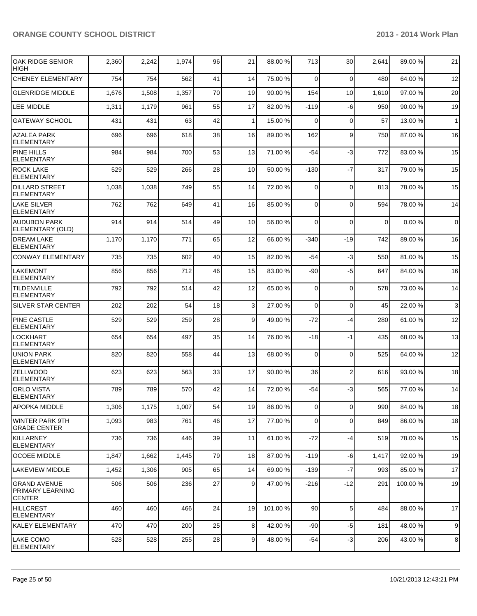| OAK RIDGE SENIOR<br><b>HIGH</b>                          | 2,360 | 2,242 | 1,974 | 96 | 21              | 88.00 %  | 713             | 30              | 2,641          | 89.00 %  | 21             |
|----------------------------------------------------------|-------|-------|-------|----|-----------------|----------|-----------------|-----------------|----------------|----------|----------------|
| <b>CHENEY ELEMENTARY</b>                                 | 754   | 754   | 562   | 41 | 14              | 75.00 %  | $\Omega$        | $\mathbf 0$     | 480            | 64.00%   | 12             |
| <b>GLENRIDGE MIDDLE</b>                                  | 1,676 | 1,508 | 1,357 | 70 | 19              | 90.00 %  | 154             | 10 <sup>1</sup> | 1,610          | 97.00%   | 20             |
| LEE MIDDLE                                               | 1,311 | 1,179 | 961   | 55 | 17              | 82.00 %  | $-119$          | $-6$            | 950            | 90.00%   | 19             |
| <b>GATEWAY SCHOOL</b>                                    | 431   | 431   | 63    | 42 | 1               | 15.00 %  | $\Omega$        | $\mathbf 0$     | 57             | 13.00 %  | 1              |
| <b>AZALEA PARK</b><br><b>ELEMENTARY</b>                  | 696   | 696   | 618   | 38 | 16              | 89.00 %  | 162             | 9               | 750            | 87.00 %  | 16             |
| <b>PINE HILLS</b><br><b>ELEMENTARY</b>                   | 984   | 984   | 700   | 53 | 13              | 71.00 %  | $-54$           | $-3$            | 772            | 83.00 %  | 15             |
| <b>ROCK LAKE</b><br><b>ELEMENTARY</b>                    | 529   | 529   | 266   | 28 | 10 <sup>1</sup> | 50.00 %  | $-130$          | $-7$            | 317            | 79.00 %  | 15             |
| <b>DILLARD STREET</b><br><b>ELEMENTARY</b>               | 1,038 | 1,038 | 749   | 55 | 14              | 72.00 %  | 0               | $\mathbf 0$     | 813            | 78.00 %  | 15             |
| LAKE SILVER<br><b>ELEMENTARY</b>                         | 762   | 762   | 649   | 41 | 16              | 85.00 %  | $\Omega$        | $\overline{0}$  | 594            | 78.00%   | 14             |
| <b>AUDUBON PARK</b><br>ELEMENTARY (OLD)                  | 914   | 914   | 514   | 49 | 10 <sup>1</sup> | 56.00 %  | $\overline{0}$  | $\mathbf 0$     | $\overline{0}$ | 0.00%    | $\overline{0}$ |
| <b>DREAM LAKE</b><br><b>ELEMENTARY</b>                   | 1,170 | 1,170 | 771   | 65 | 12              | 66.00 %  | $-340$          | $-19$           | 742            | 89.00 %  | 16             |
| <b>CONWAY ELEMENTARY</b>                                 | 735   | 735   | 602   | 40 | 15              | 82.00 %  | $-54$           | $-3$            | 550            | 81.00%   | 15             |
| <b>LAKEMONT</b><br><b>ELEMENTARY</b>                     | 856   | 856   | 712   | 46 | 15              | 83.00 %  | -90             | -5              | 647            | 84.00 %  | 16             |
| <b>TILDENVILLE</b><br><b>ELEMENTARY</b>                  | 792   | 792   | 514   | 42 | 12              | 65.00 %  | $\overline{0}$  | $\mathbf 0$     | 578            | 73.00 %  | 14             |
| <b>SILVER STAR CENTER</b>                                | 202   | 202   | 54    | 18 | $\overline{3}$  | 27.00 %  | $\Omega$        | $\mathbf 0$     | 45             | 22.00 %  | 3              |
| <b>PINE CASTLE</b><br><b>ELEMENTARY</b>                  | 529   | 529   | 259   | 28 | $\vert 9 \vert$ | 49.00 %  | $-72$           | $-4$            | 280            | 61.00%   | 12             |
| <b>LOCKHART</b><br><b>ELEMENTARY</b>                     | 654   | 654   | 497   | 35 | 14              | 76.00 %  | $-18$           | -1              | 435            | 68.00 %  | 13             |
| <b>UNION PARK</b><br><b>ELEMENTARY</b>                   | 820   | 820   | 558   | 44 | 13              | 68.00 %  | $\Omega$        | $\mathbf 0$     | 525            | 64.00%   | 12             |
| <b>ZELLWOOD</b><br><b>ELEMENTARY</b>                     | 623   | 623   | 563   | 33 | 17              | 90.00 %  | 36              | $\overline{2}$  | 616            | 93.00 %  | 18             |
| <b>ORLO VISTA</b><br><b>ELEMENTARY</b>                   | 789   | 789   | 570   | 42 | 14              | 72.00 %  | $-54$           | -3              | 565            | 77.00 %  | 14             |
| <b>APOPKA MIDDLE</b>                                     | 1,306 | 1,175 | 1,007 | 54 | 19              | 86.00 %  | 01              | $\overline{0}$  | 990            | 84.00 %  | 18             |
| WINTER PARK 9TH<br><b>GRADE CENTER</b>                   | 1,093 | 983   | 761   | 46 | 17              | 77.00 %  | $\Omega$        | $\mathbf 0$     | 849            | 86.00 %  | 18             |
| KILLARNEY<br><b>ELEMENTARY</b>                           | 736   | 736   | 446   | 39 | 11              | 61.00 %  | $-72$           | -4              | 519            | 78.00 %  | 15             |
| <b>OCOEE MIDDLE</b>                                      | 1,847 | 1,662 | 1,445 | 79 | 18              | 87.00 %  | $-119$          | $-6$            | 1,417          | 92.00 %  | 19             |
| LAKEVIEW MIDDLE                                          | 1,452 | 1,306 | 905   | 65 | 14              | 69.00 %  | $-139$          | $-7$            | 993            | 85.00 %  | 17             |
| <b>GRAND AVENUE</b><br>PRIMARY LEARNING<br><b>CENTER</b> | 506   | 506   | 236   | 27 | 9 <sub>l</sub>  | 47.00 %  | $-216$          | $-12$           | 291            | 100.00 % | 19             |
| HILLCREST<br><b>ELEMENTARY</b>                           | 460   | 460   | 466   | 24 | 19              | 101.00 % | 90 <sup>°</sup> | 5               | 484            | 88.00%   | 17             |
| KALEY ELEMENTARY                                         | 470   | 470   | 200   | 25 | 8 <sup>1</sup>  | 42.00 %  | $-90$           | $-5$            | 181            | 48.00 %  | 9              |
| <b>LAKE COMO</b><br>ELEMENTARY                           | 528   | 528   | 255   | 28 | 9 <sup>1</sup>  | 48.00 %  | $-54$           | $-3$            | 206            | 43.00%   | 8              |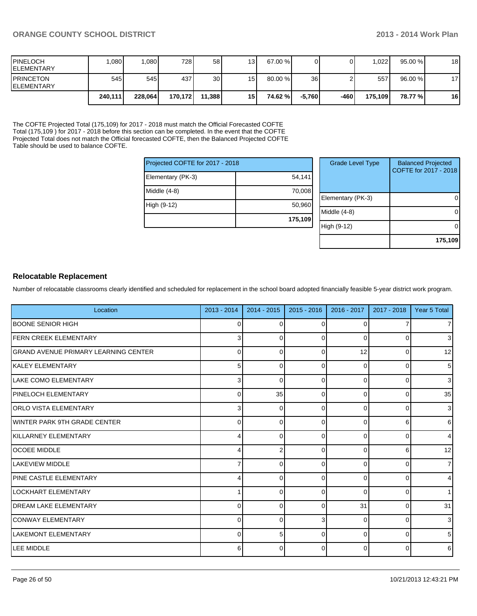| <b>IPINELOCH</b><br><b>IELEMENTARY</b>  | .080    | .080 <sub>1</sub> | 728 l   | 58              | 13 <sub>l</sub> | 67.00 %   |          |      | ا 022. ا | 95.00%    | 18 |
|-----------------------------------------|---------|-------------------|---------|-----------------|-----------------|-----------|----------|------|----------|-----------|----|
| <b>IPRINCETON</b><br><b>IELEMENTARY</b> | 545     | 545 <sup>I</sup>  | 437 I   | 30 <sup>1</sup> | 15 <sup>1</sup> | $80.00\%$ | 36       |      | 557      | $96.00\%$ | 17 |
|                                         | 240,111 | 228.064           | 170,172 | 11.388          | 15 I            | 74.62 %l  | $-5.760$ | -460 | 175.109  | 78.77 %   | 16 |

The COFTE Projected Total (175,109) for 2017 - 2018 must match the Official Forecasted COFTE Total (175,109 ) for 2017 - 2018 before this section can be completed. In the event that the COFTE Projected Total does not match the Official forecasted COFTE, then the Balanced Projected COFTE Table should be used to balance COFTE.

|                                 | 175,109 |  |  |  |  |
|---------------------------------|---------|--|--|--|--|
| High (9-12)                     | 50,960  |  |  |  |  |
| Middle (4-8)                    | 70,008  |  |  |  |  |
| Elementary (PK-3)               | 54,141  |  |  |  |  |
| Projected COFTE for 2017 - 2018 |         |  |  |  |  |

| <b>Grade Level Type</b> | <b>Balanced Projected</b><br>COFTE for 2017 - 2018 |
|-------------------------|----------------------------------------------------|
| Elementary (PK-3)       |                                                    |
| Middle $(4-8)$          |                                                    |
| High (9-12)             |                                                    |
|                         | 175,109                                            |

#### **Relocatable Replacement**

Number of relocatable classrooms clearly identified and scheduled for replacement in the school board adopted financially feasible 5-year district work program.

| Location                              | $2013 - 2014$ | 2014 - 2015 | $2015 - 2016$ | 2016 - 2017    | 2017 - 2018 | Year 5 Total    |
|---------------------------------------|---------------|-------------|---------------|----------------|-------------|-----------------|
| <b>IBOONE SENIOR HIGH</b>             | 0             | $\Omega$    | 0             | 0              |             | $\overline{7}$  |
| <b>FERN CREEK ELEMENTARY</b>          | 3             | 0           | $\Omega$      | $\Omega$       | 0           | 3               |
| IGRAND AVENUE PRIMARY LEARNING CENTER | $\Omega$      | 0           | $\Omega$      | 12             | 0           | 12              |
| <b>IKALEY ELEMENTARY</b>              | 5             | $\Omega$    | 0             | $\Omega$       | $\Omega$    | $5\phantom{.0}$ |
| <b>ILAKE COMO ELEMENTARY</b>          | 3             | $\Omega$    | 0             | 0              | 0           | $\mathbf{3}$    |
| <b>PINELOCH ELEMENTARY</b>            | 0             | 35          | 0             | $\Omega$       | 0           | 35              |
| <b>ORLO VISTA ELEMENTARY</b>          | 3             | $\Omega$    | $\Omega$      | $\Omega$       | $\Omega$    | $\mathbf{3}$    |
| IWINTER PARK 9TH GRADE CENTER         | 0             | $\Omega$    | <sup>0</sup>  | $\Omega$       |             | 6               |
| KILLARNEY ELEMENTARY                  | Δ             | $\Omega$    | 0             | $\Omega$       | n           | $\overline{4}$  |
| <b>OCOEE MIDDLE</b>                   |               |             | <sup>0</sup>  | $\Omega$       | 6           | 12              |
| LAKEVIEW MIDDLE                       |               | ∩           | n             | 0              | U           | $\overline{7}$  |
| <b>PINE CASTLE ELEMENTARY</b>         |               | ∩           | 0             | $\Omega$       | 0           | $\overline{4}$  |
| LOCKHART ELEMENTARY                   |               | ∩           | 0             | $\Omega$       | 0           | 1               |
| <b>IDREAM LAKE ELEMENTARY</b>         | 0             | 0           | 0             | 31             | 0           | 31              |
| <b>CONWAY ELEMENTARY</b>              | 0             | $\Omega$    | 3             | $\Omega$       | 0           | $\mathbf{3}$    |
| <b>LAKEMONT ELEMENTARY</b>            | 0             | 5           | $\Omega$      | $\Omega$       | 0           | $5\phantom{.0}$ |
| LEE MIDDLE                            | 6             | $\Omega$    | $\Omega$      | $\overline{0}$ | 0           | 6               |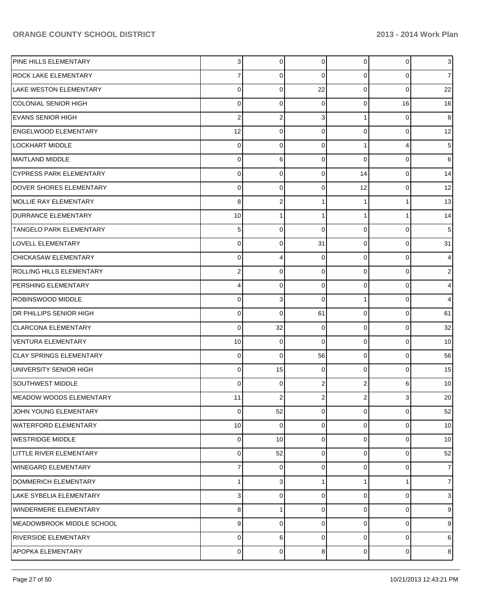| PINE HILLS ELEMENTARY          | $\overline{3}$ | $\mathbf 0$ | $\overline{0}$ | $\overline{0}$ | 0              | 3 <sup>1</sup> |
|--------------------------------|----------------|-------------|----------------|----------------|----------------|----------------|
| <b>ROCK LAKE ELEMENTARY</b>    | 7              | 0           | 0              | $\Omega$       | 0              | 7 <sup>1</sup> |
| LAKE WESTON ELEMENTARY         | 0              | 0           | 22             | $\Omega$       | 0              | 22             |
| <b>COLONIAL SENIOR HIGH</b>    | 0              | $\mathbf 0$ | 0              | $\Omega$       | 16             | 16             |
| <b>EVANS SENIOR HIGH</b>       | $\overline{2}$ | 2           | 3              |                | 0              | 8              |
| <b>ENGELWOOD ELEMENTARY</b>    | 12             | $\mathbf 0$ | 0              | $\Omega$       | 0              | 12             |
| <b>LOCKHART MIDDLE</b>         | 0              | 0           | 0              |                | 4              | 5              |
| <b>MAITLAND MIDDLE</b>         | 0              | 6           | 0              | $\Omega$       | 0              | 6              |
| <b>CYPRESS PARK ELEMENTARY</b> | 0              | 0           | $\Omega$       | 14             | 0              | 14             |
| DOVER SHORES ELEMENTARY        | 0              | $\mathbf 0$ | 0              | 12             | 0              | 12             |
| MOLLIE RAY ELEMENTARY          | 8              | 2           |                |                |                | 13             |
| <b>DURRANCE ELEMENTARY</b>     | 10             |             | 1              |                |                | 14             |
| <b>TANGELO PARK ELEMENTARY</b> | 5              | 0           | $\Omega$       | $\Omega$       | 0              | 5              |
| LOVELL ELEMENTARY              | 0              | $\mathbf 0$ | 31             | $\Omega$       | 0              | 31             |
| CHICKASAW ELEMENTARY           | 0              | 4           | 0              | $\Omega$       | 0              | 4              |
| ROLLING HILLS ELEMENTARY       | 2              | $\mathbf 0$ | 0              | $\Omega$       | 0              | $\overline{2}$ |
| PERSHING ELEMENTARY            | 4              | 0           | 0              | $\Omega$       | 0              | 4              |
| <b>ROBINSWOOD MIDDLE</b>       | 0              | 3           | 0              |                | 0              | 4              |
| <b>DR PHILLIPS SENIOR HIGH</b> | 0              | $\mathbf 0$ | 61             | $\Omega$       | 0              | 61             |
| <b>CLARCONA ELEMENTARY</b>     | 0              | 32          | 0              | $\Omega$       | 0              | 32             |
| <b>VENTURA ELEMENTARY</b>      | 10             | 0           | $\Omega$       | $\Omega$       | 0              | 10             |
| <b>CLAY SPRINGS ELEMENTARY</b> | 0              | $\mathbf 0$ | 56             | $\Omega$       | 0              | 56             |
| UNIVERSITY SENIOR HIGH         | 0              | 15          | 0              | $\Omega$       | 0              | 15             |
| <b>SOUTHWEST MIDDLE</b>        | 0              | $\mathbf 0$ | $\overline{2}$ | $\overline{2}$ | 6              | 10             |
| <b>MEADOW WOODS ELEMENTARY</b> | 11             | 2           |                | 2              | 3              | 20             |
| JOHN YOUNG ELEMENTARY          | 0              | 52          | $\overline{0}$ | $\overline{0}$ | $\overline{0}$ | 52             |
| <b>WATERFORD ELEMENTARY</b>    | 10             | $\mathbf 0$ | 0              | $\overline{0}$ | 0              | 10             |
| <b>WESTRIDGE MIDDLE</b>        | 0              | 10          | $\Omega$       | 0              | 0              | 10             |
| LITTLE RIVER ELEMENTARY        | 0              | 52          | 0              | $\overline{0}$ | 0              | 52             |
| WINEGARD ELEMENTARY            | 7              | 0           | $\Omega$       | 0              | 0              | $\overline{7}$ |
| DOMMERICH ELEMENTARY           | 1              | 3           |                |                |                | 7 <sup>1</sup> |
| LAKE SYBELIA ELEMENTARY        | 3              | 0           | $\Omega$       | $\Omega$       | $\Omega$       | 3              |
| WINDERMERE ELEMENTARY          | 8              |             | $\Omega$       | 0              | 0              | 9              |
| MEADOWBROOK MIDDLE SCHOOL      | 9              | 0           | 0              | $\Omega$       | 0              | 9              |
| <b>RIVERSIDE ELEMENTARY</b>    | 0              | 6           | 0              | $\overline{0}$ | 0              | 6              |
| <b>APOPKA ELEMENTARY</b>       | 0              | 0           | 8              | $\overline{0}$ | $\overline{0}$ | 8 <sup>1</sup> |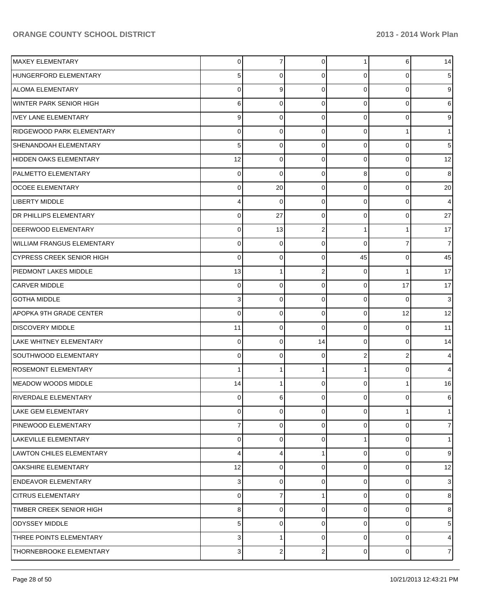| MAXEY ELEMENTARY                  | $\overline{0}$ | 7           | $\overline{0}$ | 1              | 6              | 14             |
|-----------------------------------|----------------|-------------|----------------|----------------|----------------|----------------|
| HUNGERFORD ELEMENTARY             | 5              | 0           | 0              | $\Omega$       | 0              | 5              |
| <b>ALOMA ELEMENTARY</b>           | 0              | 9           | $\Omega$       | $\Omega$       | 0              | 9              |
| WINTER PARK SENIOR HIGH           | 6              | 0           | 0              | $\Omega$       | $\Omega$       | 6              |
| <b>IVEY LANE ELEMENTARY</b>       | 9              | $\Omega$    | $\Omega$       | $\Omega$       | 0              | 9              |
| <b>RIDGEWOOD PARK ELEMENTARY</b>  | 0              | 0           | 0              | $\Omega$       |                | 1              |
| SHENANDOAH ELEMENTARY             | 5              | $\Omega$    | $\Omega$       | $\Omega$       | $\Omega$       | 5              |
| HIDDEN OAKS ELEMENTARY            | 12             | 0           | 0              | $\Omega$       | $\Omega$       | 12             |
| <b>PALMETTO ELEMENTARY</b>        | $\mathbf 0$    | 0           | $\Omega$       | 8              | 0              | 8              |
| <b>OCOEE ELEMENTARY</b>           | $\mathbf 0$    | 20          | 0              | $\Omega$       | $\Omega$       | 20             |
| <b>LIBERTY MIDDLE</b>             | 4              | $\Omega$    | $\Omega$       | 0              | $\Omega$       | $\overline{4}$ |
| <b>IDR PHILLIPS ELEMENTARY</b>    | $\mathbf 0$    | 27          | 0              | 0              | $\Omega$       | 27             |
| DEERWOOD ELEMENTARY               | 0              | 13          | 2              |                |                | 17             |
| <b>WILLIAM FRANGUS ELEMENTARY</b> | $\mathbf 0$    | 0           | $\Omega$       | $\Omega$       | 7              | $\overline{7}$ |
| CYPRESS CREEK SENIOR HIGH         | $\mathbf 0$    | $\Omega$    | $\Omega$       | 45             | 0              | 45             |
| PIEDMONT LAKES MIDDLE             | 13             |             | $\overline{2}$ | $\Omega$       |                | 17             |
| <b>CARVER MIDDLE</b>              | $\mathbf 0$    | $\Omega$    | $\Omega$       | $\Omega$       | 17             | 17             |
| <b>GOTHA MIDDLE</b>               | 3              | 0           | 0              | 0              | $\Omega$       | $\overline{3}$ |
| APOPKA 9TH GRADE CENTER           | $\mathbf 0$    | $\Omega$    | 0              | $\Omega$       | 12             | 12             |
| <b>DISCOVERY MIDDLE</b>           | 11             | 0           | $\Omega$       | $\mathbf 0$    | 0              | 11             |
| LAKE WHITNEY ELEMENTARY           | $\mathbf 0$    | $\Omega$    | 14             | $\Omega$       | $\Omega$       | 14             |
| SOUTHWOOD ELEMENTARY              | $\mathbf 0$    | 0           | 0              | $\overline{2}$ | 2              | 4              |
| <b>ROSEMONT ELEMENTARY</b>        | 1              |             |                |                | 0              | 4              |
| <b>MEADOW WOODS MIDDLE</b>        | 14             |             | $\Omega$       | $\Omega$       |                | 16             |
| <b>RIVERDALE ELEMENTARY</b>       | 0              | 6           | $\Omega$       | $\Omega$       | 0              | 6              |
| <b>LAKE GEM ELEMENTARY</b>        | $\pmb{0}$      | $\mathbf 0$ | $\mathbf 0$    | $\overline{0}$ |                | 1 <sup>1</sup> |
| PINEWOOD ELEMENTARY               | 7              | 0           | 0              | 0              | $\Omega$       | 7 <sup>1</sup> |
| LAKEVILLE ELEMENTARY              | 0              | $\Omega$    | $\Omega$       |                | 0              | 1 <sup>1</sup> |
| LAWTON CHILES ELEMENTARY          | 4              | 4           | 1              | 0              | $\Omega$       | 9              |
| <b>OAKSHIRE ELEMENTARY</b>        | 12             | 0           | 0              | $\Omega$       | $\Omega$       | 12             |
| <b>ENDEAVOR ELEMENTARY</b>        | 3              | 0           | 0              | $\overline{0}$ | $\Omega$       | 3 <sub>l</sub> |
| <b>CITRUS ELEMENTARY</b>          | $\mathbf 0$    |             |                | $\Omega$       | $\Omega$       | 8              |
| TIMBER CREEK SENIOR HIGH          | 8              | 0           | 0              | $\overline{0}$ | $\Omega$       | 8              |
| <b>ODYSSEY MIDDLE</b>             | 5              | 0           | $\Omega$       | 0              | 0              | 5              |
| THREE POINTS ELEMENTARY           | 3              |             | $\mathbf 0$    | 0              | 0              | $\overline{4}$ |
| THORNEBROOKE ELEMENTARY           | 3              | 2           | $\overline{2}$ | $\overline{0}$ | $\overline{0}$ | 7 <sup>1</sup> |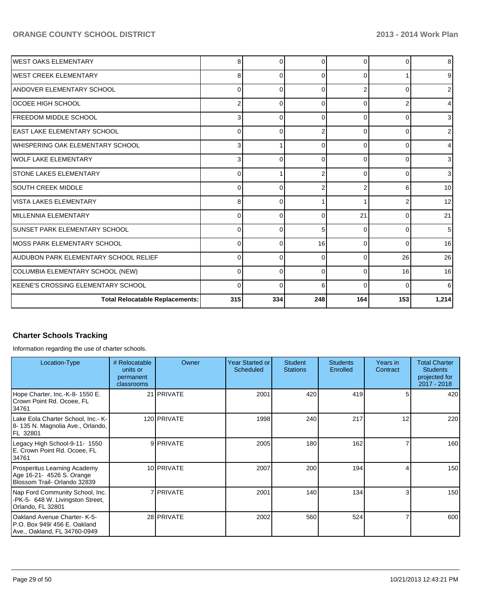| <b>IWEST OAKS ELEMENTARY</b>               | 8           |          | ∩        | 0        |          | 8 <sup>1</sup> |
|--------------------------------------------|-------------|----------|----------|----------|----------|----------------|
| IWEST CREEK ELEMENTARY                     | 8           | 0        | $\Omega$ | $\Omega$ |          | 9              |
| <b>ANDOVER ELEMENTARY SCHOOL</b>           | 0           | 0        | $\Omega$ |          |          | 2              |
| lOCOEE HIGH SCHOOL                         | 2           | 0        | $\Omega$ | $\Omega$ |          | 4              |
| <b>IFREEDOM MIDDLE SCHOOL</b>              | 3           | 0        | $\Omega$ | $\Omega$ | ∩        | 3              |
| IEAST LAKE ELEMENTARY SCHOOL               | 0           | 0        |          | $\Omega$ | 0        | 2              |
| IWHISPERING OAK ELEMENTARY SCHOOL          | 3           |          | $\Omega$ | $\Omega$ | C        | 4              |
| WOLF LAKE ELEMENTARY                       | 3           | O        | $\Omega$ | $\Omega$ | ∩        | 3              |
| <b>STONE LAKES ELEMENTARY</b>              | 0           |          |          | $\Omega$ |          | 3              |
| <b>SOUTH CREEK MIDDLE</b>                  | 0           | $\Omega$ |          |          |          | 10             |
| <b>VISTA LAKES ELEMENTARY</b>              | 8           | $\Omega$ |          |          |          | 12             |
| IMILLENNIA ELEMENTARY                      | 0           | ∩        | $\Omega$ | 21       |          | 21             |
| <b>SUNSET PARK ELEMENTARY SCHOOL</b>       | $\mathbf 0$ | ∩        | 5        | $\Omega$ |          | 5              |
| IMOSS PARK ELEMENTARY SCHOOL               | $\mathbf 0$ |          | 16       | $\Omega$ | C        | 16             |
| AUDUBON PARK ELEMENTARY SCHOOL RELIEF      | $\mathbf 0$ | 0        | $\Omega$ | $\Omega$ | 26       | 26             |
| COLUMBIA ELEMENTARY SCHOOL (NEW)           | 0           | 0        | $\Omega$ | 0        | 16       | 16             |
| <b>IKEENE'S CROSSING ELEMENTARY SCHOOL</b> | 0           | 0        | 6        | $\Omega$ | $\Omega$ | 6              |
| <b>Total Relocatable Replacements:</b>     | 315         | 334      | 248      | 164      | 153      | 1,214          |

#### **Charter Schools Tracking**

Information regarding the use of charter schools.

| Location-Type                                                                              | # Relocatable<br>units or<br>permanent<br>classrooms | Owner              | <b>Year Started or</b><br>Scheduled | <b>Student</b><br><b>Stations</b> | <b>Students</b><br>Enrolled | Years in<br>Contract | <b>Total Charter</b><br><b>Students</b><br>projected for<br>$2017 - 2018$ |
|--------------------------------------------------------------------------------------------|------------------------------------------------------|--------------------|-------------------------------------|-----------------------------------|-----------------------------|----------------------|---------------------------------------------------------------------------|
| Hope Charter, Inc.-K-8-1550 E.<br>Crown Point Rd. Ocoee, FL<br>34761                       |                                                      | 21 <b>IPRIVATE</b> | 2001                                | 420                               | 419                         | 5                    | 420                                                                       |
| Lake Eola Charter School, Inc. - K-<br>8-135 N. Magnolia Ave., Orlando,<br>FL 32801        |                                                      | 120 PRIVATE        | 1998                                | 240                               | 217                         | 12                   | 220                                                                       |
| Legacy High School-9-11- 1550<br>E. Crown Point Rd. Ocoee, FL<br>34761                     |                                                      | 9 PRIVATE          | 2005                                | 180                               | 162                         |                      | 160                                                                       |
| Prosperitus Learning Academy<br>Age 16-21- 4526 S. Orange<br>Blossom Trail- Orlando 32839  |                                                      | 10 <b>PRIVATE</b>  | 2007                                | 200                               | 194                         |                      | 150                                                                       |
| Nap Ford Community School, Inc.<br>-PK-5- 648 W. Livingston Street,<br>Orlando, FL 32801   |                                                      | 7 <b>PRIVATE</b>   | 2001                                | 140                               | 134                         |                      | 150                                                                       |
| Oakland Avenue Charter-K-5-<br>P.O. Box 949/456 E. Oakland<br>Ave., Oakland, FL 34760-0949 |                                                      | 28 PRIVATE         | 2002                                | 560                               | 524                         |                      | 600                                                                       |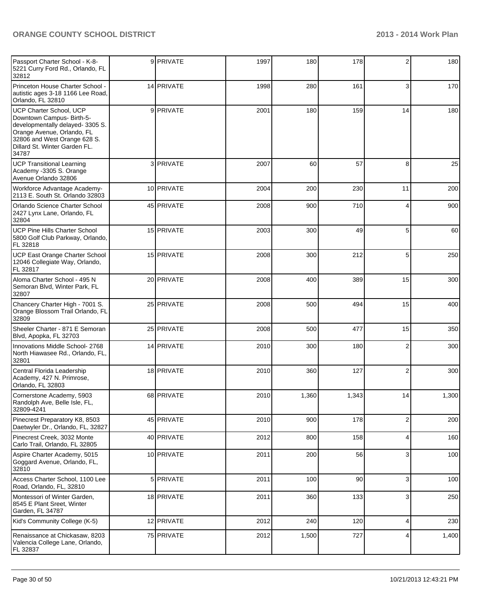| Passport Charter School - K-8-<br>5221 Curry Ford Rd., Orlando, FL<br>32812                                                                                                                            | 9 PRIVATE         | 1997 | 180   | 178   | 2              | 180   |
|--------------------------------------------------------------------------------------------------------------------------------------------------------------------------------------------------------|-------------------|------|-------|-------|----------------|-------|
| Princeton House Charter School -<br>autistic ages 3-18 1166 Lee Road,<br>Orlando, FL 32810                                                                                                             | 14 PRIVATE        | 1998 | 280   | 161   | 3              | 170   |
| <b>UCP Charter School, UCP</b><br>Downtown Campus- Birth-5-<br>developmentally delayed-3305 S.<br>Orange Avenue, Orlando, FL<br>32806 and West Orange 628 S.<br>Dillard St. Winter Garden FL.<br>34787 | 9 PRIVATE         | 2001 | 180   | 159   | 14             | 180   |
| <b>UCP Transitional Learning</b><br>Academy -3305 S. Orange<br>Avenue Orlando 32806                                                                                                                    | 3 PRIVATE         | 2007 | 60    | 57    | 8              | 25    |
| Workforce Advantage Academy-<br>2113 E. South St. Orlando 32803                                                                                                                                        | 10 <b>PRIVATE</b> | 2004 | 200   | 230   | 11             | 200   |
| Orlando Science Charter School<br>2427 Lynx Lane, Orlando, FL<br>32804                                                                                                                                 | 45 PRIVATE        | 2008 | 900   | 710   | 4              | 900   |
| <b>UCP Pine Hills Charter School</b><br>5800 Golf Club Parkway, Orlando,<br>FL 32818                                                                                                                   | 15 PRIVATE        | 2003 | 300   | 49    | 5              | 60    |
| UCP East Orange Charter School<br>12046 Collegiate Way, Orlando,<br>FL 32817                                                                                                                           | 15 PRIVATE        | 2008 | 300   | 212   | 5              | 250   |
| Aloma Charter School - 495 N<br>Semoran Blvd, Winter Park, FL<br>32807                                                                                                                                 | 20 PRIVATE        | 2008 | 400   | 389   | 15             | 300   |
| Chancery Charter High - 7001 S.<br>Orange Blossom Trail Orlando, FL<br>32809                                                                                                                           | 25 PRIVATE        | 2008 | 500   | 494   | 15             | 400   |
| Sheeler Charter - 871 E Semoran<br>Blvd, Apopka, FL 32703                                                                                                                                              | 25 PRIVATE        | 2008 | 500   | 477   | 15             | 350   |
| Innovations Middle School-2768<br>North Hiawasee Rd., Orlando, FL,<br>32801                                                                                                                            | 14 PRIVATE        | 2010 | 300   | 180   | 2              | 300   |
| Central Florida Leadership<br>Academy, 427 N. Primrose,<br>Orlando, FL 32803                                                                                                                           | 18 PRIVATE        | 2010 | 360   | 127   | $\overline{2}$ | 300   |
| Cornerstone Academy, 5903<br>Randolph Ave, Belle Isle, FL,<br>32809-4241                                                                                                                               | 68 PRIVATE        | 2010 | 1,360 | 1,343 | 14             | 1,300 |
| Pinecrest Preparatory K8, 8503<br>Daetwyler Dr., Orlando, FL, 32827                                                                                                                                    | 45 PRIVATE        | 2010 | 900   | 178   | $\overline{c}$ | 200   |
| Pinecrest Creek, 3032 Monte<br>Carlo Trail, Orlando, FL 32805                                                                                                                                          | 40 PRIVATE        | 2012 | 800   | 158   | 4              | 160   |
| Aspire Charter Academy, 5015<br>Goggard Avenue, Orlando, FL,<br>32810                                                                                                                                  | 10 PRIVATE        | 2011 | 200   | 56    | 3              | 100   |
| Access Charter School, 1100 Lee<br>Road, Orlando, FL, 32810                                                                                                                                            | 5 PRIVATE         | 2011 | 100   | 90    | $\mathbf{3}$   | 100   |
| Montessori of Winter Garden,<br>8545 E Plant Sreet, Winter<br>Garden, FL 34787                                                                                                                         | 18 PRIVATE        | 2011 | 360   | 133   | 3              | 250   |
| Kid's Community College (K-5)                                                                                                                                                                          | 12 PRIVATE        | 2012 | 240   | 120   | $\overline{4}$ | 230   |
| Renaissance at Chickasaw, 8203<br>Valencia College Lane, Orlando,<br>FL 32837                                                                                                                          | 75 PRIVATE        | 2012 | 1,500 | 727   | 4              | 1,400 |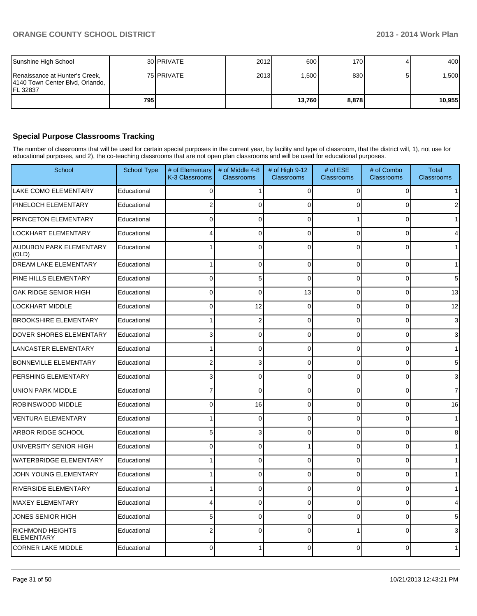| Sunshine High School                                                             |       | 30 <b>IPRIVATE</b> | 2012 | 600    | 170 <b>1</b> | 400    |
|----------------------------------------------------------------------------------|-------|--------------------|------|--------|--------------|--------|
| Renaissance at Hunter's Creek,<br>4140 Town Center Blvd, Orlando, I<br>IFL 32837 |       | 75 <b>PRIVATE</b>  | 2013 | 1,500  | 830          | ,500   |
|                                                                                  | 795 l |                    |      | 13.760 | 8,878        | 10,955 |

#### **Special Purpose Classrooms Tracking**

The number of classrooms that will be used for certain special purposes in the current year, by facility and type of classroom, that the district will, 1), not use for educational purposes, and 2), the co-teaching classrooms that are not open plan classrooms and will be used for educational purposes.

| School                                       | <b>School Type</b> | # of Elementary<br>K-3 Classrooms | # of Middle 4-8<br><b>Classrooms</b> | # of High 9-12<br>Classrooms | # of ESE<br><b>Classrooms</b> | # of Combo<br><b>Classrooms</b> | <b>Total</b><br><b>Classrooms</b> |
|----------------------------------------------|--------------------|-----------------------------------|--------------------------------------|------------------------------|-------------------------------|---------------------------------|-----------------------------------|
| LAKE COMO ELEMENTARY                         | Educational        | $\Omega$                          |                                      | 0                            | $\Omega$                      | $\Omega$                        |                                   |
| PINELOCH ELEMENTARY                          | Educational        | $\overline{2}$                    | $\Omega$                             | $\Omega$                     | $\Omega$                      | $\Omega$                        |                                   |
| PRINCETON ELEMENTARY                         | Educational        | $\Omega$                          | $\overline{0}$                       | $\Omega$                     |                               | $\overline{0}$                  | 1                                 |
| LOCKHART ELEMENTARY                          | Educational        | 4                                 | $\mathbf 0$                          | $\Omega$                     | $\Omega$                      | $\overline{0}$                  | 4                                 |
| <b>AUDUBON PARK ELEMENTARY</b><br>(OLD)      | Educational        |                                   | $\Omega$                             | $\Omega$                     | $\Omega$                      | $\Omega$                        |                                   |
| DREAM LAKE ELEMENTARY                        | Educational        |                                   | $\Omega$                             | 0                            | $\Omega$                      | $\Omega$                        | 1                                 |
| PINE HILLS ELEMENTARY                        | Educational        | $\Omega$                          | 5                                    | $\Omega$                     | $\overline{0}$                | $\Omega$                        | 5                                 |
| OAK RIDGE SENIOR HIGH                        | Educational        | $\Omega$                          | $\Omega$                             | 13                           | $\Omega$                      | $\Omega$                        | 13                                |
| LOCKHART MIDDLE                              | Educational        | $\Omega$                          | 12                                   | $\Omega$                     | $\Omega$                      | $\Omega$                        | 12                                |
| <b>BROOKSHIRE ELEMENTARY</b>                 | Educational        |                                   | $\overline{\mathbf{c}}$              | $\Omega$                     | $\Omega$                      | $\Omega$                        | 3                                 |
| DOVER SHORES ELEMENTARY                      | Educational        | 3                                 | $\mathbf 0$                          | $\Omega$                     | $\Omega$                      | 0                               | 3                                 |
| <b>LANCASTER ELEMENTARY</b>                  | Educational        |                                   | $\Omega$                             | 0                            | $\Omega$                      | $\Omega$                        | 1                                 |
| <b>BONNEVILLE ELEMENTARY</b>                 | Educational        | $\overline{2}$                    | 3                                    | $\Omega$                     | $\Omega$                      | $\Omega$                        | 5                                 |
| PERSHING ELEMENTARY                          | Educational        | 3                                 | 0                                    | $\Omega$                     | $\Omega$                      | 0                               | 3                                 |
| <b>UNION PARK MIDDLE</b>                     | Educational        | 7                                 | $\Omega$                             | 0                            | $\Omega$                      | $\Omega$                        | $\overline{7}$                    |
| ROBINSWOOD MIDDLE                            | Educational        | $\overline{0}$                    | 16                                   | $\Omega$                     | $\Omega$                      | $\Omega$                        | 16                                |
| <b>VENTURA ELEMENTARY</b>                    | Educational        |                                   | $\Omega$                             | $\Omega$                     | $\Omega$                      | $\Omega$                        | 1                                 |
| ARBOR RIDGE SCHOOL                           | Educational        | 5                                 | 3                                    | $\Omega$                     | $\Omega$                      | 0                               | 8                                 |
| UNIVERSITY SENIOR HIGH                       | Educational        | $\overline{0}$                    | $\Omega$                             |                              | $\Omega$                      | $\Omega$                        |                                   |
| <b>WATERBRIDGE ELEMENTARY</b>                | Educational        |                                   | $\Omega$                             | $\Omega$                     | $\Omega$                      | $\Omega$                        |                                   |
| JOHN YOUNG ELEMENTARY                        | Educational        |                                   | $\Omega$                             | $\Omega$                     | $\Omega$                      | $\Omega$                        |                                   |
| RIVERSIDE ELEMENTARY                         | Educational        |                                   | $\Omega$                             | $\Omega$                     | $\Omega$                      | $\Omega$                        |                                   |
| <b>MAXEY ELEMENTARY</b>                      | Educational        | 4                                 | $\Omega$                             | $\Omega$                     | $\Omega$                      | $\Omega$                        | 4                                 |
| JONES SENIOR HIGH                            | Educational        | 5                                 | $\overline{0}$                       | $\Omega$                     | $\Omega$                      | $\Omega$                        | 5                                 |
| <b>RICHMOND HEIGHTS</b><br><b>ELEMENTARY</b> | Educational        | 2                                 | $\Omega$                             | 0                            |                               | 0                               | 3                                 |
| <b>CORNER LAKE MIDDLE</b>                    | Educational        | $\Omega$                          |                                      | 0                            | 0                             | $\Omega$                        | 1                                 |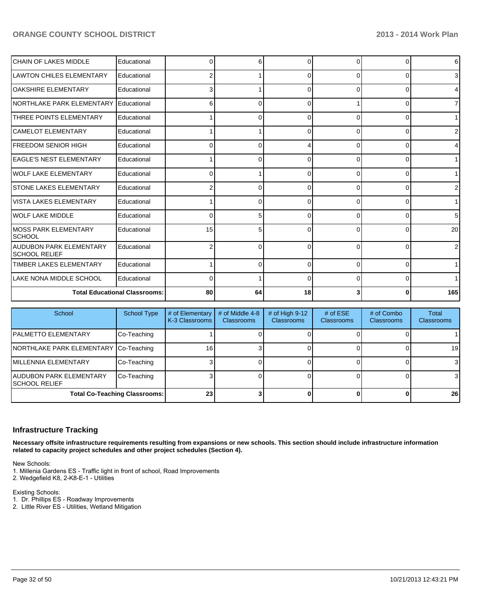| <b>CHAIN OF LAKES MIDDLE</b>                    | Educational                          | $\Omega$ | 6  |              | $\Omega$     | n        | $6 \mid$        |
|-------------------------------------------------|--------------------------------------|----------|----|--------------|--------------|----------|-----------------|
| <b>LAWTON CHILES ELEMENTARY</b>                 | Educational                          |          |    |              | 0            | 0        | 3 <sup>1</sup>  |
| lOAKSHIRE ELEMENTARY                            | Educational                          |          |    | 0            | 0            | 0        | $\overline{4}$  |
| INORTHLAKE PARK ELEMENTARY                      | Educational                          | 6        | U  | 0            |              | 0        | 71              |
| <b>THREE POINTS ELEMENTARY</b>                  | Educational                          |          |    |              | $\Omega$     | U        | 1 <sup>1</sup>  |
| ICAMELOT ELEMENTARY                             | Educational                          |          |    |              | U            | n        | 2 <sub>l</sub>  |
| IFREEDOM SENIOR HIGH                            | Educational                          | n        | ∩  |              | <sup>0</sup> | O        | $\overline{4}$  |
| <b>LEAGLE'S NEST ELEMENTARY</b>                 | Educational                          |          | 0  | <sup>0</sup> | $\Omega$     | 0        | 1 <sup>1</sup>  |
| <b>IWOLF LAKE ELEMENTARY</b>                    | Educational                          | 0        |    | 0            | 0            | 0        | 11              |
| <b>ISTONE LAKES ELEMENTARY</b>                  | Educational                          |          | n  | <sup>0</sup> | 0            | 0        | $\overline{2}$  |
| IVISTA LAKES ELEMENTARY                         | Educational                          |          | 0  | ∩            | $\Omega$     | $\Omega$ | 1 <sup>1</sup>  |
| <b>IWOLF LAKE MIDDLE</b>                        | Educational                          | U        | 5  |              | U            | n        | 5 <sup>5</sup>  |
| <b>IMOSS PARK ELEMENTARY</b><br><b>SCHOOL</b>   | Educational                          | 15       | 5  | O            | $\Omega$     | 0        | 20 <sup>1</sup> |
| AUDUBON PARK ELEMENTARY<br><b>SCHOOL RELIEF</b> | Educational                          |          | 0  | ∩            | $\Omega$     | $\Omega$ | 2 <sub>l</sub>  |
| <b>TIMBER LAKES ELEMENTARY</b>                  | Educational                          |          | 0  | $\Omega$     | $\Omega$     | $\Omega$ | 1 <sup>1</sup>  |
| LAKE NONA MIDDLE SCHOOL                         | Educational                          | 0        |    | <sup>0</sup> | $\Omega$     | 0        | 1 <sup>1</sup>  |
|                                                 | <b>Total Educational Classrooms:</b> | 80       | 64 | 18           |              | 0        | 165             |

| School                                    | <b>School Type</b>                   | # of Elementary<br>K-3 Classrooms | # of Middle 4-8<br><b>Classrooms</b> | # of High $9-12$<br><b>Classrooms</b> | # of $ESE$<br><b>Classrooms</b> | # of Combo<br><b>Classrooms</b> | Total<br><b>Classrooms</b> |
|-------------------------------------------|--------------------------------------|-----------------------------------|--------------------------------------|---------------------------------------|---------------------------------|---------------------------------|----------------------------|
| <b>IPALMETTO ELEMENTARY</b>               | Co-Teaching                          |                                   |                                      |                                       |                                 |                                 |                            |
| NORTHLAKE PARK ELEMENTARY Co-Teaching     |                                      | 161                               |                                      |                                       |                                 |                                 | 19                         |
| IMILLENNIA ELEMENTARY                     | Co-Teaching                          |                                   |                                      |                                       |                                 |                                 | 3                          |
| AUDUBON PARK ELEMENTARY<br>ISCHOOL RELIEF | Co-Teaching                          |                                   |                                      |                                       |                                 |                                 | 3                          |
|                                           | <b>Total Co-Teaching Classrooms:</b> | 23                                |                                      |                                       |                                 |                                 | 26                         |

#### **Infrastructure Tracking**

**Necessary offsite infrastructure requirements resulting from expansions or new schools. This section should include infrastructure information related to capacity project schedules and other project schedules (Section 4).**

New Schools:

1. Millenia Gardens ES - Traffic light in front of school, Road Improvements

2. Wedgefield K8, 2-K8-E-1 - Utilities

Existing Schools:

- 1. Dr. Phillips ES Roadway Improvements
- 2. Little River ES Utilities, Wetland Mitigation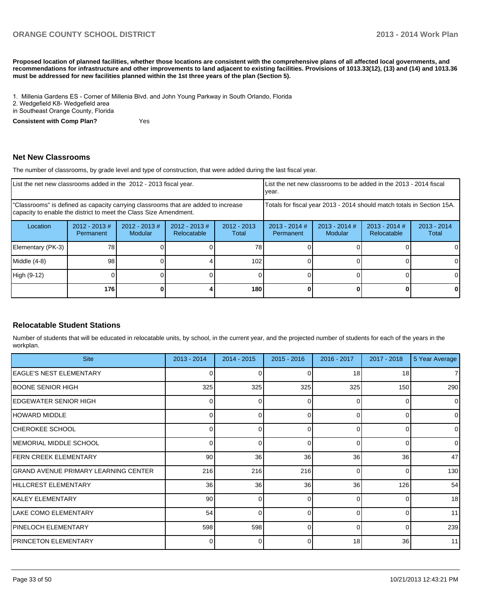**Proposed location of planned facilities, whether those locations are consistent with the comprehensive plans of all affected local governments, and recommendations for infrastructure and other improvements to land adjacent to existing facilities. Provisions of 1013.33(12), (13) and (14) and 1013.36 must be addressed for new facilities planned within the 1st three years of the plan (Section 5).**

1. Millenia Gardens ES - Corner of Millenia Blvd. and John Young Parkway in South Orlando. Florida

2. Wedgefield K8- Wedgefield area

in Southeast Orange County, Florida

**Consistent with Comp Plan?** Yes

#### **Net New Classrooms**

The number of classrooms, by grade level and type of construction, that were added during the last fiscal year.

| List the net new classrooms added in the 2012 - 2013 fiscal year.                                                                                       |                               |                                   |                                 |                        | Ivear.                                                                 |                            | List the net new classrooms to be added in the 2013 - 2014 fiscal |                        |
|---------------------------------------------------------------------------------------------------------------------------------------------------------|-------------------------------|-----------------------------------|---------------------------------|------------------------|------------------------------------------------------------------------|----------------------------|-------------------------------------------------------------------|------------------------|
| "Classrooms" is defined as capacity carrying classrooms that are added to increase<br>capacity to enable the district to meet the Class Size Amendment. |                               |                                   |                                 |                        | Totals for fiscal year 2013 - 2014 should match totals in Section 15A. |                            |                                                                   |                        |
| Location                                                                                                                                                | $2012 - 2013 \#$<br>Permanent | $2012 - 2013$ #<br><b>Modular</b> | $2012 - 2013 \#$<br>Relocatable | $2012 - 2013$<br>Total | $2013 - 2014$ #<br>Permanent                                           | $2013 - 2014$ #<br>Modular | $2013 - 2014$ #<br>Relocatable                                    | $2013 - 2014$<br>Total |
| Elementary (PK-3)                                                                                                                                       | 78                            |                                   |                                 | 78                     |                                                                        |                            |                                                                   | 0                      |
| Middle (4-8)                                                                                                                                            | 98                            |                                   |                                 | 102                    |                                                                        |                            |                                                                   | 0                      |
| High (9-12)                                                                                                                                             |                               |                                   |                                 |                        |                                                                        |                            |                                                                   | 0                      |
|                                                                                                                                                         | 176                           |                                   |                                 | 180                    |                                                                        |                            |                                                                   | 0                      |

#### **Relocatable Student Stations**

Number of students that will be educated in relocatable units, by school, in the current year, and the projected number of students for each of the years in the workplan.

| <b>Site</b>                          | $2013 - 2014$ | $2014 - 2015$ | $2015 - 2016$ | 2016 - 2017 | $2017 - 2018$ | 5 Year Average |
|--------------------------------------|---------------|---------------|---------------|-------------|---------------|----------------|
| IEAGLE'S NEST ELEMENTARY             | 0             |               | U             | 18          | 18            | 7              |
| BOONE SENIOR HIGH                    | 325           | 325           | 325           | 325         | 150           | 290            |
| IEDGEWATER SENIOR HIGH               | 0             | O.            | 0             | $\Omega$    |               | $\overline{0}$ |
| HOWARD MIDDLE                        | $\Omega$      | U             | 0             | $\Omega$    | 0             | $\overline{0}$ |
| CHEROKEE SCHOOL                      |               | U             | ∩             | $\Omega$    | n             | $\overline{0}$ |
| IMEMORIAL MIDDLE SCHOOL              | $\Omega$      | n             | $\Omega$      | $\Omega$    | 0             | $\overline{0}$ |
| <b>FERN CREEK ELEMENTARY</b>         | 90            | 36            | 36            | 36          | 36            | 47             |
| GRAND AVENUE PRIMARY LEARNING CENTER | 216           | 216           | 216           | $\Omega$    |               | 130            |
| HILLCREST ELEMENTARY                 | 36            | 36            | 36            | 36          | 126           | 54             |
| IKALEY ELEMENTARY                    | 90            | U             | $\Omega$      | $\Omega$    | 0             | 18             |
| LAKE COMO ELEMENTARY                 | 54            |               |               | $\Omega$    |               | 11             |
| <b>PINELOCH ELEMENTARY</b>           | 598           | 598           | $\Omega$      | $\Omega$    | $\Omega$      | 239            |
| <b>IPRINCETON ELEMENTARY</b>         | 0             |               | 0             | 18          | 36            | 11             |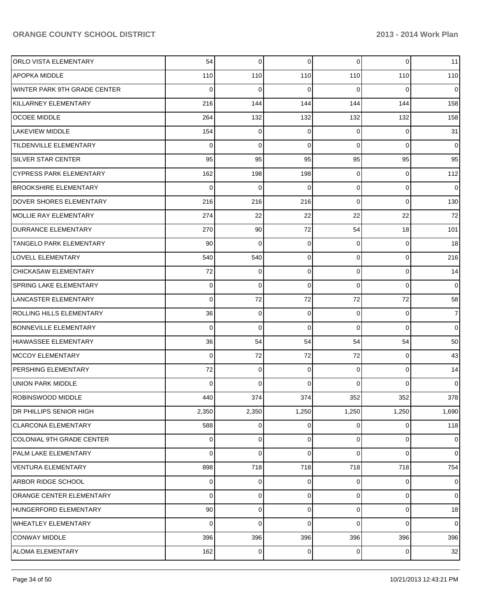| <b>ORLO VISTA ELEMENTARY</b>    | 54              | 0     | $\mathbf 0$ | $\overline{0}$ | $\mathbf 0$ | 11             |
|---------------------------------|-----------------|-------|-------------|----------------|-------------|----------------|
| APOPKA MIDDLE                   | 110             | 110   | 110         | 110            | 110         | 110            |
| WINTER PARK 9TH GRADE CENTER    | 0               | 0     | 0           | $\Omega$       | 0           | 0              |
| KILLARNEY ELEMENTARY            | 216             | 144   | 144         | 144            | 144         | 158            |
| <b>OCOEE MIDDLE</b>             | 264             | 132   | 132         | 132            | 132         | 158            |
| LAKEVIEW MIDDLE                 | 154             | 0     | 0           | 0              | 0           | 31             |
| <b>TILDENVILLE ELEMENTARY</b>   | 0               | 0     | 0           | $\Omega$       | $\mathbf 0$ | 0              |
| <b>SILVER STAR CENTER</b>       | 95              | 95    | 95          | 95             | 95          | 95             |
| <b>CYPRESS PARK ELEMENTARY</b>  | 162             | 198   | 198         | 0              | 0           | 112            |
| <b>BROOKSHIRE ELEMENTARY</b>    | $\mathbf 0$     | 0     | 0           | $\overline{0}$ | 0           | $\overline{0}$ |
| DOVER SHORES ELEMENTARY         | 216             | 216   | 216         | 0              | $\mathbf 0$ | 130            |
| <b>MOLLIE RAY ELEMENTARY</b>    | 274             | 22    | 22          | 22             | 22          | 72             |
| <b>DURRANCE ELEMENTARY</b>      | 270             | 90    | 72          | 54             | 18          | 101            |
| <b>TANGELO PARK ELEMENTARY</b>  | 90              | 0     | 0           | 0              | 0           | 18             |
| <b>LOVELL ELEMENTARY</b>        | 540             | 540   | 0           | $\overline{0}$ | 0           | 216            |
| CHICKASAW ELEMENTARY            | 72              | 0     | 0           | $\overline{0}$ | 0           | 14             |
| SPRING LAKE ELEMENTARY          | 0               | 0     | 0           | $\Omega$       | $\mathbf 0$ | $\overline{0}$ |
| <b>LANCASTER ELEMENTARY</b>     | 0               | 72    | 72          | 72             | 72          | 58             |
| <b>ROLLING HILLS ELEMENTARY</b> | 36              | 0     | 0           | 0              | 0           | $\overline{7}$ |
| <b>BONNEVILLE ELEMENTARY</b>    | 0               | 0     | 0           | $\Omega$       | $\mathbf 0$ | $\overline{0}$ |
| <b>HIAWASSEE ELEMENTARY</b>     | 36              | 54    | 54          | 54             | 54          | 50             |
| <b>MCCOY ELEMENTARY</b>         | 0               | 72    | 72          | 72             | 0           | 43             |
| PERSHING ELEMENTARY             | 72              | 0     | 0           | 0              | 0           | 14             |
| <b>UNION PARK MIDDLE</b>        | $\Omega$        | 0     | $\Omega$    | $\Omega$       | 0           | $\overline{0}$ |
| <b>ROBINSWOOD MIDDLE</b>        | 440             | 374   | 374         | 352            | 352         | 378            |
| DR PHILLIPS SENIOR HIGH         | 2,350           | 2,350 | 1,250       | 1,250          | 1,250       | 1,690          |
| <b>CLARCONA ELEMENTARY</b>      | 588             | 0     | 0           | $\overline{0}$ | 0           | 118            |
| COLONIAL 9TH GRADE CENTER       | 0               | 0     | 0           | 0              | 0           | $\overline{0}$ |
| PALM LAKE ELEMENTARY            | 0               | 0     | 0           | 0              | 0           | $\overline{0}$ |
| VENTURA ELEMENTARY              | 898             | 718   | 718         | 718            | 718         | 754            |
| ARBOR RIDGE SCHOOL              | 0               | 0     | 0           | 0              | 0           | $\overline{0}$ |
| ORANGE CENTER ELEMENTARY        | 0               | 0     | 0           | 0              | 0           | $\overline{0}$ |
| HUNGERFORD ELEMENTARY           | 90 <sub>0</sub> | 0     | 0           | $\overline{0}$ | 0           | 18             |
| <b>WHEATLEY ELEMENTARY</b>      | 0               | 0     | 0           | $\Omega$       | 0           | $\overline{0}$ |
| <b>CONWAY MIDDLE</b>            | 396             | 396   | 396         | 396            | 396         | 396            |
| ALOMA ELEMENTARY                | 162             | 0     | $\mathbf 0$ | $\overline{0}$ | 0           | 32             |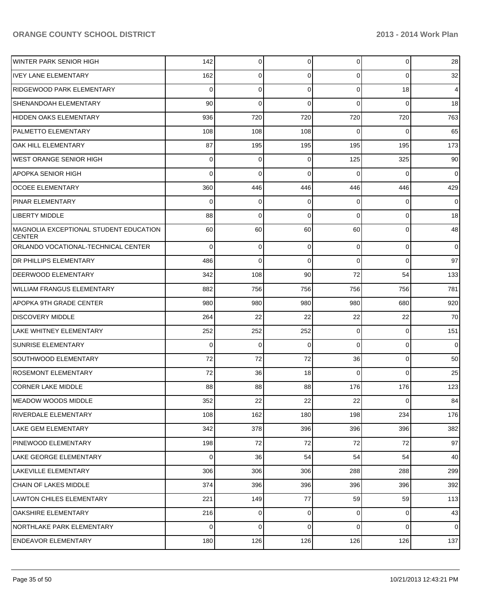| <b>WINTER PARK SENIOR HIGH</b>                          | 142            | 0           | 0           | $\overline{0}$ | 0           | 28             |
|---------------------------------------------------------|----------------|-------------|-------------|----------------|-------------|----------------|
| <b>IVEY LANE ELEMENTARY</b>                             | 162            | 0           | 0           | 0              | 0           | 32             |
| <b>RIDGEWOOD PARK ELEMENTARY</b>                        | 0              | 0           | 0           | $\Omega$       | 18          | $\overline{4}$ |
| SHENANDOAH ELEMENTARY                                   | 90             | 0           | 0           | $\Omega$       | 0           | 18             |
| <b>HIDDEN OAKS ELEMENTARY</b>                           | 936            | 720         | 720         | 720            | 720         | 763            |
| PALMETTO ELEMENTARY                                     | 108            | 108         | 108         | $\Omega$       | 0           | 65             |
| OAK HILL ELEMENTARY                                     | 87             | 195         | 195         | 195            | 195         | 173            |
| <b>WEST ORANGE SENIOR HIGH</b>                          | 0              | 0           | 0           | 125            | 325         | 90             |
| <b>APOPKA SENIOR HIGH</b>                               | $\Omega$       | 0           | 0           | $\Omega$       | 0           | $\mathbf 0$    |
| <b>OCOEE ELEMENTARY</b>                                 | 360            | 446         | 446         | 446            | 446         | 429            |
| <b>PINAR ELEMENTARY</b>                                 | 0              | 0           | 0           | $\Omega$       | 0           | 0              |
| <b>LIBERTY MIDDLE</b>                                   | 88             | 0           | 0           | $\Omega$       | 0           | 18             |
| MAGNOLIA EXCEPTIONAL STUDENT EDUCATION<br><b>CENTER</b> | 60             | 60          | 60          | 60             | 0           | 48             |
| ORLANDO VOCATIONAL-TECHNICAL CENTER                     | 0              | 0           | 0           | 0              | $\mathbf 0$ | $\overline{0}$ |
| <b>DR PHILLIPS ELEMENTARY</b>                           | 486            | 0           | 0           | 0              | 0           | 97             |
| <b>DEERWOOD ELEMENTARY</b>                              | 342            | 108         | 90          | 72             | 54          | 133            |
| <b>WILLIAM FRANGUS ELEMENTARY</b>                       | 882            | 756         | 756         | 756            | 756         | 781            |
| <b>APOPKA 9TH GRADE CENTER</b>                          | 980            | 980         | 980         | 980            | 680         | 920            |
| <b>DISCOVERY MIDDLE</b>                                 | 264            | 22          | 22          | 22             | 22          | 70             |
| LAKE WHITNEY ELEMENTARY                                 | 252            | 252         | 252         | 0              | $\mathbf 0$ | 151            |
| <b>SUNRISE ELEMENTARY</b>                               | $\mathbf 0$    | $\mathbf 0$ | $\mathbf 0$ | 0              | $\mathbf 0$ | $\overline{0}$ |
| <b>SOUTHWOOD ELEMENTARY</b>                             | 72             | 72          | 72          | 36             | $\mathbf 0$ | 50             |
| <b>ROSEMONT ELEMENTARY</b>                              | 72             | 36          | 18          | $\Omega$       | $\Omega$    | 25             |
| <b>CORNER LAKE MIDDLE</b>                               | 88             | 88          | 88          | 176            | 176         | 123            |
| IMEADOW WOODS MIDDLE                                    | 352            | 22          | 22          | 22             | 0           | 84             |
| RIVERDALE ELEMENTARY                                    | 108            | 162         | 180         | 198            | 234         | 176            |
| LAKE GEM ELEMENTARY                                     | 342            | 378         | 396         | 396            | 396         | 382            |
| PINEWOOD ELEMENTARY                                     | 198            | 72          | 72          | 72             | 72          | 97             |
| LAKE GEORGE ELEMENTARY                                  | $\overline{0}$ | 36          | 54          | 54             | 54          | 40             |
| LAKEVILLE ELEMENTARY                                    | 306            | 306         | 306         | 288            | 288         | 299            |
| CHAIN OF LAKES MIDDLE                                   | 374            | 396         | 396         | 396            | 396         | 392            |
| <b>LAWTON CHILES ELEMENTARY</b>                         | 221            | 149         | 77          | 59             | 59          | 113            |
| OAKSHIRE ELEMENTARY                                     | 216            | 0           | 0           | $\overline{0}$ | 0           | 43             |
| NORTHLAKE PARK ELEMENTARY                               | $\overline{0}$ | $\mathbf 0$ | 0           | $\overline{0}$ | 0           | $\overline{0}$ |
| <b>ENDEAVOR ELEMENTARY</b>                              | 180            | 126         | 126         | 126            | 126         | 137            |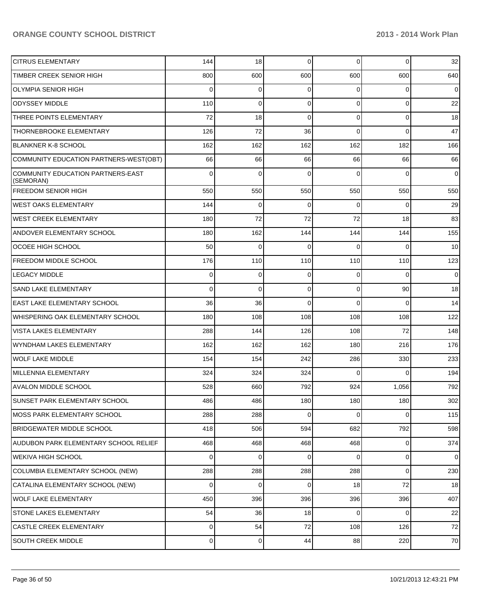| <b>CITRUS ELEMENTARY</b>                       | 144            | 18          | $\mathbf 0$ | $\Omega$       | $\overline{0}$ | 32             |
|------------------------------------------------|----------------|-------------|-------------|----------------|----------------|----------------|
| <b>TIMBER CREEK SENIOR HIGH</b>                | 800            | 600         | 600         | 600            | 600            | 640            |
| <b>OLYMPIA SENIOR HIGH</b>                     | $\Omega$       | 0           | $\Omega$    | $\Omega$       | 0              | $\overline{0}$ |
| <b>ODYSSEY MIDDLE</b>                          | 110            | 0           | $\Omega$    | $\Omega$       | $\overline{0}$ | 22             |
| THREE POINTS ELEMENTARY                        | 72             | 18          | $\Omega$    | $\Omega$       | $\overline{0}$ | 18             |
| THORNEBROOKE ELEMENTARY                        | 126            | 72          | 36          | $\Omega$       | $\mathbf 0$    | 47             |
| <b>BLANKNER K-8 SCHOOL</b>                     | 162            | 162         | 162         | 162            | 182            | 166            |
| COMMUNITY EDUCATION PARTNERS-WEST(OBT)         | 66             | 66          | 66          | 66             | 66             | 66             |
| COMMUNITY EDUCATION PARTNERS-EAST<br>(SEMORAN) | $\Omega$       | $\Omega$    | $\Omega$    | $\Omega$       | $\Omega$       | $\overline{0}$ |
| <b>FREEDOM SENIOR HIGH</b>                     | 550            | 550         | 550         | 550            | 550            | 550            |
| <b>WEST OAKS ELEMENTARY</b>                    | 144            | $\mathbf 0$ | $\mathbf 0$ | $\Omega$       | 0              | 29             |
| <b>WEST CREEK ELEMENTARY</b>                   | 180            | 72          | 72          | 72             | 18             | 83             |
| <b>ANDOVER ELEMENTARY SCHOOL</b>               | 180            | 162         | 144         | 144            | 144            | 155            |
| <b>OCOEE HIGH SCHOOL</b>                       | 50             | 0           | $\Omega$    | $\Omega$       | $\Omega$       | 10             |
| <b>IFREEDOM MIDDLE SCHOOL</b>                  | 176            | 110         | 110         | 110            | 110            | 123            |
| <b>LEGACY MIDDLE</b>                           | $\mathbf 0$    | 0           | $\mathbf 0$ | $\Omega$       | $\Omega$       | $\overline{0}$ |
| <b>SAND LAKE ELEMENTARY</b>                    | $\Omega$       | 0           | $\mathbf 0$ | $\Omega$       | 90             | 18             |
| <b>EAST LAKE ELEMENTARY SCHOOL</b>             | 36             | 36          | $\Omega$    | $\Omega$       | $\Omega$       | 14             |
| WHISPERING OAK ELEMENTARY SCHOOL               | 180            | 108         | 108         | 108            | 108            | 122            |
| <b>VISTA LAKES ELEMENTARY</b>                  | 288            | 144         | 126         | 108            | 72             | 148            |
| WYNDHAM LAKES ELEMENTARY                       | 162            | 162         | 162         | 180            | 216            | 176            |
| WOLF LAKE MIDDLE                               | 154            | 154         | 242         | 286            | 330            | 233            |
| MILLENNIA ELEMENTARY                           | 324            | 324         | 324         | $\Omega$       | $\Omega$       | 194            |
| <b>AVALON MIDDLE SCHOOL</b>                    | 528            | 660         | 792         | 924            | 1,056          | 792            |
| <b>SUNSET PARK ELEMENTARY SCHOOL</b>           | 486            | 486         | 180         | 180            | 180            | 302            |
| MOSS PARK ELEMENTARY SCHOOL                    | 288            | 288         | $\mathbf 0$ | $\Omega$       | $\overline{0}$ | 115            |
| <b>BRIDGEWATER MIDDLE SCHOOL</b>               | 418            | 506         | 594         | 682            | 792            | 598            |
| AUDUBON PARK ELEMENTARY SCHOOL RELIEF          | 468            | 468         | 468         | 468            | $\overline{0}$ | 374            |
| <b>WEKIVA HIGH SCHOOL</b>                      | $\mathbf 0$    | 0           | $\mathbf 0$ | $\overline{0}$ | $\overline{0}$ | $\overline{0}$ |
| COLUMBIA ELEMENTARY SCHOOL (NEW)               | 288            | 288         | 288         | 288            | $\overline{0}$ | 230            |
| CATALINA ELEMENTARY SCHOOL (NEW)               | $\mathbf 0$    | 0           | $\mathbf 0$ | 18             | 72             | 18             |
| WOLF LAKE ELEMENTARY                           | 450            | 396         | 396         | 396            | 396            | 407            |
| <b>STONE LAKES ELEMENTARY</b>                  | 54             | 36          | 18          | $\overline{0}$ | $\overline{0}$ | 22             |
| <b>CASTLE CREEK ELEMENTARY</b>                 | $\overline{0}$ | 54          | 72          | 108            | 126            | 72             |
| SOUTH CREEK MIDDLE                             | 0              | 0           | 44          | 88             | 220            | $70\,$         |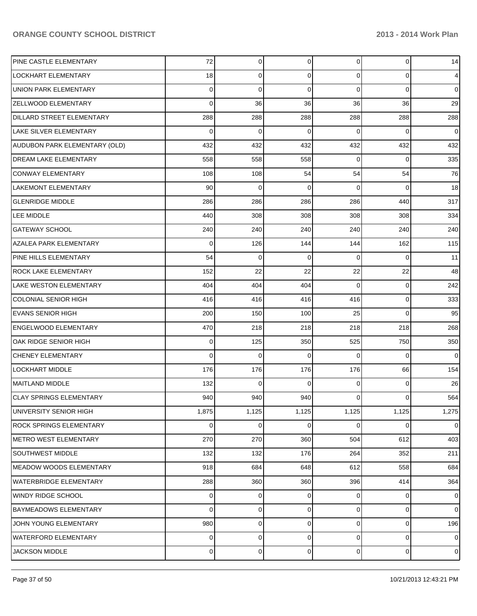| PINE CASTLE ELEMENTARY           | 72             | 0           | 0        | $\overline{0}$ | $\mathbf 0$    | 14             |
|----------------------------------|----------------|-------------|----------|----------------|----------------|----------------|
| LOCKHART ELEMENTARY              | 18             | 0           | 0        | $\overline{0}$ | $\overline{0}$ | $\overline{4}$ |
| <b>UNION PARK ELEMENTARY</b>     | 0              | $\mathbf 0$ | 0        | $\Omega$       | $\mathbf 0$    | $\overline{0}$ |
| <b>ZELLWOOD ELEMENTARY</b>       | $\mathbf 0$    | 36          | 36       | 36             | 36             | 29             |
| <b>DILLARD STREET ELEMENTARY</b> | 288            | 288         | 288      | 288            | 288            | 288            |
| LAKE SILVER ELEMENTARY           | 0              | 0           | 0        | $\Omega$       | 0              | $\overline{0}$ |
| AUDUBON PARK ELEMENTARY (OLD)    | 432            | 432         | 432      | 432            | 432            | 432            |
| DREAM LAKE ELEMENTARY            | 558            | 558         | 558      | 0              | 0              | 335            |
| <b>CONWAY ELEMENTARY</b>         | 108            | 108         | 54       | 54             | 54             | 76             |
| LAKEMONT ELEMENTARY              | 90             | 0           | 0        | $\Omega$       | 0              | 18             |
| <b>GLENRIDGE MIDDLE</b>          | 286            | 286         | 286      | 286            | 440            | 317            |
| <b>LEE MIDDLE</b>                | 440            | 308         | 308      | 308            | 308            | 334            |
| <b>GATEWAY SCHOOL</b>            | 240            | 240         | 240      | 240            | 240            | 240            |
| <b>AZALEA PARK ELEMENTARY</b>    | 0              | 126         | 144      | 144            | 162            | 115            |
| PINE HILLS ELEMENTARY            | 54             | 0           | 0        | $\Omega$       | 0              | 11             |
| <b>ROCK LAKE ELEMENTARY</b>      | 152            | 22          | 22       | 22             | 22             | 48             |
| <b>LAKE WESTON ELEMENTARY</b>    | 404            | 404         | 404      | $\Omega$       | $\mathbf 0$    | 242            |
| <b>COLONIAL SENIOR HIGH</b>      | 416            | 416         | 416      | 416            | $\mathbf 0$    | 333            |
| <b>EVANS SENIOR HIGH</b>         | 200            | 150         | 100      | 25             | $\Omega$       | 95             |
| <b>ENGELWOOD ELEMENTARY</b>      | 470            | 218         | 218      | 218            | 218            | 268            |
| OAK RIDGE SENIOR HIGH            | 0              | 125         | 350      | 525            | 750            | 350            |
| <b>CHENEY ELEMENTARY</b>         | $\mathbf 0$    | 0           | 0        | $\Omega$       | $\Omega$       | $\overline{0}$ |
| <b>LOCKHART MIDDLE</b>           | 176            | 176         | 176      | 176            | 66             | 154            |
| <b>MAITLAND MIDDLE</b>           | 132            | $\mathbf 0$ | $\Omega$ | $\Omega$       | 0              | 26             |
| <b>CLAY SPRINGS ELEMENTARY</b>   | 940            | 940         | 940      | $\overline{0}$ | $\overline{0}$ | 564            |
| UNIVERSITY SENIOR HIGH           | 1,875          | 1,125       | 1,125    | 1,125          | 1,125          | 1,275          |
| <b>ROCK SPRINGS ELEMENTARY</b>   | 0              | 0           | 0        | $\overline{0}$ | $\overline{0}$ | $\overline{0}$ |
| <b>METRO WEST ELEMENTARY</b>     | 270            | 270         | 360      | 504            | 612            | 403            |
| <b>SOUTHWEST MIDDLE</b>          | 132            | 132         | 176      | 264            | 352            | 211            |
| MEADOW WOODS ELEMENTARY          | 918            | 684         | 648      | 612            | 558            | 684            |
| <b>WATERBRIDGE ELEMENTARY</b>    | 288            | 360         | 360      | 396            | 414            | 364            |
| <b>WINDY RIDGE SCHOOL</b>        | 0              | 0           | 0        | $\Omega$       | $\mathbf 0$    | $\overline{0}$ |
| <b>BAYMEADOWS ELEMENTARY</b>     | 0              | 0           | 0        | $\overline{0}$ | $\mathbf 0$    | $\overline{0}$ |
| JOHN YOUNG ELEMENTARY            | 980            | 0           | 0        | $\overline{0}$ | $\mathbf 0$    | 196            |
| WATERFORD ELEMENTARY             | 0              | 0           | 0        | $\overline{0}$ | $\mathbf 0$    | $\overline{0}$ |
| <b>JACKSON MIDDLE</b>            | $\overline{0}$ | 0           | 0        | $\overline{0}$ | $\pmb{0}$      | $\overline{0}$ |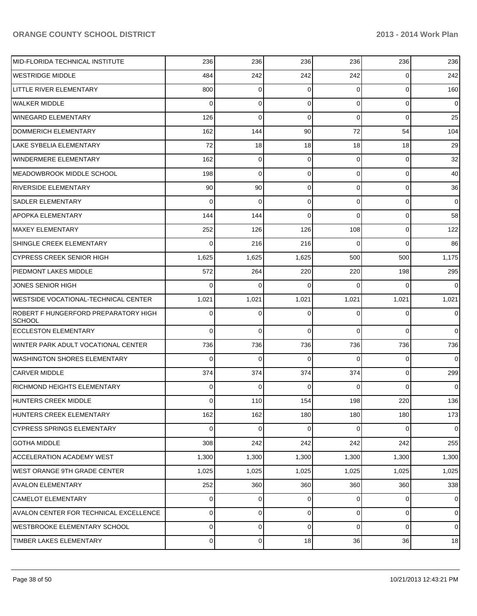| MID-FLORIDA TECHNICAL INSTITUTE                       | 236      | 236         | 236         | 236            | 236            | 236            |
|-------------------------------------------------------|----------|-------------|-------------|----------------|----------------|----------------|
| <b>WESTRIDGE MIDDLE</b>                               | 484      | 242         | 242         | 242            | 0              | 242            |
| LITTLE RIVER ELEMENTARY                               | 800      | 0           | $\Omega$    | 0              | $\overline{0}$ | 160            |
| <b>WALKER MIDDLE</b>                                  | 0        | 0           | $\Omega$    | 0              | $\overline{0}$ | $\overline{0}$ |
| <b>WINEGARD ELEMENTARY</b>                            | 126      | 0           | $\Omega$    | 0              | 0              | 25             |
| DOMMERICH ELEMENTARY                                  | 162      | 144         | 90          | 72             | 54             | 104            |
| LAKE SYBELIA ELEMENTARY                               | 72       | 18          | 18          | 18             | 18             | 29             |
| WINDERMERE ELEMENTARY                                 | 162      | 0           | $\Omega$    | 0              | $\overline{0}$ | 32             |
| <b>MEADOWBROOK MIDDLE SCHOOL</b>                      | 198      | 0           | $\Omega$    | 0              | 0              | 40             |
| <b>RIVERSIDE ELEMENTARY</b>                           | 90       | 90          | 0           | 0              | $\mathbf 0$    | 36             |
| <b>SADLER ELEMENTARY</b>                              | 0        | 0           | $\Omega$    | 0              | $\overline{0}$ | $\overline{0}$ |
| APOPKA ELEMENTARY                                     | 144      | 144         | $\Omega$    | 0              | $\mathbf 0$    | 58             |
| <b>MAXEY ELEMENTARY</b>                               | 252      | 126         | 126         | 108            | $\overline{0}$ | 122            |
| SHINGLE CREEK ELEMENTARY                              | 0        | 216         | 216         | 0              | 0              | 86             |
| <b>CYPRESS CREEK SENIOR HIGH</b>                      | 1,625    | 1,625       | 1,625       | 500            | 500            | 1,175          |
| PIEDMONT LAKES MIDDLE                                 | 572      | 264         | 220         | 220            | 198            | 295            |
| <b>JONES SENIOR HIGH</b>                              | 0        | 0           | $\Omega$    | 0              | $\Omega$       | $\overline{0}$ |
| <b>WESTSIDE VOCATIONAL-TECHNICAL CENTER</b>           | 1,021    | 1,021       | 1,021       | 1,021          | 1,021          | 1,021          |
| ROBERT F HUNGERFORD PREPARATORY HIGH<br><b>SCHOOL</b> | 0        | 0           | $\Omega$    | 0              | 0              | $\overline{0}$ |
| <b>ECCLESTON ELEMENTARY</b>                           | 0        | 0           | $\Omega$    | $\Omega$       | $\Omega$       | $\overline{0}$ |
| WINTER PARK ADULT VOCATIONAL CENTER                   | 736      | 736         | 736         | 736            | 736            | 736            |
| <b>WASHINGTON SHORES ELEMENTARY</b>                   | 0        | $\Omega$    | $\Omega$    | $\Omega$       | $\overline{0}$ | $\overline{0}$ |
| <b>CARVER MIDDLE</b>                                  | 374      | 374         | 374         | 374            | $\overline{0}$ | 299            |
| RICHMOND HEIGHTS ELEMENTARY                           | 0        | 0           | $\Omega$    | 0              | $\Omega$       | $\overline{0}$ |
| HUNTERS CREEK MIDDLE                                  | $\Omega$ | 110         | 154         | 198            | 220            | 136            |
| HUNTERS CREEK ELEMENTARY                              | 162      | 162         | 180         | 180            | 180            | 173            |
| <b>CYPRESS SPRINGS ELEMENTARY</b>                     | 0        | $\mathbf 0$ | $\mathbf 0$ | $\overline{0}$ | $\mathbf 0$    | $\mathbf 0$    |
| <b>GOTHA MIDDLE</b>                                   | 308      | 242         | 242         | 242            | 242            | 255            |
| <b>ACCELERATION ACADEMY WEST</b>                      | 1,300    | 1,300       | 1,300       | 1,300          | 1,300          | 1,300          |
| WEST ORANGE 9TH GRADE CENTER                          | 1,025    | 1,025       | 1,025       | 1,025          | 1,025          | 1,025          |
| <b>AVALON ELEMENTARY</b>                              | 252      | 360         | 360         | 360            | 360            | 338            |
| <b>CAMELOT ELEMENTARY</b>                             | 0        | 0           | 0           | $\overline{0}$ | $\overline{0}$ | $\mathbf 0$    |
| AVALON CENTER FOR TECHNICAL EXCELLENCE                | 0        | 0           | 0           | $\overline{0}$ | $\mathbf 0$    | $\overline{0}$ |
| WESTBROOKE ELEMENTARY SCHOOL                          | 0        | 0           | $\mathbf 0$ | $\overline{0}$ | $\overline{0}$ | $\mathbf 0$    |
| TIMBER LAKES ELEMENTARY                               | 0        | 0           | 18          | 36             | 36             | 18             |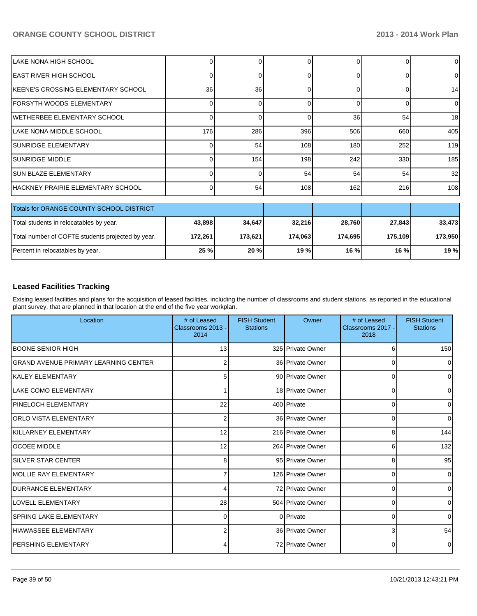| LAKE NONA HIGH SCHOOL              |     |     |     |     |     | 0               |
|------------------------------------|-----|-----|-----|-----|-----|-----------------|
| EAST RIVER HIGH SCHOOL             |     |     |     |     |     | 0               |
| KEENE'S CROSSING ELEMENTARY SCHOOL | 36  | 36  |     |     |     | 14              |
| FORSYTH WOODS ELEMENTARY           |     |     |     |     |     | 0               |
| WETHERBEE ELEMENTARY SCHOOL        |     |     |     | 36  | 54  | 18 <sup>1</sup> |
| LAKE NONA MIDDLE SCHOOL            | 176 | 286 | 396 | 506 | 660 | 405             |
| <b>SUNRIDGE ELEMENTARY</b>         |     | 54  | 108 | 180 | 252 | 119             |
| <b>SUNRIDGE MIDDLE</b>             |     | 154 | 198 | 242 | 330 | 185             |
| <b>SUN BLAZE ELEMENTARY</b>        |     |     | 54  | 54  | 54  | 32 <sub>l</sub> |
| HACKNEY PRAIRIE ELEMENTARY SCHOOL  |     | 54  | 108 | 162 | 216 | 108             |

| Totals for ORANGE COUNTY SCHOOL DISTRICT          |         |         |         |         |         |         |
|---------------------------------------------------|---------|---------|---------|---------|---------|---------|
| Total students in relocatables by year.           | 43,898  | 34,647  | 32,216  | 28.760  | 27,843  | 33,473  |
| Total number of COFTE students projected by year. | 172.261 | 173.621 | 174.063 | 174.695 | 175.109 | 173.950 |
| Percent in relocatables by year.                  | 25 %    | 20%     | 19 %    | 16%     | 16%     | 19 %    |

#### **Leased Facilities Tracking**

Exising leased facilities and plans for the acquisition of leased facilities, including the number of classrooms and student stations, as reported in the educational plant survey, that are planned in that location at the end of the five year workplan.

| Location                                    | # of Leased<br>Classrooms 2013 -<br>2014 | <b>FISH Student</b><br><b>Stations</b> | Owner             | # of Leased<br>Classrooms 2017 -<br>2018 | <b>FISH Student</b><br><b>Stations</b> |
|---------------------------------------------|------------------------------------------|----------------------------------------|-------------------|------------------------------------------|----------------------------------------|
| <b>BOONE SENIOR HIGH</b>                    | 13                                       |                                        | 325 Private Owner | 6                                        | 150                                    |
| <b>GRAND AVENUE PRIMARY LEARNING CENTER</b> | $\overline{2}$                           |                                        | 36 Private Owner  | 0                                        | $\Omega$                               |
| lKALEY ELEMENTARY                           | 5                                        |                                        | 90 Private Owner  | $\Omega$                                 | 0                                      |
| LAKE COMO ELEMENTARY                        |                                          |                                        | 18 Private Owner  | 0                                        | 0                                      |
| <b>PINELOCH ELEMENTARY</b>                  | 22                                       |                                        | 400 Private       | $\Omega$                                 | $\Omega$                               |
| IORLO VISTA ELEMENTARY                      | 2                                        |                                        | 36 Private Owner  | $\Omega$                                 | $\Omega$                               |
| IKILLARNEY ELEMENTARY                       | 12                                       |                                        | 216 Private Owner | 8                                        | 144                                    |
| <b>OCOEE MIDDLE</b>                         | 12                                       |                                        | 264 Private Owner | 6                                        | 132                                    |
| <b>SILVER STAR CENTER</b>                   | 8                                        |                                        | 95 Private Owner  | 8                                        | 95                                     |
| IMOLLIE RAY ELEMENTARY                      |                                          |                                        | 126 Private Owner | 0                                        | $\Omega$                               |
| <b>IDURRANCE ELEMENTARY</b>                 | 4                                        |                                        | 72 Private Owner  | 0                                        | 0                                      |
| <b>LOVELL ELEMENTARY</b>                    | 28                                       |                                        | 504 Private Owner | $\Omega$                                 | $\Omega$                               |
| <b>SPRING LAKE ELEMENTARY</b>               | $\Omega$                                 |                                        | 0 Private         | $\Omega$                                 | $\Omega$                               |
| HIAWASSEE ELEMENTARY                        | 2                                        |                                        | 36 Private Owner  | 3                                        | 54                                     |
| <b>PERSHING ELEMENTARY</b>                  | 4                                        |                                        | 72 Private Owner  | 0                                        | $\Omega$                               |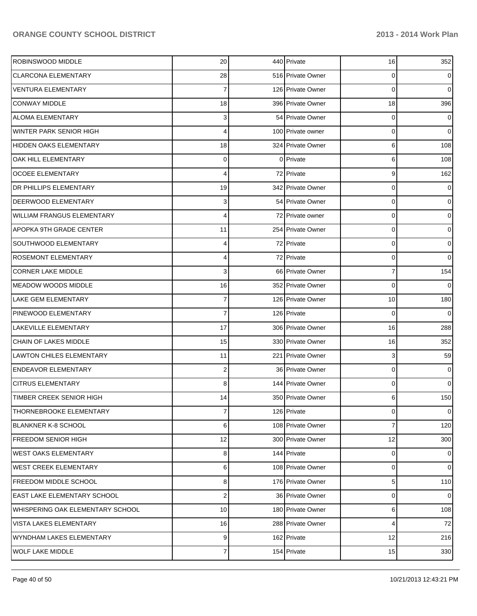| ROBINSWOOD MIDDLE                 | 20              | 440 Private       | 16 | 352            |
|-----------------------------------|-----------------|-------------------|----|----------------|
| <b>CLARCONA ELEMENTARY</b>        | 28              | 516 Private Owner | 0  | $\overline{0}$ |
| <b>VENTURA ELEMENTARY</b>         | 7               | 126 Private Owner | 0  | $\overline{0}$ |
| <b>CONWAY MIDDLE</b>              | 18              | 396 Private Owner | 18 | 396            |
| <b>ALOMA ELEMENTARY</b>           | 3               | 54 Private Owner  | 0  | $\overline{0}$ |
| <b>WINTER PARK SENIOR HIGH</b>    | 4               | 100 Private owner | 0  | $\overline{0}$ |
| HIDDEN OAKS ELEMENTARY            | 18              | 324 Private Owner | 6  | 108            |
| OAK HILL ELEMENTARY               | 0               | 0 Private         | 6  | 108            |
| <b>OCOEE ELEMENTARY</b>           | 4               | 72 Private        | 9  | 162            |
| <b>DR PHILLIPS ELEMENTARY</b>     | 19              | 342 Private Owner | 0  | $\overline{0}$ |
| <b>DEERWOOD ELEMENTARY</b>        | 3               | 54 Private Owner  | 0  | $\mathbf{O}$   |
| <b>WILLIAM FRANGUS ELEMENTARY</b> | 4               | 72 Private owner  | 0  | $\mathbf{O}$   |
| <b>APOPKA 9TH GRADE CENTER</b>    | 11              | 254 Private Owner | 0  | $\mathbf{O}$   |
| SOUTHWOOD ELEMENTARY              | 4               | 72 Private        | 0  | $\mathbf{O}$   |
| <b>ROSEMONT ELEMENTARY</b>        | 4               | 72 Private        | 0  | $\overline{0}$ |
| <b>CORNER LAKE MIDDLE</b>         | 3               | 66 Private Owner  | 7  | 154            |
| <b>MEADOW WOODS MIDDLE</b>        | 16              | 352 Private Owner | 0  | $\overline{0}$ |
| <b>LAKE GEM ELEMENTARY</b>        | 7               | 126 Private Owner | 10 | 180            |
| PINEWOOD ELEMENTARY               | 7               | 126 Private       | 0  | $\overline{0}$ |
| LAKEVILLE ELEMENTARY              | 17              | 306 Private Owner | 16 | 288            |
| CHAIN OF LAKES MIDDLE             | 15              | 330 Private Owner | 16 | 352            |
| <b>LAWTON CHILES ELEMENTARY</b>   | 11              | 221 Private Owner | 3  | 59             |
| <b>ENDEAVOR ELEMENTARY</b>        | 2               | 36 Private Owner  | 0  | $\overline{0}$ |
| <b>CITRUS ELEMENTARY</b>          | 8               | 144 Private Owner | 0  | $\overline{0}$ |
| TIMBER CREEK SENIOR HIGH          | 14              | 350 Private Owner | 6  | 150            |
| THORNEBROOKE ELEMENTARY           | 7               | 126 Private       | 0  | $\overline{0}$ |
| <b>BLANKNER K-8 SCHOOL</b>        | 6               | 108 Private Owner | 7  | 120            |
| <b>FREEDOM SENIOR HIGH</b>        | 12              | 300 Private Owner | 12 | 300            |
| <b>WEST OAKS ELEMENTARY</b>       | 8               | 144 Private       | 0  | $\overline{0}$ |
| <b>WEST CREEK ELEMENTARY</b>      | 6               | 108 Private Owner | 0  | $\overline{0}$ |
| <b>FREEDOM MIDDLE SCHOOL</b>      | 8               | 176 Private Owner | 5  | 110            |
| EAST LAKE ELEMENTARY SCHOOL       | $\mathbf 2$     | 36 Private Owner  | 0  | $\overline{0}$ |
| WHISPERING OAK ELEMENTARY SCHOOL  | 10 <sup>1</sup> | 180 Private Owner | 6  | 108            |
| VISTA LAKES ELEMENTARY            | 16              | 288 Private Owner | 4  | 72             |
| WYNDHAM LAKES ELEMENTARY          | 9               | 162 Private       | 12 | 216            |
| <b>WOLF LAKE MIDDLE</b>           | $\overline{7}$  | 154 Private       | 15 | 330            |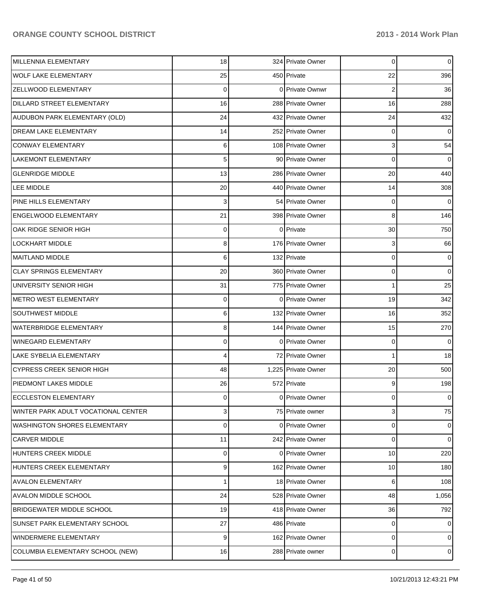| MILLENNIA ELEMENTARY                | 18                      | 324 Private Owner   | 0              | $\overline{0}$ |
|-------------------------------------|-------------------------|---------------------|----------------|----------------|
| <b>WOLF LAKE ELEMENTARY</b>         | 25                      | 450 Private         | 22             | 396            |
| <b>ZELLWOOD ELEMENTARY</b>          | 0                       | 0 Private Ownwr     | $\overline{2}$ | 36             |
| <b>DILLARD STREET ELEMENTARY</b>    | 16                      | 288 Private Owner   | 16             | 288            |
| AUDUBON PARK ELEMENTARY (OLD)       | 24                      | 432 Private Owner   | 24             | 432            |
| <b>DREAM LAKE ELEMENTARY</b>        | 14                      | 252 Private Owner   | 0              | $\overline{0}$ |
| <b>CONWAY ELEMENTARY</b>            | 6                       | 108 Private Owner   | 3              | 54             |
| <b>LAKEMONT ELEMENTARY</b>          | 5 <sup>1</sup>          | 90 Private Owner    | $\mathbf 0$    | $\overline{0}$ |
| <b>GLENRIDGE MIDDLE</b>             | 13                      | 286 Private Owner   | 20             | 440            |
| LEE MIDDLE                          | 20                      | 440 Private Owner   | 14             | 308            |
| PINE HILLS ELEMENTARY               | 3                       | 54 Private Owner    | 0              | $\overline{0}$ |
| <b>ENGELWOOD ELEMENTARY</b>         | 21                      | 398 Private Owner   | 8              | 146            |
| OAK RIDGE SENIOR HIGH               | 0                       | 0 Private           | 30             | 750            |
| LOCKHART MIDDLE                     | 8                       | 176 Private Owner   | 3              | 66             |
| <b>MAITLAND MIDDLE</b>              | 6                       | 132 Private         | 0              | $\overline{0}$ |
| <b>CLAY SPRINGS ELEMENTARY</b>      | 20                      | 360 Private Owner   | 0              | $\overline{0}$ |
| UNIVERSITY SENIOR HIGH              | 31                      | 775 Private Owner   | 1              | 25             |
| <b>METRO WEST ELEMENTARY</b>        | 0                       | 0 Private Owner     | 19             | 342            |
| SOUTHWEST MIDDLE                    | 6                       | 132 Private Owner   | 16             | 352            |
| <b>WATERBRIDGE ELEMENTARY</b>       | 8                       | 144 Private Owner   | 15             | 270            |
| <b>WINEGARD ELEMENTARY</b>          | 0                       | 0 Private Owner     | 0              | $\overline{0}$ |
| <b>LAKE SYBELIA ELEMENTARY</b>      | 4                       | 72 Private Owner    | 1              | 18             |
| <b>CYPRESS CREEK SENIOR HIGH</b>    | 48                      | 1,225 Private Owner | 20             | 500            |
| <b>PIEDMONT LAKES MIDDLE</b>        | 26                      | 572 Private         | 9              | 198            |
| <b>ECCLESTON ELEMENTARY</b>         | 0                       | 0 Private Owner     | 0              | $\overline{0}$ |
| WINTER PARK ADULT VOCATIONAL CENTER | $\overline{\mathbf{3}}$ | 75 Private owner    | 3              | 75             |
| <b>WASHINGTON SHORES ELEMENTARY</b> | $\mathbf 0$             | 0 Private Owner     | 0              | $\overline{0}$ |
| <b>CARVER MIDDLE</b>                | 11                      | 242 Private Owner   | 0              | $\overline{0}$ |
| HUNTERS CREEK MIDDLE                | 0                       | 0 Private Owner     | 10             | 220            |
| HUNTERS CREEK ELEMENTARY            | 9                       | 162 Private Owner   | 10             | 180            |
| <b>AVALON ELEMENTARY</b>            | 1                       | 18 Private Owner    | 6              | 108            |
| AVALON MIDDLE SCHOOL                | 24                      | 528 Private Owner   | 48             | 1,056          |
| <b>BRIDGEWATER MIDDLE SCHOOL</b>    | 19                      | 418 Private Owner   | 36             | 792            |
| SUNSET PARK ELEMENTARY SCHOOL       | 27                      | 486 Private         | 0              | $\overline{0}$ |
| WINDERMERE ELEMENTARY               | $\overline{9}$          | 162 Private Owner   | 0              | $\overline{0}$ |
| COLUMBIA ELEMENTARY SCHOOL (NEW)    | 16                      | 288 Private owner   | 0              | $\circ$        |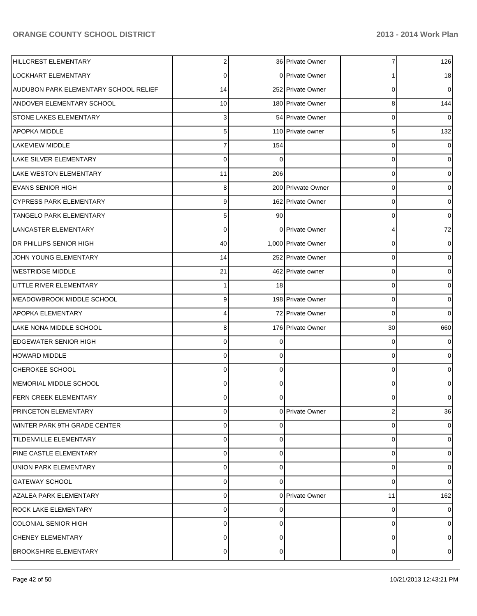| HILLCREST ELEMENTARY                  | $\overline{2}$ |          | 36 Private Owner    | 7              | 126              |
|---------------------------------------|----------------|----------|---------------------|----------------|------------------|
| <b>LOCKHART ELEMENTARY</b>            | 0              |          | 0 Private Owner     |                | 18               |
| AUDUBON PARK ELEMENTARY SCHOOL RELIEF | 14             |          | 252 Private Owner   | 0              | $\overline{0}$   |
| <b>ANDOVER ELEMENTARY SCHOOL</b>      | 10             |          | 180 Private Owner   | 8              | 144              |
| <b>STONE LAKES ELEMENTARY</b>         | 3              |          | 54 Private Owner    | 0              | $\overline{0}$   |
| <b>APOPKA MIDDLE</b>                  | 5 <sup>1</sup> |          | 110 Private owner   | 5              | 132              |
| <b>LAKEVIEW MIDDLE</b>                | 7              | 154      |                     | 0              | $\overline{0}$   |
| <b>LAKE SILVER ELEMENTARY</b>         | 0              | 0        |                     | 0              | $\overline{0}$   |
| <b>LAKE WESTON ELEMENTARY</b>         | 11             | 206      |                     | 0              | $\overline{0}$   |
| <b>EVANS SENIOR HIGH</b>              | 8              |          | 200 Privvate Owner  | 0              | $\overline{0}$   |
| <b>CYPRESS PARK ELEMENTARY</b>        | 9              |          | 162 Private Owner   | 0              | $\boldsymbol{0}$ |
| <b>TANGELO PARK ELEMENTARY</b>        | 5 <sup>1</sup> | 90       |                     | 0              | $\boldsymbol{0}$ |
| LANCASTER ELEMENTARY                  | 0              |          | 0 Private Owner     | 4              | 72               |
| DR PHILLIPS SENIOR HIGH               | 40             |          | 1,000 Private Owner | 0              | $\overline{0}$   |
| JOHN YOUNG ELEMENTARY                 | 14             |          | 252 Private Owner   | 0              | $\boldsymbol{0}$ |
| <b>WESTRIDGE MIDDLE</b>               | 21             |          | 462 Private owner   | 0              | $\boldsymbol{0}$ |
| LITTLE RIVER ELEMENTARY               |                | 18       |                     | 0              | $\boldsymbol{0}$ |
| MEADOWBROOK MIDDLE SCHOOL             | 9              |          | 198 Private Owner   | 0              | $\overline{0}$   |
| APOPKA ELEMENTARY                     | 4              |          | 72 Private Owner    | 0              | $\overline{0}$   |
| LAKE NONA MIDDLE SCHOOL               | 8              |          | 176 Private Owner   | 30             | 660              |
| <b>EDGEWATER SENIOR HIGH</b>          | 0              |          |                     | 0              | $\overline{0}$   |
| <b>HOWARD MIDDLE</b>                  | 0              | $\Omega$ |                     | 0              | $\overline{0}$   |
| CHEROKEE SCHOOL                       | 0              | 0        |                     | 0              | $\boldsymbol{0}$ |
| IMEMORIAL MIDDLE SCHOOL               | 0              | $\Omega$ |                     | 0              | $\overline{0}$   |
| <b>FERN CREEK ELEMENTARY</b>          | 0              | 0        |                     | 0              | $\overline{0}$   |
| PRINCETON ELEMENTARY                  | 0              |          | 0 Private Owner     | $\overline{2}$ | 36               |
| WINTER PARK 9TH GRADE CENTER          | 0              | 0        |                     | 0              | $\overline{0}$   |
| <b>TILDENVILLE ELEMENTARY</b>         | 0              | $\Omega$ |                     | 0              | $\overline{0}$   |
| PINE CASTLE ELEMENTARY                | 0              | 0        |                     | 0              | $\overline{0}$   |
| <b>UNION PARK ELEMENTARY</b>          | 0              | 0        |                     | 0              | $\overline{0}$   |
| <b>GATEWAY SCHOOL</b>                 | 0              | $\Omega$ |                     | 0              | $\overline{0}$   |
| <b>AZALEA PARK ELEMENTARY</b>         | 0              |          | 0 Private Owner     | 11             | 162              |
| <b>ROCK LAKE ELEMENTARY</b>           | 0              | 0        |                     | 0              | $\overline{0}$   |
| <b>COLONIAL SENIOR HIGH</b>           | $\Omega$       | $\Omega$ |                     | 0              | $\overline{0}$   |
| CHENEY ELEMENTARY                     | $\Omega$       | 0        |                     | 0              | $\overline{0}$   |
| <b>BROOKSHIRE ELEMENTARY</b>          | 0              | 0        |                     | 0              | $\overline{0}$   |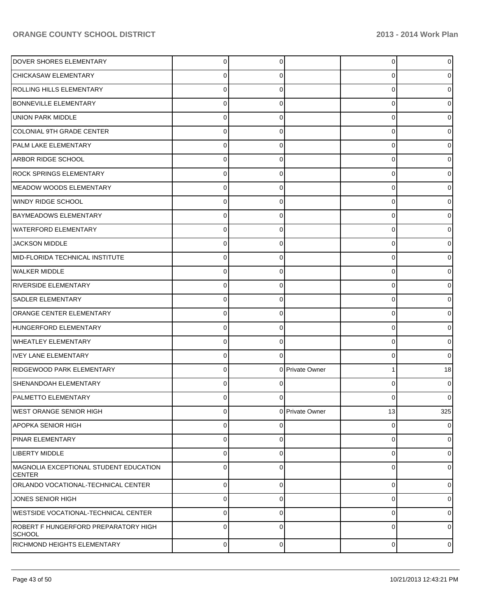| <b>DOVER SHORES ELEMENTARY</b>                          | $\Omega$       | 0        |                 | $\overline{0}$ |     |
|---------------------------------------------------------|----------------|----------|-----------------|----------------|-----|
| CHICKASAW ELEMENTARY                                    | 0              | 0        |                 | 0              |     |
| ROLLING HILLS ELEMENTARY                                | 0              |          |                 | 0              |     |
| <b>BONNEVILLE ELEMENTARY</b>                            | 0              | 0        |                 | 0              |     |
| <b>UNION PARK MIDDLE</b>                                | 0              | 0        |                 | 0              |     |
| <b>COLONIAL 9TH GRADE CENTER</b>                        | 0              | 0        |                 | 0              |     |
| PALM LAKE ELEMENTARY                                    | 0              | 0        |                 | 0              |     |
| <b>ARBOR RIDGE SCHOOL</b>                               | 0              | 0        |                 | 0              |     |
| <b>ROCK SPRINGS ELEMENTARY</b>                          | 0              | 0        |                 | 0              |     |
| <b>MEADOW WOODS ELEMENTARY</b>                          | 0              | 0        |                 | 0              |     |
| <b>WINDY RIDGE SCHOOL</b>                               | 0              | 0        |                 | 0              |     |
| <b>BAYMEADOWS ELEMENTARY</b>                            | 0              | 0        |                 | 0              |     |
| <b>WATERFORD ELEMENTARY</b>                             | 0              | 0        |                 | 0              |     |
| <b>JACKSON MIDDLE</b>                                   | 0              | 0        |                 | 0              |     |
| MID-FLORIDA TECHNICAL INSTITUTE                         | 0              | 0        |                 | 0              |     |
| <b>WALKER MIDDLE</b>                                    | 0              | 0        |                 | 0              |     |
| <b>RIVERSIDE ELEMENTARY</b>                             | 0              | 0        |                 | 0              |     |
| <b>SADLER ELEMENTARY</b>                                | 0              | 0        |                 | 0              |     |
| <b>ORANGE CENTER ELEMENTARY</b>                         | 0              | 0        |                 | 0              |     |
| HUNGERFORD ELEMENTARY                                   | 0              | 0        |                 | 0              |     |
| <b>WHEATLEY ELEMENTARY</b>                              | 0              | 0        |                 | 0              |     |
| <b>IVEY LANE ELEMENTARY</b>                             | 0              | 0        |                 | 0              | o   |
| RIDGEWOOD PARK ELEMENTARY                               | 0              |          | 0 Private Owner | 1              | 18  |
| SHENANDOAH ELEMENTARY                                   | 0              |          |                 | 0              |     |
| <b>PALMETTO ELEMENTARY</b>                              |                |          |                 | 0              |     |
| <b>WEST ORANGE SENIOR HIGH</b>                          | 0              |          | 0 Private Owner | 13             | 325 |
| <b>APOPKA SENIOR HIGH</b>                               | 0              | 0        |                 | 0              | 0   |
| <b>PINAR ELEMENTARY</b>                                 | $\mathbf 0$    | 0        |                 | 0              | 0   |
| LIBERTY MIDDLE                                          | 0              | 0        |                 | 0              | 0   |
| MAGNOLIA EXCEPTIONAL STUDENT EDUCATION<br><b>CENTER</b> | $\Omega$       | O        |                 | 0              | 0   |
| ORLANDO VOCATIONAL-TECHNICAL CENTER                     | $\overline{0}$ | $\Omega$ |                 | $\overline{0}$ | 0   |
| JONES SENIOR HIGH                                       | $\mathbf 0$    | 0        |                 | 0              | 0   |
| WESTSIDE VOCATIONAL-TECHNICAL CENTER                    | $\mathbf 0$    | $\Omega$ |                 | 0              | 0   |
| ROBERT F HUNGERFORD PREPARATORY HIGH<br><b>SCHOOL</b>   | $\Omega$       | $\Omega$ |                 | 0              | 0   |
| <b>RICHMOND HEIGHTS ELEMENTARY</b>                      | $\mathbf 0$    | 0        |                 | 0              | 0   |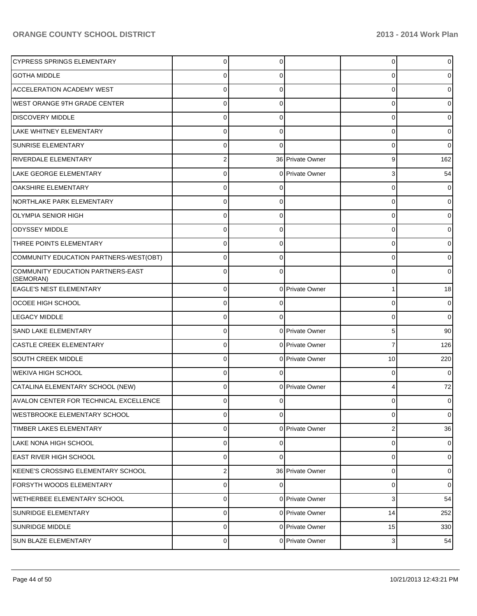| <b>CYPRESS SPRINGS ELEMENTARY</b>              | $\Omega$       | 0        |                  | 0  | U           |
|------------------------------------------------|----------------|----------|------------------|----|-------------|
| <b>GOTHA MIDDLE</b>                            | 0              | 0        |                  | 0  |             |
| <b>ACCELERATION ACADEMY WEST</b>               | $\Omega$       | 0        |                  | 0  |             |
| <b>WEST ORANGE 9TH GRADE CENTER</b>            | $\Omega$       | 0        |                  | 0  |             |
| <b>DISCOVERY MIDDLE</b>                        | $\Omega$       | 0        |                  | 0  |             |
| <b>LAKE WHITNEY ELEMENTARY</b>                 | $\Omega$       | 0        |                  | 0  | o           |
| <b>SUNRISE ELEMENTARY</b>                      | 0              | 0        |                  | 0  | 0           |
| <b>RIVERDALE ELEMENTARY</b>                    | 2              |          | 36 Private Owner | 9  | 162         |
| <b>LAKE GEORGE ELEMENTARY</b>                  | $\Omega$       |          | 0 Private Owner  | 3  | 54          |
| OAKSHIRE ELEMENTARY                            | $\Omega$       | 0        |                  | 0  | 0           |
| NORTHLAKE PARK ELEMENTARY                      | 0              | 0        |                  | 0  |             |
| <b>OLYMPIA SENIOR HIGH</b>                     | $\Omega$       | 0        |                  | 0  |             |
| <b>ODYSSEY MIDDLE</b>                          | 0              | 0        |                  | 0  |             |
| THREE POINTS ELEMENTARY                        | $\Omega$       | 0        |                  | 0  |             |
| COMMUNITY EDUCATION PARTNERS-WEST(OBT)         | $\Omega$       | 0        |                  | 0  |             |
| COMMUNITY EDUCATION PARTNERS-EAST<br>(SEMORAN) | $\Omega$       | $\Omega$ |                  | 0  | 0           |
| EAGLE'S NEST ELEMENTARY                        | $\mathbf 0$    |          | 0 Private Owner  | 1  | 18          |
| <b>OCOEE HIGH SCHOOL</b>                       | $\mathbf 0$    |          |                  | 0  | 0           |
| <b>LEGACY MIDDLE</b>                           | $\mathbf 0$    | 0        |                  | 0  | 0           |
| <b>SAND LAKE ELEMENTARY</b>                    | $\mathbf 0$    |          | 0 Private Owner  | 5  | 90          |
| <b>CASTLE CREEK ELEMENTARY</b>                 | $\mathbf 0$    |          | 0 Private Owner  | 7  | 126         |
| <b>SOUTH CREEK MIDDLE</b>                      | 0              |          | 0 Private Owner  | 10 | 220         |
| <b>WEKIVA HIGH SCHOOL</b>                      | $\mathbf 0$    | 0        |                  | 0  | 0           |
| CATALINA ELEMENTARY SCHOOL (NEW)               | 0              |          | 0 Private Owner  | 4  | $72\,$      |
| AVALON CENTER FOR TECHNICAL EXCELLENCE         | $\Omega$       | 0        |                  | 0  | 0           |
| <b>WESTBROOKE ELEMENTARY SCHOOL</b>            | $\mathbf 0$    | $\Omega$ |                  | 0  | 0           |
| TIMBER LAKES ELEMENTARY                        | $\mathbf 0$    |          | 0 Private Owner  | 2  | 36          |
| LAKE NONA HIGH SCHOOL                          | $\mathbf 0$    | 0        |                  | 0  | 0           |
| <b>EAST RIVER HIGH SCHOOL</b>                  | $\mathbf 0$    | $\Omega$ |                  | 0  | 0           |
| KEENE'S CROSSING ELEMENTARY SCHOOL             | $\overline{c}$ |          | 36 Private Owner | 0  | 0           |
| <b>FORSYTH WOODS ELEMENTARY</b>                | $\mathbf 0$    | $\Omega$ |                  | 0  | $\mathbf 0$ |
| <b>WETHERBEE ELEMENTARY SCHOOL</b>             | $\mathbf 0$    |          | 0 Private Owner  | 3  | 54          |
| <b>SUNRIDGE ELEMENTARY</b>                     | $\mathbf 0$    |          | 0 Private Owner  | 14 | 252         |
| <b>SUNRIDGE MIDDLE</b>                         | $\mathbf 0$    |          | 0 Private Owner  | 15 | 330         |
| <b>SUN BLAZE ELEMENTARY</b>                    | $\mathbf 0$    |          | 0 Private Owner  | 3  | 54          |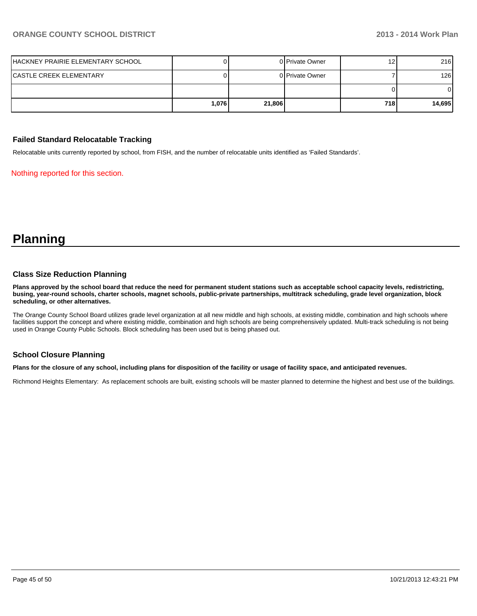| HACKNEY PRAIRIE ELEMENTARY SCHOOL |        |        | 0 Private Owner | 12  | 216    |
|-----------------------------------|--------|--------|-----------------|-----|--------|
| ICASTLE CREEK ELEMENTARY          |        |        | 0 Private Owner |     | 126    |
|                                   |        |        |                 |     |        |
|                                   | 1.076I | 21,806 |                 | 718 | 14,695 |

#### **Failed Standard Relocatable Tracking**

Relocatable units currently reported by school, from FISH, and the number of relocatable units identified as 'Failed Standards'.

Nothing reported for this section.

## **Planning**

#### **Class Size Reduction Planning**

**Plans approved by the school board that reduce the need for permanent student stations such as acceptable school capacity levels, redistricting, busing, year-round schools, charter schools, magnet schools, public-private partnerships, multitrack scheduling, grade level organization, block scheduling, or other alternatives.**

The Orange County School Board utilizes grade level organization at all new middle and high schools, at existing middle, combination and high schools where facilities support the concept and where existing middle, combination and high schools are being comprehensively updated. Multi-track scheduling is not being used in Orange County Public Schools. Block scheduling has been used but is being phased out.

#### **School Closure Planning**

**Plans for the closure of any school, including plans for disposition of the facility or usage of facility space, and anticipated revenues.**

Richmond Heights Elementary: As replacement schools are built, existing schools will be master planned to determine the highest and best use of the buildings.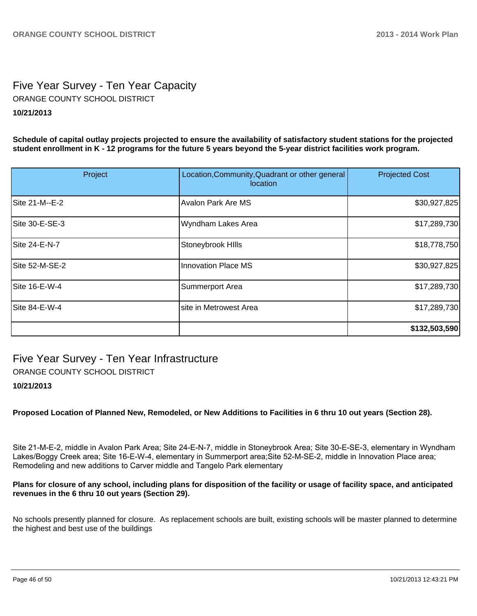## Five Year Survey - Ten Year Capacity ORANGE COUNTY SCHOOL DISTRICT

#### **10/21/2013**

**Schedule of capital outlay projects projected to ensure the availability of satisfactory student stations for the projected student enrollment in K - 12 programs for the future 5 years beyond the 5-year district facilities work program.**

| Project        | Location, Community, Quadrant or other general<br>location | <b>Projected Cost</b> |
|----------------|------------------------------------------------------------|-----------------------|
| Site 21-M--E-2 | <b>Avalon Park Are MS</b>                                  | \$30,927,825          |
| Site 30-E-SE-3 | Wyndham Lakes Area                                         | \$17,289,730          |
| Site 24-E-N-7  | Stoneybrook Hills                                          | \$18,778,750          |
| Site 52-M-SE-2 | <b>Innovation Place MS</b>                                 | \$30,927,825          |
| Site 16-E-W-4  | Summerport Area                                            | \$17,289,730          |
| Site 84-E-W-4  | site in Metrowest Area                                     | \$17,289,730          |
|                |                                                            | \$132,503,590         |

## Five Year Survey - Ten Year Infrastructure

ORANGE COUNTY SCHOOL DISTRICT

#### **10/21/2013**

**Proposed Location of Planned New, Remodeled, or New Additions to Facilities in 6 thru 10 out years (Section 28).**

Site 21-M-E-2, middle in Avalon Park Area; Site 24-E-N-7, middle in Stoneybrook Area; Site 30-E-SE-3, elementary in Wyndham Lakes/Boggy Creek area; Site 16-E-W-4, elementary in Summerport area; Site 52-M-SE-2, middle in Innovation Place area; Remodeling and new additions to Carver middle and Tangelo Park elementary

#### **Plans for closure of any school, including plans for disposition of the facility or usage of facility space, and anticipated revenues in the 6 thru 10 out years (Section 29).**

No schools presently planned for closure. As replacement schools are built, existing schools will be master planned to determine the highest and best use of the buildings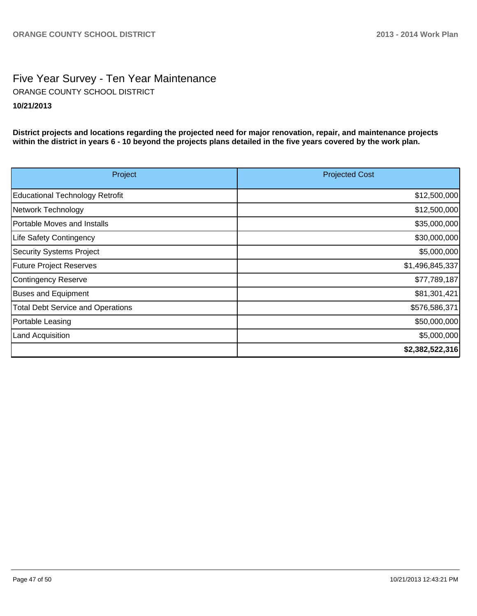### Five Year Survey - Ten Year Maintenance **10/21/2013** ORANGE COUNTY SCHOOL DISTRICT

**District projects and locations regarding the projected need for major renovation, repair, and maintenance projects within the district in years 6 - 10 beyond the projects plans detailed in the five years covered by the work plan.**

| Project                                  | <b>Projected Cost</b> |
|------------------------------------------|-----------------------|
| Educational Technology Retrofit          | \$12,500,000          |
| Network Technology                       | \$12,500,000          |
| Portable Moves and Installs              | \$35,000,000          |
| Life Safety Contingency                  | \$30,000,000          |
| Security Systems Project                 | \$5,000,000           |
| <b>Future Project Reserves</b>           | \$1,496,845,337       |
| Contingency Reserve                      | \$77,789,187          |
| <b>Buses and Equipment</b>               | \$81,301,421          |
| <b>Total Debt Service and Operations</b> | \$576,586,371         |
| Portable Leasing                         | \$50,000,000          |
| Land Acquisition                         | \$5,000,000           |
|                                          | \$2,382,522,316       |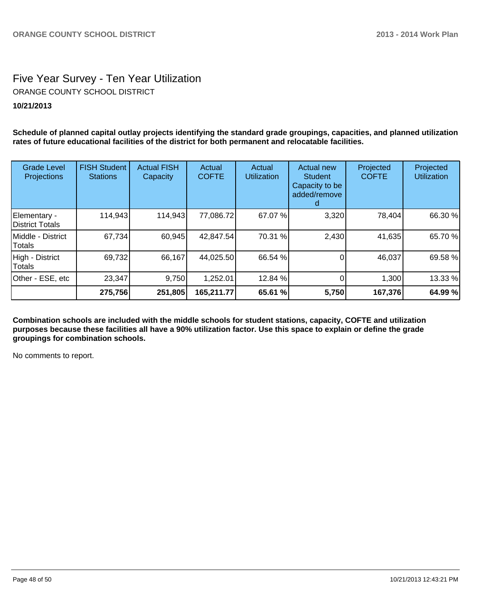### Five Year Survey - Ten Year Utilization **10/21/2013** ORANGE COUNTY SCHOOL DISTRICT

**Schedule of planned capital outlay projects identifying the standard grade groupings, capacities, and planned utilization rates of future educational facilities of the district for both permanent and relocatable facilities.**

| <b>Grade Level</b><br><b>Projections</b> | <b>FISH Student</b><br><b>Stations</b> | <b>Actual FISH</b><br>Capacity | Actual<br><b>COFTE</b> | Actual<br><b>Utilization</b> | Actual new<br><b>Student</b><br>Capacity to be<br>added/remove | Projected<br><b>COFTE</b> | Projected<br><b>Utilization</b> |
|------------------------------------------|----------------------------------------|--------------------------------|------------------------|------------------------------|----------------------------------------------------------------|---------------------------|---------------------------------|
| Elementary -<br>District Totals          | 114,943                                | 114,943                        | 77,086.72              | 67.07 %                      | 3,320                                                          | 78,404                    | 66.30 %                         |
| Middle - District<br>Totals              | 67,734                                 | 60,945                         | 42,847.54              | 70.31 %                      | 2,430                                                          | 41,635                    | 65.70 %                         |
| High - District<br>Totals                | 69,732                                 | 66,167                         | 44,025.50              | 66.54 %                      |                                                                | 46,037                    | 69.58 %                         |
| Other - ESE, etc                         | 23,347                                 | 9,750                          | 1,252.01               | 12.84 %                      |                                                                | 1,300                     | 13.33 %                         |
|                                          | 275,756                                | 251,805                        | 165,211.77             | 65.61 %                      | 5,750                                                          | 167,376                   | 64.99 %                         |

**Combination schools are included with the middle schools for student stations, capacity, COFTE and utilization purposes because these facilities all have a 90% utilization factor. Use this space to explain or define the grade groupings for combination schools.**

No comments to report.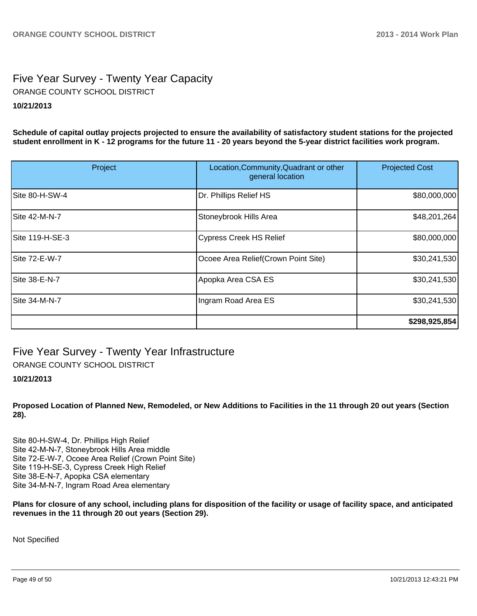### Five Year Survey - Twenty Year Capacity **10/21/2013** ORANGE COUNTY SCHOOL DISTRICT

**Schedule of capital outlay projects projected to ensure the availability of satisfactory student stations for the projected student enrollment in K - 12 programs for the future 11 - 20 years beyond the 5-year district facilities work program.**

| Project         | Location, Community, Quadrant or other<br>general location | <b>Projected Cost</b> |
|-----------------|------------------------------------------------------------|-----------------------|
| Site 80-H-SW-4  | Dr. Phillips Relief HS                                     | \$80,000,000          |
| Site 42-M-N-7   | Stoneybrook Hills Area                                     | \$48,201,264]         |
| Site 119-H-SE-3 | <b>Cypress Creek HS Relief</b>                             | \$80,000,000          |
| Site 72-E-W-7   | Ocoee Area Relief (Crown Point Site)                       | \$30,241,530          |
| Site 38-E-N-7   | Apopka Area CSA ES                                         | \$30,241,530          |
| Site 34-M-N-7   | Ingram Road Area ES                                        | \$30,241,530          |
|                 |                                                            | \$298,925,854         |

Five Year Survey - Twenty Year Infrastructure

ORANGE COUNTY SCHOOL DISTRICT

#### **10/21/2013**

**Proposed Location of Planned New, Remodeled, or New Additions to Facilities in the 11 through 20 out years (Section 28).**

Site 80-H-SW-4, Dr. Phillips High Relief Site 42-M-N-7. Stonevbrook Hills Area middle Site 72-E-W-7, Ocoee Area Relief (Crown Point Site) Site 119-H-SE-3, Cypress Creek High Relief Site 38-E-N-7, Apopka CSA elementary Site 34-M-N-7, Ingram Road Area elementary

**Plans for closure of any school, including plans for disposition of the facility or usage of facility space, and anticipated revenues in the 11 through 20 out years (Section 29).**

Not Specified